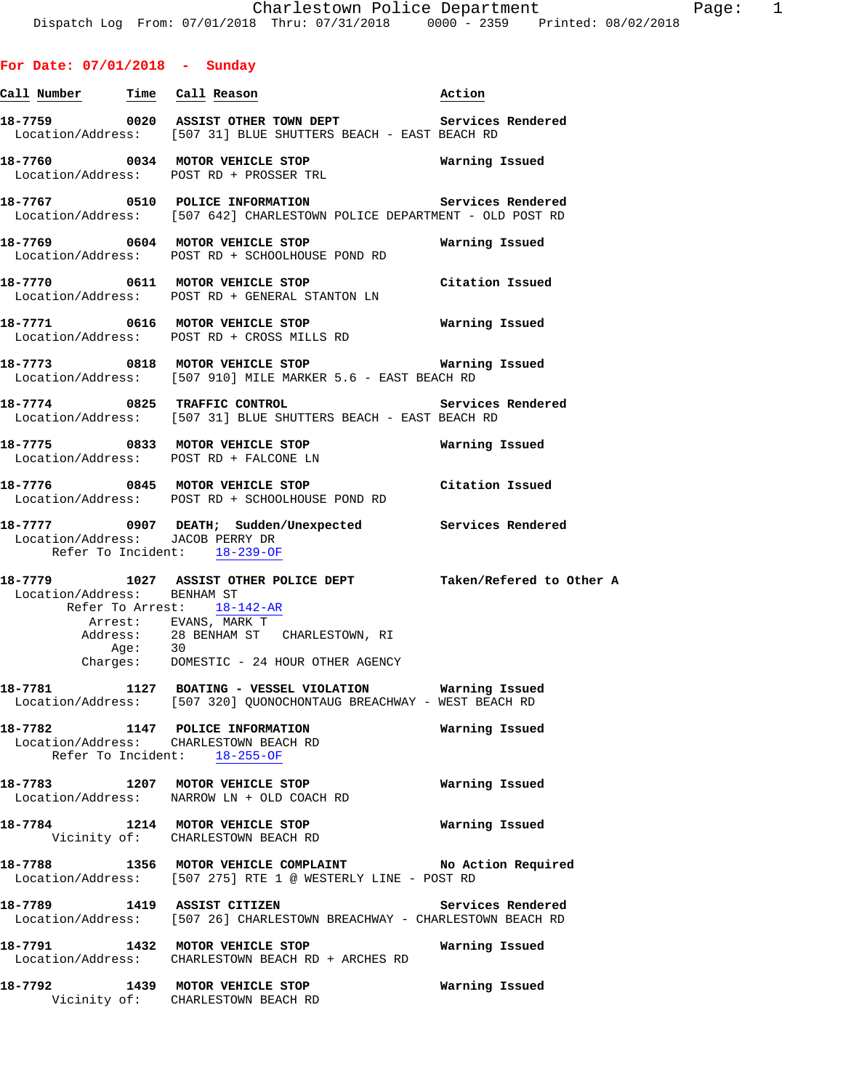# **For Date: 07/01/2018 - Sunday**

| <u>Call Number — Time Call Reason</u>                             |                                                                                                                                                                                    | Action            |
|-------------------------------------------------------------------|------------------------------------------------------------------------------------------------------------------------------------------------------------------------------------|-------------------|
|                                                                   | 18-7759 6020 ASSIST OTHER TOWN DEPT Services Rendered<br>Location/Address: [507 31] BLUE SHUTTERS BEACH - EAST BEACH RD                                                            |                   |
|                                                                   | 18-7760 0034 MOTOR VEHICLE STOP Warning Issued<br>Location/Address: POST RD + PROSSER TRL                                                                                          |                   |
|                                                                   | Location/Address: [507 642] CHARLESTOWN POLICE DEPARTMENT - OLD POST RD                                                                                                            |                   |
|                                                                   | 18-7769 0604 MOTOR VEHICLE STOP<br>Location/Address: POST RD + SCHOOLHOUSE POND RD                                                                                                 | Warning Issued    |
|                                                                   | 18-7770 0611 MOTOR VEHICLE STOP Citation Issued<br>Location/Address: POST RD + GENERAL STANTON LN                                                                                  |                   |
|                                                                   | 18-7771 0616 MOTOR VEHICLE STOP <b>Marning Issued</b><br>Location/Address: POST RD + CROSS MILLS RD                                                                                |                   |
|                                                                   | 18-7773 0818 MOTOR VEHICLE STOP <b>Marning Issued</b><br>Location/Address: [507 910] MILE MARKER 5.6 - EAST BEACH RD                                                               |                   |
| 18-7774 0825 TRAFFIC CONTROL                                      | Location/Address: [507 31] BLUE SHUTTERS BEACH - EAST BEACH RD                                                                                                                     | Services Rendered |
|                                                                   | 18-7775 0833 MOTOR VEHICLE STOP Warning Issued<br>Location/Address: POST RD + FALCONE LN                                                                                           |                   |
|                                                                   | 18-7776 0845 MOTOR VEHICLE STOP<br>Location/Address: POST RD + SCHOOLHOUSE POND RD                                                                                                 | Citation Issued   |
| Location/Address: JACOB PERRY DR<br>Refer To Incident: 18-239-OF  | 18-7777 0907 DEATH; Sudden/Unexpected Services Rendered                                                                                                                            |                   |
| Location/Address: BENHAM ST<br>Refer To Arrest: 18-142-AR<br>Age: | 18-7779 1027 ASSIST OTHER POLICE DEPT Taken/Refered to Other A<br>Arrest: EVANS, MARK T<br>Address: 28 BENHAM ST CHARLESTOWN, RI<br>30<br>Charges: DOMESTIC - 24 HOUR OTHER AGENCY |                   |
|                                                                   | 18-7781 1127 BOATING - VESSEL VIOLATION Warning Issued<br>Location/Address: [507 320] QUONOCHONTAUG BREACHWAY - WEST BEACH RD                                                      |                   |
| Refer To Incident: 18-255-OF                                      | 18-7782 1147 POLICE INFORMATION<br>Location/Address: CHARLESTOWN BEACH RD                                                                                                          | Warning Issued    |
|                                                                   | 18-7783 1207 MOTOR VEHICLE STOP<br>Location/Address: NARROW LN + OLD COACH RD                                                                                                      | Warning Issued    |
|                                                                   | 18-7784 1214 MOTOR VEHICLE STOP<br>Vicinity of: CHARLESTOWN BEACH RD                                                                                                               | Warning Issued    |
|                                                                   | 18-7788 1356 MOTOR VEHICLE COMPLAINT No Action Required<br>Location/Address: [507 275] RTE 1 @ WESTERLY LINE - POST RD                                                             |                   |
|                                                                   | 18-7789 1419 ASSIST CITIZEN<br>Location/Address: [507 26] CHARLESTOWN BREACHWAY - CHARLESTOWN BEACH RD                                                                             | Services Rendered |
|                                                                   | 18-7791 1432 MOTOR VEHICLE STOP<br>Location/Address: CHARLESTOWN BEACH RD + ARCHES RD                                                                                              | Warning Issued    |
| 18-7792 1439 MOTOR VEHICLE STOP                                   | Vicinity of: CHARLESTOWN BEACH RD                                                                                                                                                  | Warning Issued    |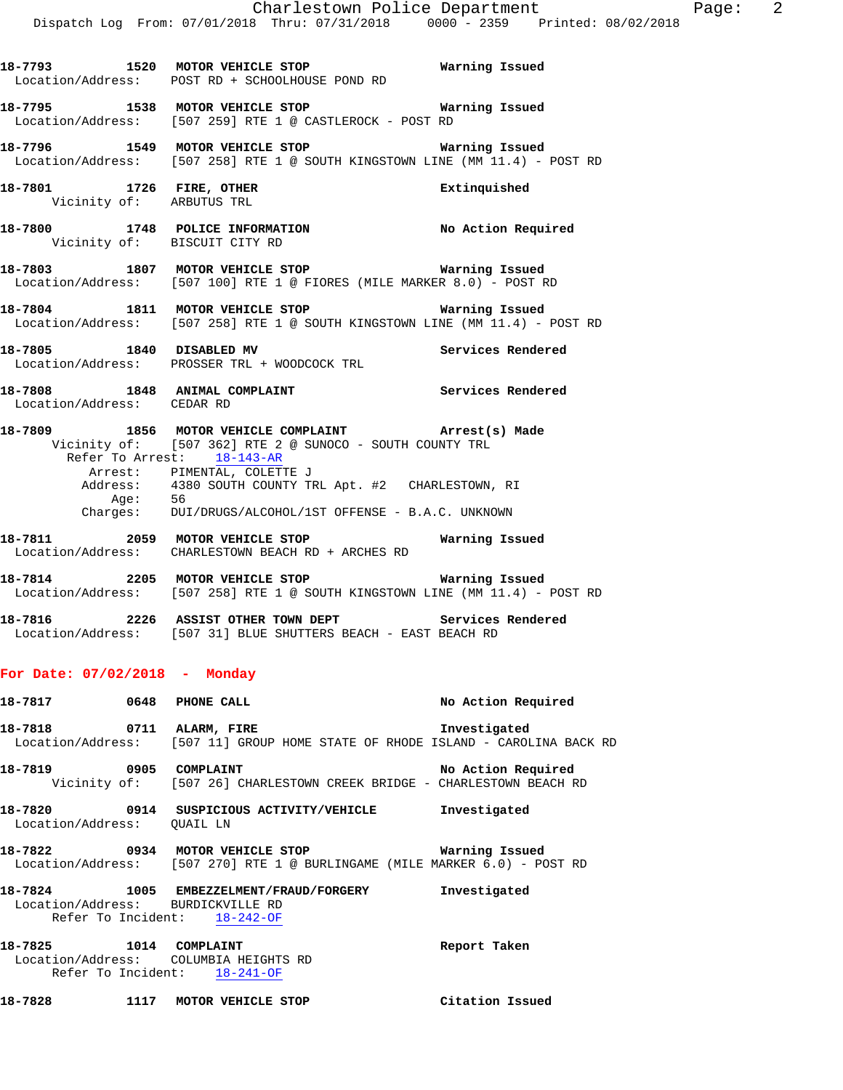**18-7793 1520 MOTOR VEHICLE STOP Warning Issued** 

**18-7795 1538 MOTOR VEHICLE STOP Warning Issued** 

Location/Address: POST RD + SCHOOLHOUSE POND RD

Location/Address: [507 259] RTE 1 @ CASTLEROCK - POST RD

**18-7796 1549 MOTOR VEHICLE STOP Warning Issued**  Location/Address: [507 258] RTE 1 @ SOUTH KINGSTOWN LINE (MM 11.4) - POST RD **18-7801 1726 FIRE, OTHER Extinquished**  Vicinity of: ARBUTUS TRL **18-7800 1748 POLICE INFORMATION No Action Required**  Vicinity of: BISCUIT CITY RD **18-7803 1807 MOTOR VEHICLE STOP Warning Issued**  Location/Address: [507 100] RTE 1 @ FIORES (MILE MARKER 8.0) - POST RD **18-7804 1811 MOTOR VEHICLE STOP Warning Issued**  Location/Address: [507 258] RTE 1 @ SOUTH KINGSTOWN LINE (MM 11.4) - POST RD **18-7805 1840 DISABLED MV Services Rendered**  Location/Address: PROSSER TRL + WOODCOCK TRL **18-7808 1848 ANIMAL COMPLAINT Services Rendered**  Location/Address: CEDAR RD **18-7809 1856 MOTOR VEHICLE COMPLAINT Arrest(s) Made**  Vicinity of: [507 362] RTE 2 @ SUNOCO - SOUTH COUNTY TRL Refer To Arrest: 18-143-AR Arrest: PIMENTAL, COLETTE J Address: 4380 SOUTH COUNTY TRL Apt. #2 CHARLESTOWN, RI Age: 56 Charges: DUI/DRUGS/ALCOHOL/1ST OFFENSE - B.A.C. UNKNOWN **18-7811 2059 MOTOR VEHICLE STOP Warning Issued**  Location/Address: CHARLESTOWN BEACH RD + ARCHES RD **18-7814 2205 MOTOR VEHICLE STOP Warning Issued**  Location/Address: [507 258] RTE 1 @ SOUTH KINGSTOWN LINE (MM 11.4) - POST RD **18-7816 2226 ASSIST OTHER TOWN DEPT Services Rendered**  Location/Address: [507 31] BLUE SHUTTERS BEACH - EAST BEACH RD **For Date: 07/02/2018 - Monday 18-7817 0648 PHONE CALL No Action Required 18-7818 0711 ALARM, FIRE Investigated**  Location/Address: [507 11] GROUP HOME STATE OF RHODE ISLAND - CAROLINA BACK RD **18-7819 0905 COMPLAINT No Action Required**  Vicinity of: [507 26] CHARLESTOWN CREEK BRIDGE - CHARLESTOWN BEACH RD **18-7820 0914 SUSPICIOUS ACTIVITY/VEHICLE Investigated**  Location/Address: QUAIL LN **18-7822 0934 MOTOR VEHICLE STOP Warning Issued**  Location/Address: [507 270] RTE 1 @ BURLINGAME (MILE MARKER 6.0) - POST RD **18-7824 1005 EMBEZZELMENT/FRAUD/FORGERY Investigated**  Location/Address: BURDICKVILLE RD Refer To Incident: 18-242-OF **18-7825 1014 COMPLAINT Report Taken**  Location/Address: COLUMBIA HEIGHTS RD Refer To Incident: 18-241-OF

**18-7828 1117 MOTOR VEHICLE STOP Citation Issued**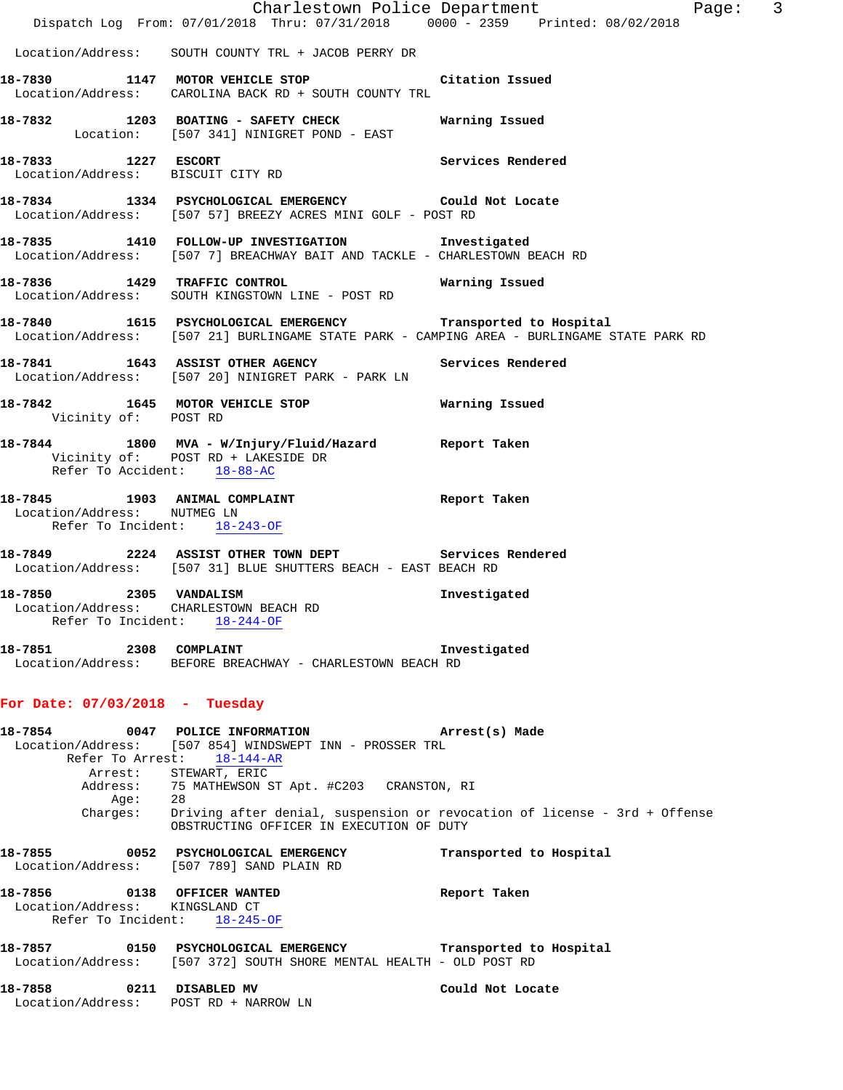|                                                                      | Dispatch Log From: 07/01/2018 Thru: 07/31/2018 0000 - 2359 Printed: 08/02/2018                                                      | Charlestown Police Department<br>Page: 3                                                      |
|----------------------------------------------------------------------|-------------------------------------------------------------------------------------------------------------------------------------|-----------------------------------------------------------------------------------------------|
|                                                                      | Location/Address: SOUTH COUNTY TRL + JACOB PERRY DR                                                                                 |                                                                                               |
|                                                                      | 18-7830 1147 MOTOR VEHICLE STOP Citation Issued<br>Location/Address: CAROLINA BACK RD + SOUTH COUNTY TRL                            |                                                                                               |
|                                                                      | 18-7832 1203 BOATING - SAFETY CHECK Warning Issued<br>Location: [507 341] NINIGRET POND - EAST                                      |                                                                                               |
| 18-7833 1227 ESCORT                                                  | Location/Address: BISCUIT CITY RD                                                                                                   | Services Rendered                                                                             |
|                                                                      | 18-7834 1334 PSYCHOLOGICAL EMERGENCY Could Not Locate<br>Location/Address: [507 57] BREEZY ACRES MINI GOLF - POST RD                |                                                                                               |
|                                                                      | 18-7835 1410 FOLLOW-UP INVESTIGATION Investigated<br>Location/Address: [507 7] BREACHWAY BAIT AND TACKLE - CHARLESTOWN BEACH RD     |                                                                                               |
|                                                                      | 18-7836 1429 TRAFFIC CONTROL <b>18-7836</b> Warning Issued<br>Location/Address: SOUTH KINGSTOWN LINE - POST RD                      |                                                                                               |
|                                                                      | 18-7840 1615 PSYCHOLOGICAL EMERGENCY Transported to Hospital                                                                        | Location/Address: [507 21] BURLINGAME STATE PARK - CAMPING AREA - BURLINGAME STATE PARK RD    |
|                                                                      | 18-7841 1643 ASSIST OTHER AGENCY Services Rendered<br>Location/Address: [507 20] NINIGRET PARK - PARK LN                            |                                                                                               |
| Vicinity of: POST RD                                                 | 18-7842 1645 MOTOR VEHICLE STOP <b>STOP</b> Warning Issued                                                                          |                                                                                               |
| Refer To Accident: 18-88-AC                                          | 18-7844 1800 MVA - W/Injury/Fluid/Hazard Report Taken<br>Vicinity of: POST RD + LAKESIDE DR                                         |                                                                                               |
| Location/Address: NUTMEG LN<br>Refer To Incident: 18-243-OF          | 18-7845 1903 ANIMAL COMPLAINT 18-7845 Report Taken                                                                                  |                                                                                               |
|                                                                      | 18-7849 2224 ASSIST OTHER TOWN DEPT Services Rendered<br>Location/Address: [507 31] BLUE SHUTTERS BEACH - EAST BEACH RD             |                                                                                               |
| Location/Address: CHARLESTOWN BEACH RD                               | 18-7850 2305 VANDALISM<br>Refer To Incident: 18-244-OF                                                                              | Investigated                                                                                  |
| 18-7851 2308 COMPLAINT                                               | Location/Address: BEFORE BREACHWAY - CHARLESTOWN BEACH RD                                                                           | Investigated                                                                                  |
| For Date: $07/03/2018$ - Tuesday                                     |                                                                                                                                     |                                                                                               |
|                                                                      | 18-7854 0047 POLICE INFORMATION<br>Location/Address: [507 854] WINDSWEPT INN - PROSSER TRL<br>Refer To Arrest: 18-144-AR            | Arrest(s) Made                                                                                |
|                                                                      | Arrest: STEWART, ERIC<br>Address: 75 MATHEWSON ST Apt. #C203 CRANSTON, RI                                                           |                                                                                               |
|                                                                      | OBSTRUCTING OFFICER IN EXECUTION OF DUTY                                                                                            | Age: 28<br>Charges: Driving after denial, suspension or revocation of license - 3rd + Offense |
|                                                                      | 18-7855 0052 PSYCHOLOGICAL EMERGENCY<br>Location/Address: [507 789] SAND PLAIN RD                                                   | Transported to Hospital                                                                       |
| 18-7856<br>Location/Address: KINGSLAND CT                            | 0138 OFFICER WANTED<br>Refer To Incident: $18-245-OF$                                                                               | Report Taken                                                                                  |
|                                                                      | 18-7857 0150 PSYCHOLOGICAL EMERGENCY Transported to Hospital<br>Location/Address: [507 372] SOUTH SHORE MENTAL HEALTH - OLD POST RD |                                                                                               |
| 0211 DISABLED MV<br>18-7858<br>Location/Address: POST RD + NARROW LN |                                                                                                                                     | Could Not Locate                                                                              |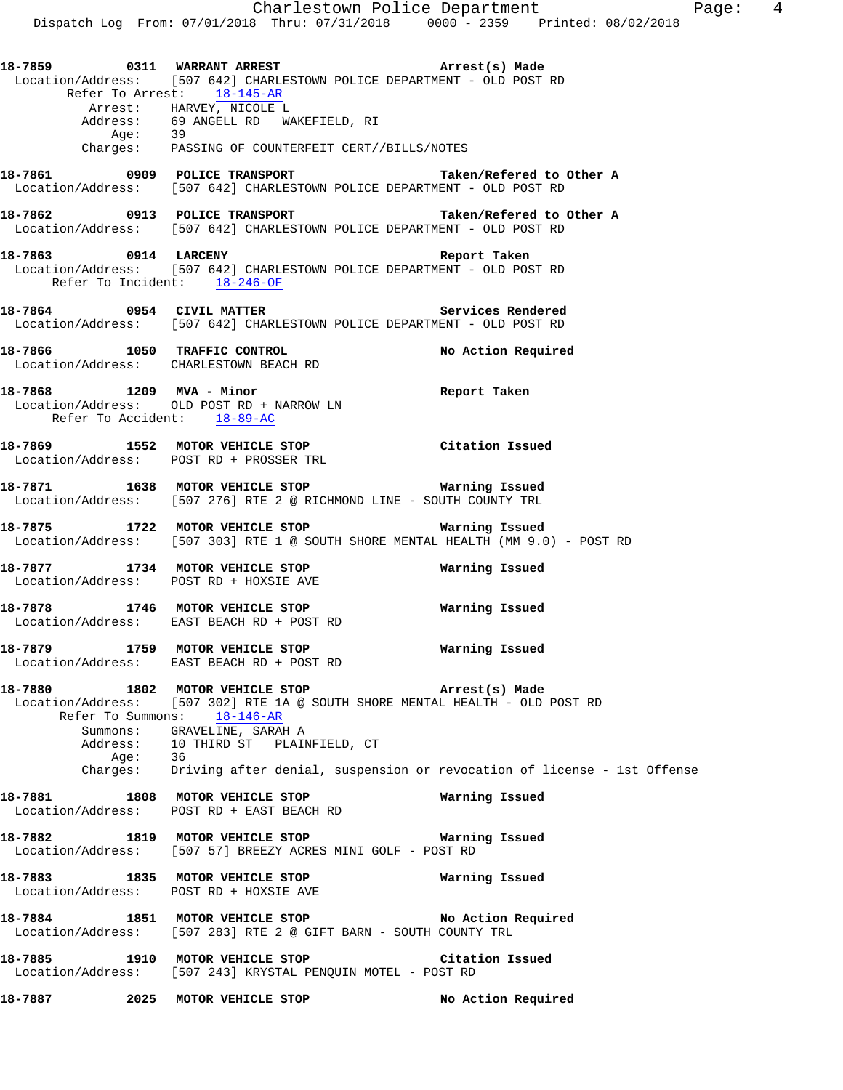**18-7861 0909 POLICE TRANSPORT Taken/Refered to Other A**  Location/Address: [507 642] CHARLESTOWN POLICE DEPARTMENT - OLD POST RD

**18-7862 0913 POLICE TRANSPORT Taken/Refered to Other A**  Location/Address: [507 642] CHARLESTOWN POLICE DEPARTMENT - OLD POST RD

- **18-7863 0914 LARCENY Report Taken**  Location/Address: [507 642] CHARLESTOWN POLICE DEPARTMENT - OLD POST RD Refer To Incident: 18-246-OF
- 18-7864 **0954** CIVIL MATTER **Services Rendered** Location/Address: [507 642] CHARLESTOWN POLICE DEPARTMENT - OLD POST RD
- **18-7866 1050 TRAFFIC CONTROL No Action Required**  Location/Address: CHARLESTOWN BEACH RD
- **18-7868 1209 MVA Minor Report Taken**  Location/Address: OLD POST RD + NARROW LN Refer To Accident: 18-89-AC
- **18-7869 1552 MOTOR VEHICLE STOP Citation Issued**  Location/Address: POST RD + PROSSER TRL
- **18-7871 1638 MOTOR VEHICLE STOP Warning Issued**  Location/Address: [507 276] RTE 2 @ RICHMOND LINE - SOUTH COUNTY TRL
- **18-7875 1722 MOTOR VEHICLE STOP Warning Issued**<br>Location/Address: [507 303] RTE 1 @ SOUTH SHORE MENTAL HEALTH (MM 9.0  $[507 303]$  RTE 1 @ SOUTH SHORE MENTAL HEALTH (MM 9.0) - POST RD
- **18-7877 1734 MOTOR VEHICLE STOP Warning Issued**  Location/Address: POST RD + HOXSIE AVE

Refer To Arrest: 18-145-AR

Address: 69 ANGELL RD WAKEFIELD, RI

Arrest: HARVEY, NICOLE L

Age: 39

- **18-7878 1746 MOTOR VEHICLE STOP Warning Issued**  Location/Address: EAST BEACH RD + POST RD
- **18-7879 1759 MOTOR VEHICLE STOP Warning Issued**  Location/Address: EAST BEACH RD + POST RD
- **18-7880 1802 MOTOR VEHICLE STOP Arrest(s) Made**  Location/Address: [507 302] RTE 1A @ SOUTH SHORE MENTAL HEALTH - OLD POST RD Refer To Summons: 18-146-AR Summons: GRAVELINE, SARAH A Address: 10 THIRD ST PLAINFIELD, CT<br>Age: 36 Age:<br>Charges: Driving after denial, suspension or revocation of license - 1st Offense
- **18-7881 1808 MOTOR VEHICLE STOP Warning Issued**
- **18-7882 1819 MOTOR VEHICLE STOP Warning Issued**  Location/Address: [507 57] BREEZY ACRES MINI GOLF - POST RD

Location/Address: POST RD + EAST BEACH RD

- **18-7883 1835 MOTOR VEHICLE STOP Warning Issued**  Location/Address: POST RD + HOXSIE AVE
- **18-7884 1851 MOTOR VEHICLE STOP No Action Required**  Location/Address: [507 283] RTE 2 @ GIFT BARN - SOUTH COUNTY TRL
- **18-7885 1910 MOTOR VEHICLE STOP Citation Issued**  Location/Address: [507 243] KRYSTAL PENQUIN MOTEL - POST RD
- **18-7887 2025 MOTOR VEHICLE STOP No Action Required**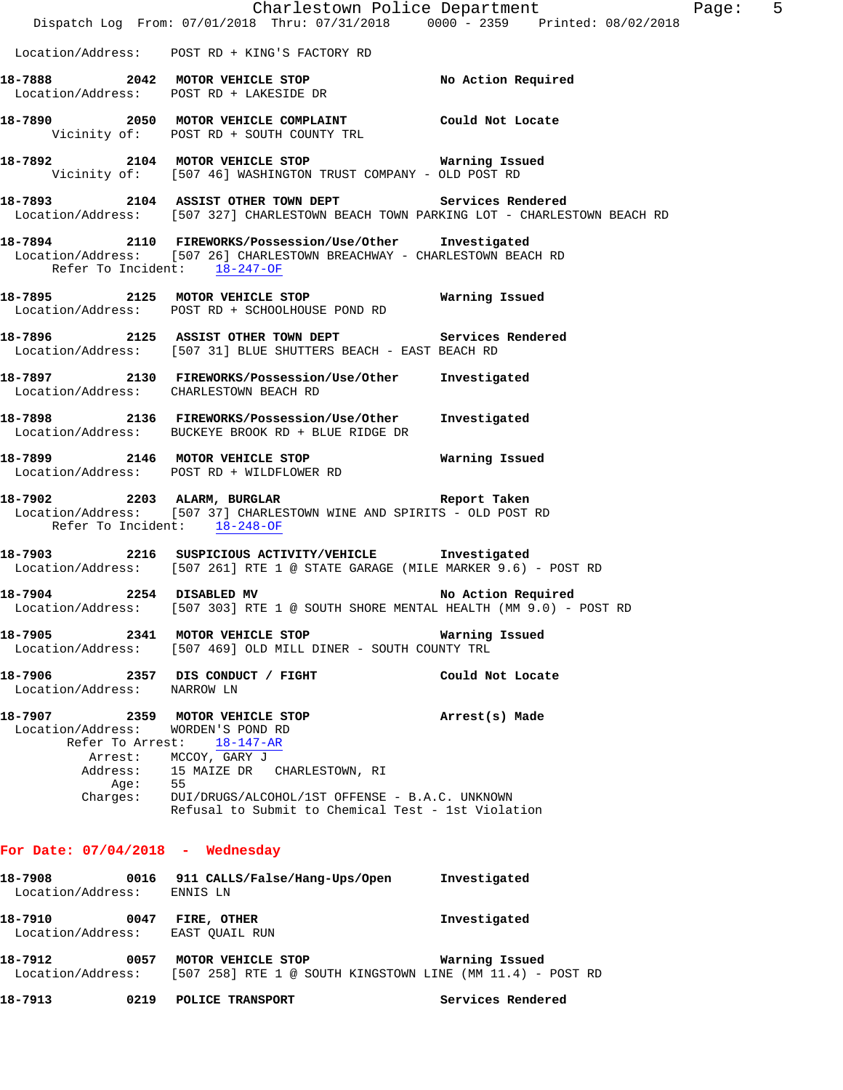|                                                                 | Dispatch Log From: 07/01/2018 Thru: 07/31/2018 0000 - 2359 Printed: 08/02/2018                                                                                                                                                                        | Charlestown Police Department | Page: 5 |  |
|-----------------------------------------------------------------|-------------------------------------------------------------------------------------------------------------------------------------------------------------------------------------------------------------------------------------------------------|-------------------------------|---------|--|
|                                                                 | Location/Address: POST RD + KING'S FACTORY RD                                                                                                                                                                                                         |                               |         |  |
|                                                                 | 18-7888 2042 MOTOR VEHICLE STOP No Action Required<br>Location/Address: POST RD + LAKESIDE DR                                                                                                                                                         |                               |         |  |
|                                                                 | 18-7890 2050 MOTOR VEHICLE COMPLAINT Could Not Locate<br>Vicinity of: POST RD + SOUTH COUNTY TRL                                                                                                                                                      |                               |         |  |
|                                                                 | 18-7892 2104 MOTOR VEHICLE STOP 6 Warning Issued<br>Vicinity of: [507 46] WASHINGTON TRUST COMPANY - OLD POST RD                                                                                                                                      |                               |         |  |
|                                                                 | 18-7893 2104 ASSIST OTHER TOWN DEPT Services Rendered<br>Location/Address: [507 327] CHARLESTOWN BEACH TOWN PARKING LOT - CHARLESTOWN BEACH RD                                                                                                        |                               |         |  |
| Refer To Incident: 18-247-OF                                    | 18-7894 2110 FIREWORKS/Possession/Use/Other Investigated<br>Location/Address: [507 26] CHARLESTOWN BREACHWAY - CHARLESTOWN BEACH RD                                                                                                                   |                               |         |  |
|                                                                 | 18-7895 2125 MOTOR VEHICLE STOP 6 Warning Issued<br>Location/Address: POST RD + SCHOOLHOUSE POND RD                                                                                                                                                   |                               |         |  |
|                                                                 | 18-7896 2125 ASSIST OTHER TOWN DEPT Services Rendered<br>Location/Address: [507 31] BLUE SHUTTERS BEACH - EAST BEACH RD                                                                                                                               |                               |         |  |
| Location/Address: CHARLESTOWN BEACH RD                          | 18-7897 2130 FIREWORKS/Possession/Use/Other Investigated                                                                                                                                                                                              |                               |         |  |
|                                                                 | 18-7898 2136 FIREWORKS/Possession/Use/Other Investigated<br>Location/Address: BUCKEYE BROOK RD + BLUE RIDGE DR                                                                                                                                        |                               |         |  |
|                                                                 | Location/Address: POST RD + WILDFLOWER RD                                                                                                                                                                                                             |                               |         |  |
| Refer To Incident: 18-248-OF                                    | 18-7902 2203 ALARM, BURGLAR 2008 Report Taken<br>Location/Address: [507 37] CHARLESTOWN WINE AND SPIRITS - OLD POST RD                                                                                                                                |                               |         |  |
|                                                                 | 18-7903 2216 SUSPICIOUS ACTIVITY/VEHICLE Investigated<br>Location/Address: [507 261] RTE 1 @ STATE GARAGE (MILE MARKER 9.6) - POST RD                                                                                                                 |                               |         |  |
|                                                                 | 18-7904 2254 DISABLED MV<br>Location/Address: [507 303] RTE 1 @ SOUTH SHORE MENTAL HEALTH (MM 9.0) - POST RD                                                                                                                                          | No Action Required            |         |  |
|                                                                 | 18-7905 2341 MOTOR VEHICLE STOP<br>Location/Address: [507 469] OLD MILL DINER - SOUTH COUNTY TRL                                                                                                                                                      | Warning Issued                |         |  |
| Location/Address: NARROW LN                                     | 18-7906 2357 DIS CONDUCT / FIGHT                                                                                                                                                                                                                      | Could Not Locate              |         |  |
| Location/Address: WORDEN'S POND RD<br>Aqe:                      | 18-7907 2359 MOTOR VEHICLE STOP<br>Refer To Arrest: 18-147-AR<br>Arrest: MCCOY, GARY J<br>Address: 15 MAIZE DR CHARLESTOWN, RI<br>55<br>Charges: DUI/DRUGS/ALCOHOL/1ST OFFENSE - B.A.C. UNKNOWN<br>Refusal to Submit to Chemical Test - 1st Violation | Arrest(s) Made                |         |  |
| For Date: $07/04/2018$ - Wednesday                              |                                                                                                                                                                                                                                                       |                               |         |  |
| 18-7908<br>Location/Address: ENNIS LN                           | 0016 911 CALLS/False/Hang-Ups/Open                                                                                                                                                                                                                    | Investigated                  |         |  |
| 18-7910<br>0047 FIRE, OTHER<br>Location/Address: EAST QUAIL RUN |                                                                                                                                                                                                                                                       | Investigated                  |         |  |
| 18-7912                                                         | 0057 MOTOR VEHICLE STOP                                                                                                                                                                                                                               | Warning Issued                |         |  |

Location/Address: [507 258] RTE 1 @ SOUTH KINGSTOWN LINE (MM 11.4) - POST RD

**18-7913 0219 POLICE TRANSPORT Services Rendered**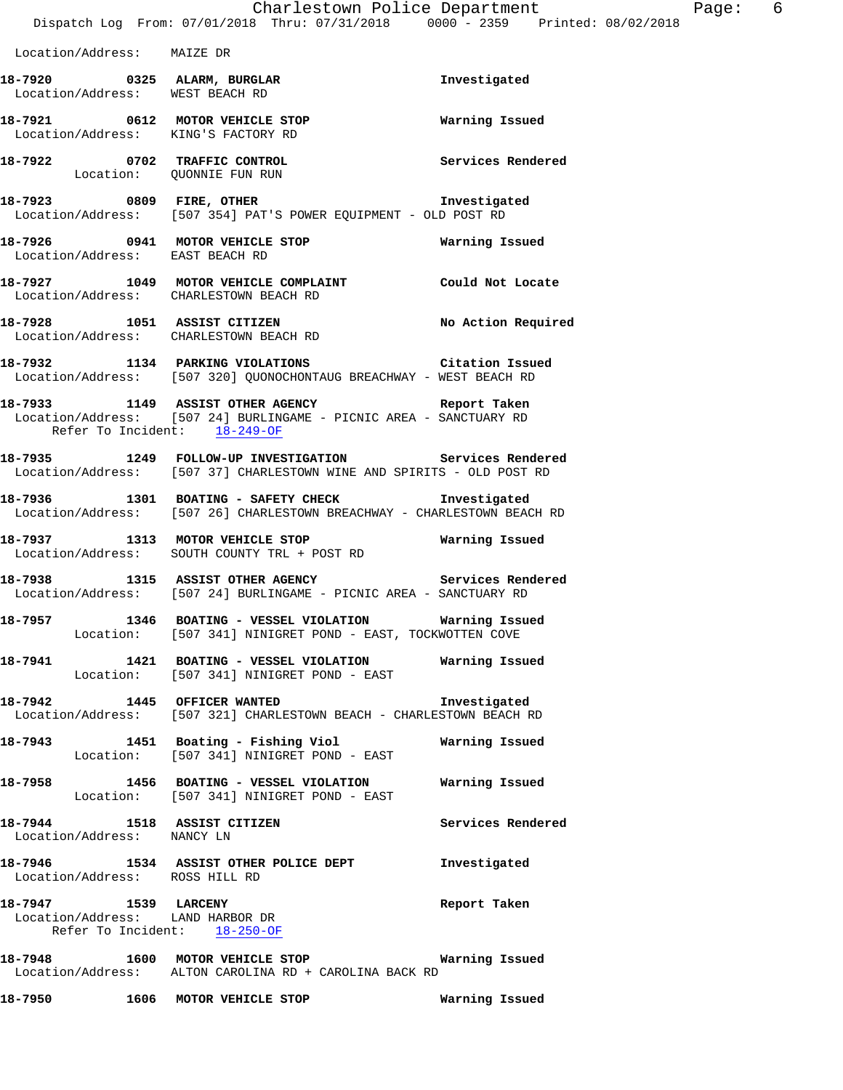Location/Address: MAIZE DR

**18-7920 0325 ALARM, BURGLAR Investigated**  Location/Address: WEST BEACH RD **18-7921 0612 MOTOR VEHICLE STOP Warning Issued**  Location/Address: KING'S FACTORY RD **18-7922 0702 TRAFFIC CONTROL Services Rendered**  Location: QUONNIE FUN RUN **18-7923 0809 FIRE, OTHER Investigated**  Location/Address: [507 354] PAT'S POWER EQUIPMENT - OLD POST RD **18-7926 0941 MOTOR VEHICLE STOP Warning Issued**  Location/Address: EAST BEACH RD **18-7927 1049 MOTOR VEHICLE COMPLAINT Could Not Locate**  Location/Address: CHARLESTOWN BEACH RD **18-7928 1051 ASSIST CITIZEN No Action Required**  Location/Address: CHARLESTOWN BEACH RD **18-7932 1134 PARKING VIOLATIONS Citation Issued**  Location/Address: [507 320] QUONOCHONTAUG BREACHWAY - WEST BEACH RD **18-7933 1149 ASSIST OTHER AGENCY Report Taken**  Location/Address: [507 24] BURLINGAME - PICNIC AREA - SANCTUARY RD Refer To Incident: 18-249-OF **18-7935 1249 FOLLOW-UP INVESTIGATION Services Rendered**  Location/Address: [507 37] CHARLESTOWN WINE AND SPIRITS - OLD POST RD **18-7936 1301 BOATING - SAFETY CHECK Investigated**  Location/Address: [507 26] CHARLESTOWN BREACHWAY - CHARLESTOWN BEACH RD **18-7937 1313 MOTOR VEHICLE STOP Warning Issued**  Location/Address: SOUTH COUNTY TRL + POST RD **18-7938 1315 ASSIST OTHER AGENCY Services Rendered**  Location/Address: [507 24] BURLINGAME - PICNIC AREA - SANCTUARY RD **18-7957 1346 BOATING - VESSEL VIOLATION Warning Issued**  Location: [507 341] NINIGRET POND - EAST, TOCKWOTTEN COVE **18-7941 1421 BOATING - VESSEL VIOLATION Warning Issued**  Location: [507 341] NINIGRET POND - EAST **18-7942 1445 OFFICER WANTED Investigated**  Location/Address: [507 321] CHARLESTOWN BEACH - CHARLESTOWN BEACH RD **18-7943 1451 Boating - Fishing Viol Warning Issued**  Location: [507 341] NINIGRET POND - EAST **18-7958 1456 BOATING - VESSEL VIOLATION Warning Issued**  Location: [507 341] NINIGRET POND - EAST **18-7944 1518 ASSIST CITIZEN Services Rendered**  Location/Address: NANCY LN **18-7946 1534 ASSIST OTHER POLICE DEPT Investigated**  Location/Address: ROSS HILL RD **18-7947 1539 LARCENY Report Taken**  Location/Address: LAND HARBOR DR Refer To Incident: 18-250-OF **18-7948 1600 MOTOR VEHICLE STOP Warning Issued**  Location/Address: ALTON CAROLINA RD + CAROLINA BACK RD

**18-7950 1606 MOTOR VEHICLE STOP Warning Issued**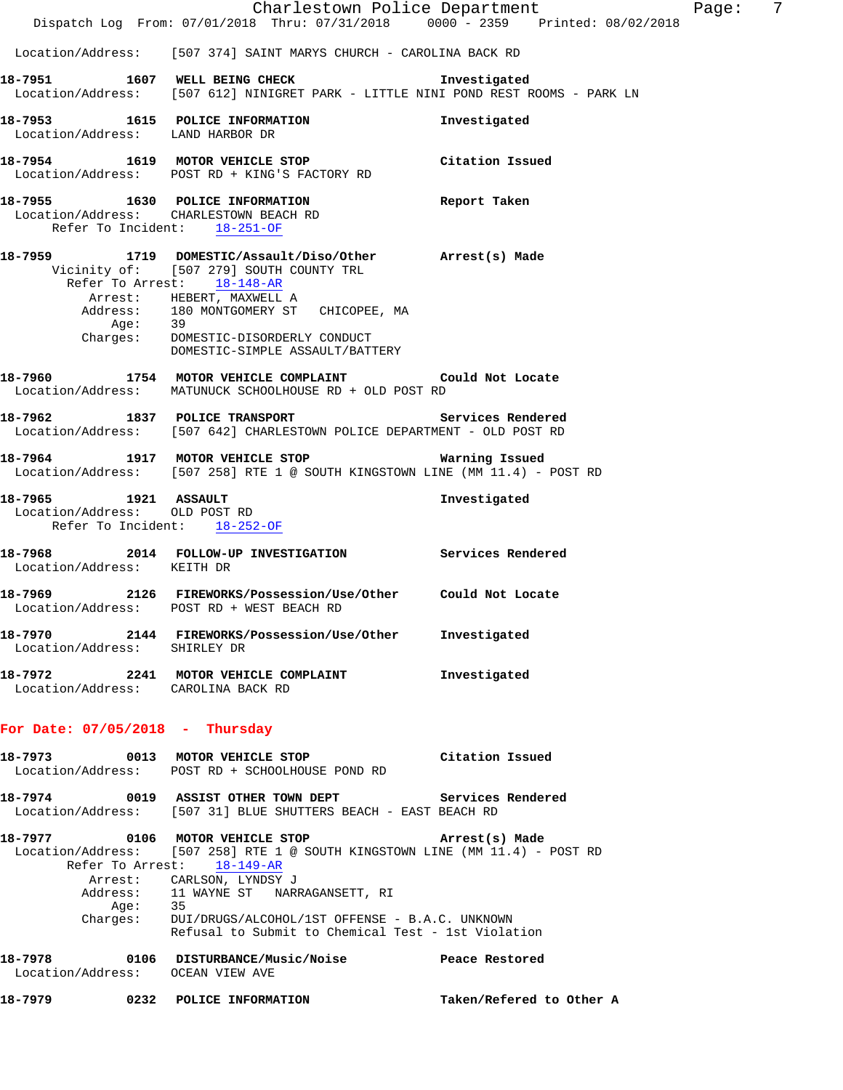|                                                                                       | Dispatch Log From: 07/01/2018 Thru: 07/31/2018 0000 - 2359 Printed: 08/02/2018                                                                                                                                                                                                                                                                                | Charlestown Police Department | Page: | 7 |
|---------------------------------------------------------------------------------------|---------------------------------------------------------------------------------------------------------------------------------------------------------------------------------------------------------------------------------------------------------------------------------------------------------------------------------------------------------------|-------------------------------|-------|---|
|                                                                                       | Location/Address: [507 374] SAINT MARYS CHURCH - CAROLINA BACK RD                                                                                                                                                                                                                                                                                             |                               |       |   |
|                                                                                       | 18-7951 1607 WELL BEING CHECK<br>Location/Address: [507 612] NINIGRET PARK - LITTLE NINI POND REST ROOMS - PARK LN                                                                                                                                                                                                                                            | Investigated                  |       |   |
| Location/Address: LAND HARBOR DR                                                      | 18-7953 1615 POLICE INFORMATION                                                                                                                                                                                                                                                                                                                               | Investigated                  |       |   |
|                                                                                       | 18-7954 1619 MOTOR VEHICLE STOP Citation Issued<br>Location/Address: POST RD + KING'S FACTORY RD                                                                                                                                                                                                                                                              |                               |       |   |
|                                                                                       | 18-7955 1630 POLICE INFORMATION Report Taken<br>Location/Address: CHARLESTOWN BEACH RD<br>Refer To Incident: 18-251-OF                                                                                                                                                                                                                                        |                               |       |   |
|                                                                                       | 18-7959 1719 DOMESTIC/Assault/Diso/Other Arrest(s) Made<br>Vicinity of: [507 279] SOUTH COUNTY TRL<br>Refer To Arrest: 18-148-AR<br>Arrest: HEBERT, MAXWELL A<br>Address: 180 MONTGOMERY ST CHICOPEE, MA<br>Age: 39<br>Charges: DOMESTIC-DISORDERLY CONDUCT<br>DOMESTIC-SIMPLE ASSAULT/BATTERY                                                                |                               |       |   |
|                                                                                       | 18-7960 1754 MOTOR VEHICLE COMPLAINT Could Not Locate<br>Location/Address: MATUNUCK SCHOOLHOUSE RD + OLD POST RD                                                                                                                                                                                                                                              |                               |       |   |
|                                                                                       | 18-7962 1837 POLICE TRANSPORT Services Rendered<br>Location/Address: [507 642] CHARLESTOWN POLICE DEPARTMENT - OLD POST RD                                                                                                                                                                                                                                    |                               |       |   |
|                                                                                       | 18-7964 1917 MOTOR VEHICLE STOP <b>Marning Issued</b><br>Location/Address: [507 258] RTE 1 @ SOUTH KINGSTOWN LINE (MM 11.4) - POST RD                                                                                                                                                                                                                         |                               |       |   |
| 18-7965 1921 ASSAULT<br>Location/Address: OLD POST RD<br>Refer To Incident: 18-252-OF |                                                                                                                                                                                                                                                                                                                                                               | Investigated                  |       |   |
| Location/Address: KEITH DR                                                            | 18-7968 2014 FOLLOW-UP INVESTIGATION Services Rendered                                                                                                                                                                                                                                                                                                        |                               |       |   |
|                                                                                       | 18-7969 2126 FIREWORKS/Possession/Use/Other Could Not Locate<br>Location/Address: POST RD + WEST BEACH RD                                                                                                                                                                                                                                                     |                               |       |   |
| Location/Address: SHIRLEY DR                                                          | 18-7970 2144 FIREWORKS/Possession/Use/Other Investigated                                                                                                                                                                                                                                                                                                      |                               |       |   |
| Location/Address: CAROLINA BACK RD                                                    | 18-7972 2241 MOTOR VEHICLE COMPLAINT                                                                                                                                                                                                                                                                                                                          | Investigated                  |       |   |
| For Date: $07/05/2018$ - Thursday                                                     |                                                                                                                                                                                                                                                                                                                                                               |                               |       |   |
|                                                                                       | 18-7973 0013 MOTOR VEHICLE STOP Citation Issued<br>Location/Address: POST RD + SCHOOLHOUSE POND RD                                                                                                                                                                                                                                                            |                               |       |   |
|                                                                                       | 18-7974 0019 ASSIST OTHER TOWN DEPT Services Rendered<br>Location/Address: [507 31] BLUE SHUTTERS BEACH - EAST BEACH RD                                                                                                                                                                                                                                       |                               |       |   |
|                                                                                       | Location/Address: [507 258] RTE 1 @ SOUTH KINGSTOWN LINE (MM 11.4) - POST RD<br>Refer To Arrest: 18-149-AR<br>Arrest: CARLSON, LYNDSY J<br>$\begin{tabular}{lllllll} Address: & 11 WAYNE ST & NARRAGANSETT, RI \\ Age: & 35 & \end{tabular}$<br>Charges: DUI/DRUGS/ALCOHOL/1ST OFFENSE - B.A.C. UNKNOWN<br>Refusal to Submit to Chemical Test - 1st Violation |                               |       |   |
| Location/Address: OCEAN VIEW AVE                                                      | 18-7978 0106 DISTURBANCE/Music/Noise Peace Restored                                                                                                                                                                                                                                                                                                           |                               |       |   |
|                                                                                       | 18-7979 0232 POLICE INFORMATION                                                                                                                                                                                                                                                                                                                               | Taken/Refered to Other A      |       |   |
|                                                                                       |                                                                                                                                                                                                                                                                                                                                                               |                               |       |   |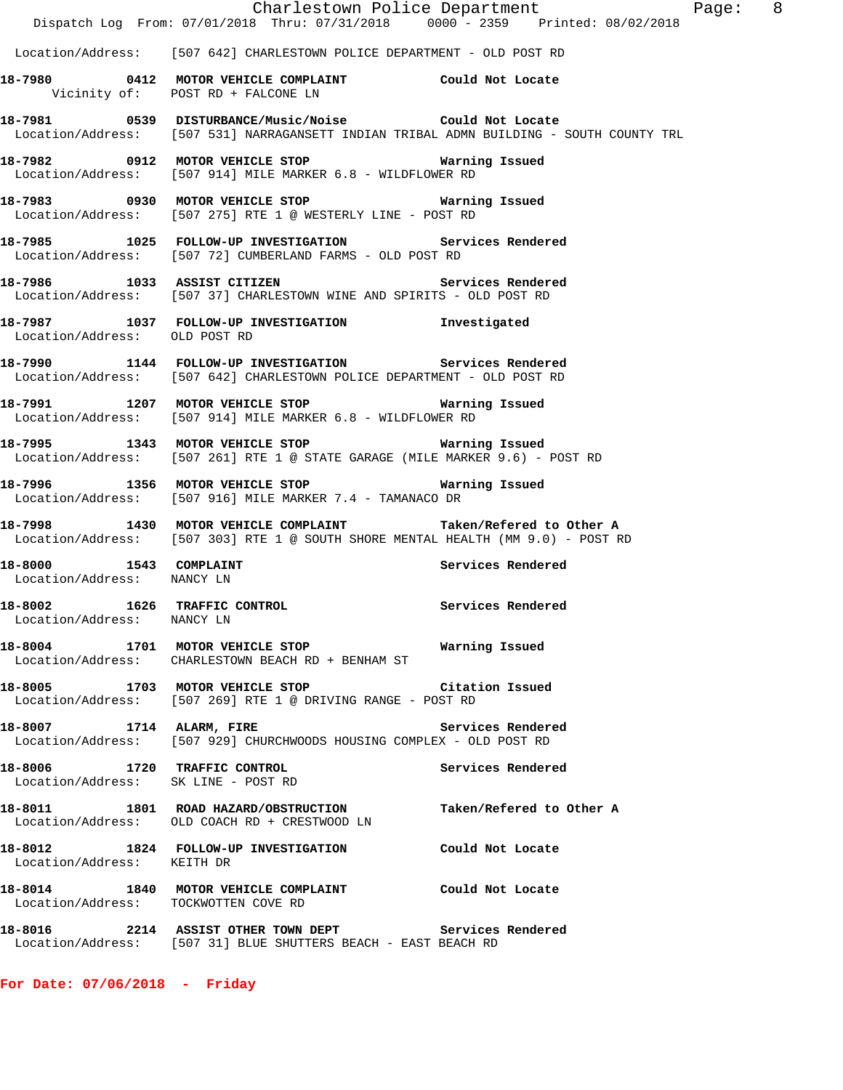|                                                      | Dispatch Log From: 07/01/2018 Thru: 07/31/2018 0000 - 2359 Printed: 08/02/2018                                                                    | Charlestown Police Department | Page: 8 |  |
|------------------------------------------------------|---------------------------------------------------------------------------------------------------------------------------------------------------|-------------------------------|---------|--|
|                                                      | Location/Address: [507 642] CHARLESTOWN POLICE DEPARTMENT - OLD POST RD                                                                           |                               |         |  |
|                                                      | 18-7980 0412 MOTOR VEHICLE COMPLAINT Could Not Locate<br>Vicinity of: POST RD + FALCONE LN                                                        |                               |         |  |
|                                                      | 18-7981 0539 DISTURBANCE/Music/Noise Could Not Locate<br>Location/Address: [507 531] NARRAGANSETT INDIAN TRIBAL ADMN BUILDING - SOUTH COUNTY TRL  |                               |         |  |
|                                                      | 18-7982 0912 MOTOR VEHICLE STOP 6 Warning Issued<br>Location/Address: [507 914] MILE MARKER 6.8 - WILDFLOWER RD                                   |                               |         |  |
|                                                      | 18-7983 0930 MOTOR VEHICLE STOP 6 Warning Issued<br>Location/Address: [507 275] RTE 1 @ WESTERLY LINE - POST RD                                   |                               |         |  |
|                                                      | 18-7985 1025 FOLLOW-UP INVESTIGATION Services Rendered<br>Location/Address: [507 72] CUMBERLAND FARMS - OLD POST RD                               |                               |         |  |
|                                                      | 18-7986 1033 ASSIST CITIZEN<br>Location/Address: [507 37] CHARLESTOWN WINE AND SPIRITS - OLD POST RD                                              | Services Rendered             |         |  |
| Location/Address: OLD POST RD                        | 18-7987 1037 FOLLOW-UP INVESTIGATION 1nvestigated                                                                                                 |                               |         |  |
|                                                      | 18-7990 1144 FOLLOW-UP INVESTIGATION Services Rendered<br>Location/Address: [507 642] CHARLESTOWN POLICE DEPARTMENT - OLD POST RD                 |                               |         |  |
|                                                      | 18-7991 1207 MOTOR VEHICLE STOP<br>Location/Address: [507 914] MILE MARKER 6.8 - WILDFLOWER RD                                                    | Warning Issued                |         |  |
|                                                      | 18-7995 1343 MOTOR VEHICLE STOP Warning Issued<br>Location/Address: [507 261] RTE 1 @ STATE GARAGE (MILE MARKER 9.6) - POST RD                    |                               |         |  |
|                                                      | 18-7996 1356 MOTOR VEHICLE STOP<br>Location/Address: [507 916] MILE MARKER 7.4 - TAMANACO DR                                                      | Warning Issued                |         |  |
|                                                      | 18-7998 1430 MOTOR VEHICLE COMPLAINT Taken/Refered to Other A<br>Location/Address: [507 303] RTE 1 @ SOUTH SHORE MENTAL HEALTH (MM 9.0) - POST RD |                               |         |  |
| 18-8000 1543 COMPLAINT<br>Location/Address: NANCY LN |                                                                                                                                                   | Services Rendered             |         |  |
| Location/Address: NANCY LN                           | 18-8002 1626 TRAFFIC CONTROL Services Rendered                                                                                                    |                               |         |  |
|                                                      | 18-8004 1701 MOTOR VEHICLE STOP 6 Warning Issued<br>Location/Address: CHARLESTOWN BEACH RD + BENHAM ST                                            |                               |         |  |
|                                                      | 18-8005 1703 MOTOR VEHICLE STOP Citation Issued<br>Location/Address: [507 269] RTE 1 @ DRIVING RANGE - POST RD                                    |                               |         |  |
| 18-8007 1714 ALARM, FIRE                             | Location/Address: [507 929] CHURCHWOODS HOUSING COMPLEX - OLD POST RD                                                                             | Services Rendered             |         |  |
| Location/Address: SK LINE - POST RD                  | 18-8006 1720 TRAFFIC CONTROL                                                                                                                      | Services Rendered             |         |  |
|                                                      | 18-8011 1801 ROAD HAZARD/OBSTRUCTION<br>Location/Address: OLD COACH RD + CRESTWOOD LN                                                             | Taken/Refered to Other A      |         |  |
| Location/Address: KEITH DR                           | 18-8012 1824 FOLLOW-UP INVESTIGATION Could Not Locate                                                                                             |                               |         |  |
| Location/Address: TOCKWOTTEN COVE RD                 | 18-8014 1840 MOTOR VEHICLE COMPLAINT Could Not Locate                                                                                             |                               |         |  |
|                                                      | 18-8016 2214 ASSIST OTHER TOWN DEPT Services Rendered<br>Location/Address: [507 31] BLUE SHUTTERS BEACH - EAST BEACH RD                           |                               |         |  |

**For Date: 07/06/2018 - Friday**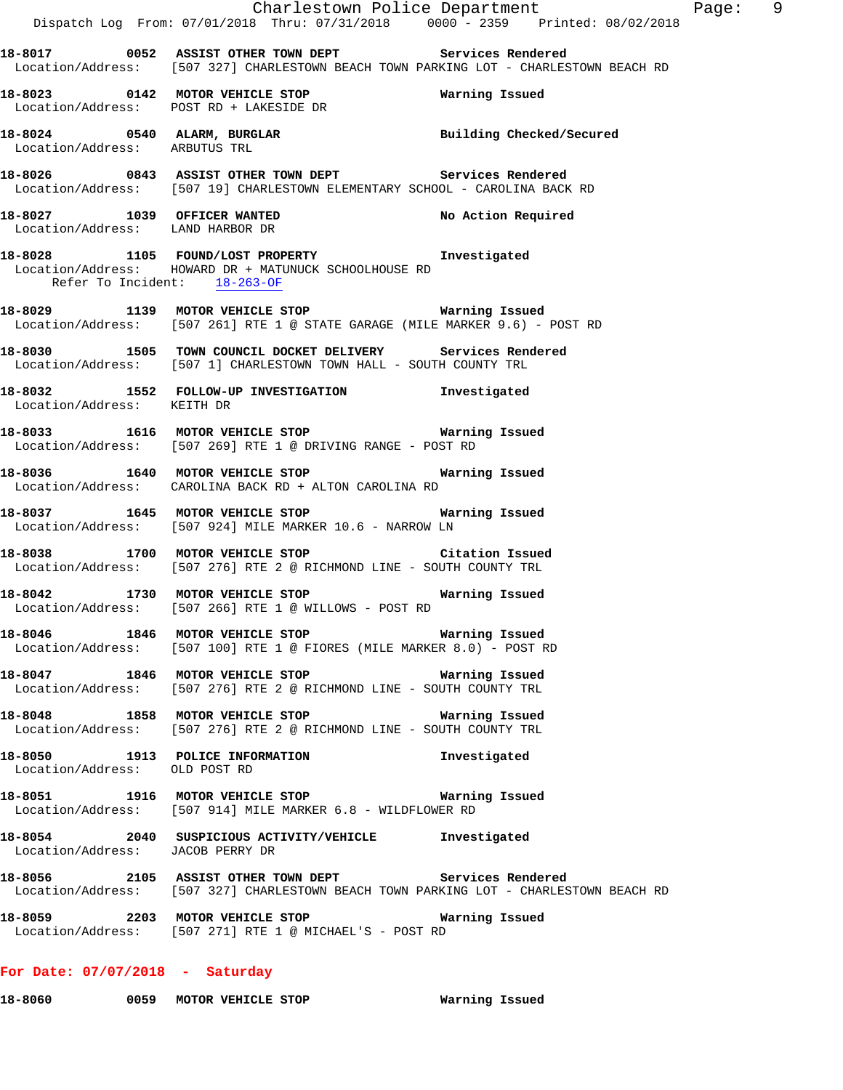|                                  | Dispatch Log From: 07/01/2018 Thru: 07/31/2018 0000 - 2359 Printed: 08/02/2018                                                                 | Charlestown Police Department Fage: 9 |  |
|----------------------------------|------------------------------------------------------------------------------------------------------------------------------------------------|---------------------------------------|--|
|                                  | 18-8017 0052 ASSIST OTHER TOWN DEPT Services Rendered<br>Location/Address: [507 327] CHARLESTOWN BEACH TOWN PARKING LOT - CHARLESTOWN BEACH RD |                                       |  |
|                                  | Location/Address: POST RD + LAKESIDE DR                                                                                                        |                                       |  |
|                                  | 18-8024   0540   ALARM, BURGLAR   Building Checked/Secured Location/Address: ARBUTUS TRL                                                       |                                       |  |
|                                  | 18-8026 1843 ASSIST OTHER TOWN DEPT Services Rendered<br>Location/Address: [507 19] CHARLESTOWN ELEMENTARY SCHOOL - CAROLINA BACK RD           |                                       |  |
|                                  | 18-8027 1039 OFFICER WANTED<br>Location/Address: LAND HARBOR DR                                                                                | No Action Required                    |  |
| Refer To Incident: 18-263-OF     | 18-8028 1105 FOUND/LOST PROPERTY 1nvestigated<br>Location/Address: HOWARD DR + MATUNUCK SCHOOLHOUSE RD                                         |                                       |  |
|                                  | 18-8029 1139 MOTOR VEHICLE STOP 6 Warning Issued<br>Location/Address: [507 261] RTE 1 @ STATE GARAGE (MILE MARKER 9.6) - POST RD               |                                       |  |
|                                  | 18-8030 1505 TOWN COUNCIL DOCKET DELIVERY Services Rendered<br>Location/Address: [507 1] CHARLESTOWN TOWN HALL - SOUTH COUNTY TRL              |                                       |  |
| Location/Address: KEITH DR       | 18-8032 1552 FOLLOW-UP INVESTIGATION 1nvestigated                                                                                              |                                       |  |
|                                  | 18-8033 1616 MOTOR VEHICLE STOP Warning Issued<br>Location/Address: [507 269] RTE 1 @ DRIVING RANGE - POST RD                                  |                                       |  |
|                                  | 18-8036 1640 MOTOR VEHICLE STOP <b>18-8036</b> Warning Issued<br>Location/Address: CAROLINA BACK RD + ALTON CAROLINA RD                        |                                       |  |
|                                  | 18-8037 1645 MOTOR VEHICLE STOP 18 Warning Issued<br>Location/Address: [507 924] MILE MARKER 10.6 - NARROW LN                                  |                                       |  |
|                                  | 18-8038 1700 MOTOR VEHICLE STOP Citation Issued<br>Location/Address: [507 276] RTE 2 @ RICHMOND LINE - SOUTH COUNTY TRL                        |                                       |  |
|                                  | 18-8042 1730 MOTOR VEHICLE STOP 6 Warning Issued<br>Location/Address: [507 266] RTE 1 @ WILLOWS - POST RD                                      |                                       |  |
|                                  | 18-8046 1846 MOTOR VEHICLE STOP <b>Marning Issued</b><br>Location/Address: [507 100] RTE 1 @ FIORES (MILE MARKER 8.0) - POST RD                |                                       |  |
|                                  | 18-8047 1846 MOTOR VEHICLE STOP 6 Warning Issued<br>Location/Address: [507 276] RTE 2 @ RICHMOND LINE - SOUTH COUNTY TRL                       |                                       |  |
|                                  | 18-8048 1858 MOTOR VEHICLE STOP <b>18-8048</b> Warning Issued<br>Location/Address: [507 276] RTE 2 @ RICHMOND LINE - SOUTH COUNTY TRL          |                                       |  |
| Location/Address: OLD POST RD    | 18-8050 1913 POLICE INFORMATION                                                                                                                | Investigated                          |  |
|                                  | 18-8051 1916 MOTOR VEHICLE STOP 6 Warning Issued<br>Location/Address: [507 914] MILE MARKER 6.8 - WILDFLOWER RD                                |                                       |  |
| Location/Address: JACOB PERRY DR | 18-8054 2040 SUSPICIOUS ACTIVITY/VEHICLE Investigated                                                                                          |                                       |  |
|                                  | 18-8056 2105 ASSIST OTHER TOWN DEPT Services Rendered<br>Location/Address: [507 327] CHARLESTOWN BEACH TOWN PARKING LOT - CHARLESTOWN BEACH RD |                                       |  |
|                                  | Location/Address: [507 271] RTE 1 @ MICHAEL'S - POST RD                                                                                        |                                       |  |
|                                  |                                                                                                                                                |                                       |  |

# **For Date: 07/07/2018 - Saturday**

**18-8060 0059 MOTOR VEHICLE STOP Warning Issued**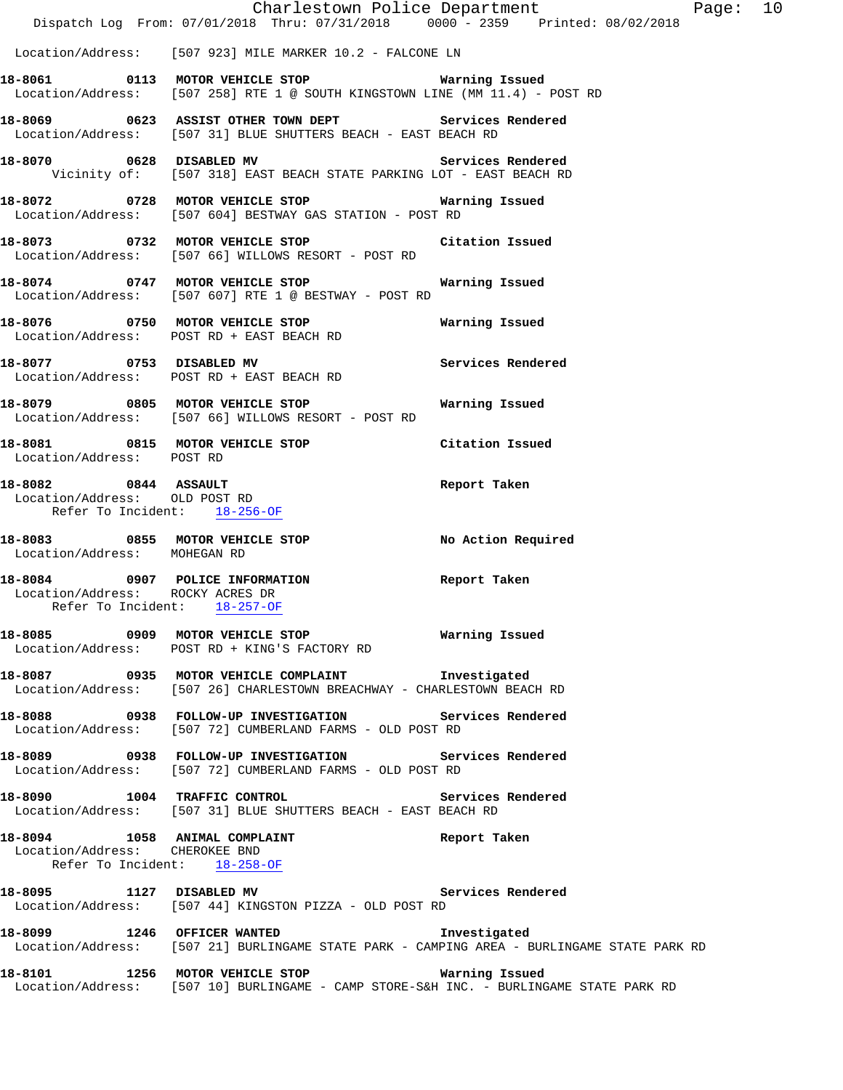|                                                                                                     |                                                                                                                                            | Charlestown Police Department The Rage: 10 |  |
|-----------------------------------------------------------------------------------------------------|--------------------------------------------------------------------------------------------------------------------------------------------|--------------------------------------------|--|
|                                                                                                     | Dispatch Log From: 07/01/2018 Thru: 07/31/2018   0000 - 2359   Printed: 08/02/2018                                                         |                                            |  |
|                                                                                                     | Location/Address: [507 923] MILE MARKER 10.2 - FALCONE LN                                                                                  |                                            |  |
|                                                                                                     | 18-8061  0113 MOTOR VEHICLE STOP    Varning Issued<br>Location/Address: [507 258] RTE 1 @ SOUTH KINGSTOWN LINE (MM 11.4) - POST RD         |                                            |  |
|                                                                                                     | 18-8069 0623 ASSIST OTHER TOWN DEPT Services Rendered<br>Location/Address: [507 31] BLUE SHUTTERS BEACH - EAST BEACH RD                    |                                            |  |
|                                                                                                     | 18-8070 0628 DISABLED MV Services Rendered<br>Vicinity of: [507 318] EAST BEACH STATE PARKING LOT - EAST BEACH RD                          |                                            |  |
|                                                                                                     | 18-8072 0728 MOTOR VEHICLE STOP 6 Warning Issued<br>Location/Address: [507 604] BESTWAY GAS STATION - POST RD                              |                                            |  |
|                                                                                                     | 18-8073 0732 MOTOR VEHICLE STOP Citation Issued<br>Location/Address: [507 66] WILLOWS RESORT - POST RD                                     |                                            |  |
|                                                                                                     | 18-8074 0747 MOTOR VEHICLE STOP<br>Location/Address: [507 607] RTE 1 @ BESTWAY - POST RD                                                   | Warning Issued                             |  |
|                                                                                                     | Location/Address: POST RD + EAST BEACH RD                                                                                                  |                                            |  |
| 18-8077 0753 DISABLED MV                                                                            | Location/Address: POST RD + EAST BEACH RD                                                                                                  | Services Rendered                          |  |
|                                                                                                     | Location/Address: [507 66] WILLOWS RESORT - POST RD                                                                                        |                                            |  |
| Location/Address: POST RD                                                                           | 18-8081 0815 MOTOR VEHICLE STOP                                                                                                            | Citation Issued                            |  |
| 18-8082 0844 ASSAULT<br>Location/Address: OLD POST RD<br>Refer To Incident: 18-256-OF               |                                                                                                                                            | Report Taken                               |  |
| Location/Address: MOHEGAN RD                                                                        | 18-8083 0855 MOTOR VEHICLE STOP No Action Required                                                                                         |                                            |  |
| 18-8084 0907 POLICE INFORMATION<br>Location/Address: ROCKY ACRES DR<br>Refer To Incident: 18-257-OF |                                                                                                                                            | Report Taken                               |  |
|                                                                                                     | 18-8085 0909 MOTOR VEHICLE STOP __________ Warning Issued<br>Location/Address: POST RD + KING'S FACTORY RD                                 |                                            |  |
|                                                                                                     | 18-8087 0935 MOTOR VEHICLE COMPLAINT 1nvestigated<br>Location/Address: [507 26] CHARLESTOWN BREACHWAY - CHARLESTOWN BEACH RD               |                                            |  |
|                                                                                                     | 18-8088 		 0938 FOLLOW-UP INVESTIGATION Services Rendered<br>Location/Address: [507 72] CUMBERLAND FARMS - OLD POST RD                     |                                            |  |
|                                                                                                     | 18-8089 0938 FOLLOW-UP INVESTIGATION Services Rendered<br>Location/Address: [507 72] CUMBERLAND FARMS - OLD POST RD                        |                                            |  |
|                                                                                                     | 18-8090 1004 TRAFFIC CONTROL Services Rendered<br>Location/Address: [507 31] BLUE SHUTTERS BEACH - EAST BEACH RD                           |                                            |  |
| Location/Address: CHEROKEE BND<br>Refer To Incident: 18-258-OF                                      | 18-8094 1058 ANIMAL COMPLAINT <b>18-8094</b> Report Taken                                                                                  |                                            |  |
|                                                                                                     | 18-8095 1127 DISABLED MV Services Rendered<br>Location/Address: [507 44] KINGSTON PIZZA - OLD POST RD                                      |                                            |  |
|                                                                                                     | 18-8099 1246 OFFICER WANTED<br>Location/Address: [507 21] BURLINGAME STATE PARK - CAMPING AREA - BURLINGAME STATE PARK RD                  | Investigated                               |  |
|                                                                                                     | 18-8101 1256 MOTOR VEHICLE STOP 6 Warning Issued<br>Location/Address: [507 10] BURLINGAME - CAMP STORE-S&H INC. - BURLINGAME STATE PARK RD |                                            |  |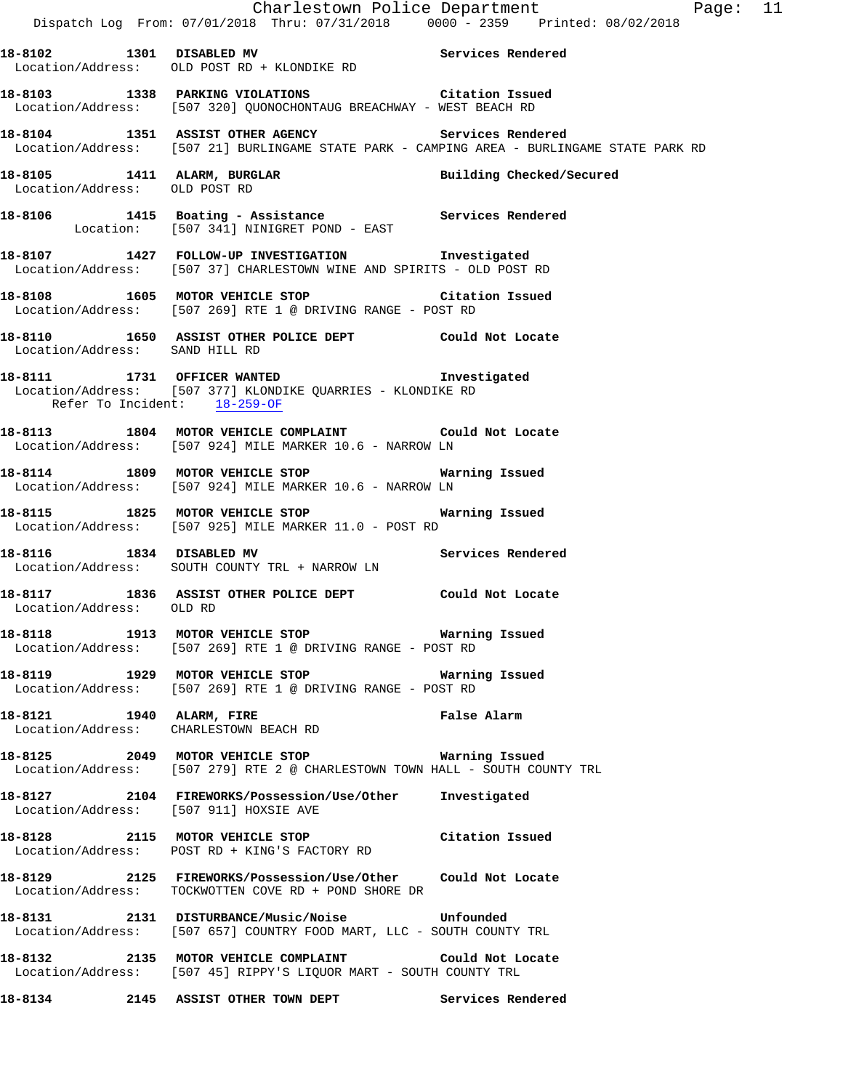|                                        |                                                                                                                                                  | Charlestown Police Department The Rage: 11 |  |
|----------------------------------------|--------------------------------------------------------------------------------------------------------------------------------------------------|--------------------------------------------|--|
|                                        | Dispatch Log From: 07/01/2018 Thru: 07/31/2018   0000 - 2359   Printed: 08/02/2018                                                               |                                            |  |
|                                        | 18-8102 1301 DISABLED MV 18-8102 Services Rendered<br>Location/Address: OLD POST RD + KLONDIKE RD                                                |                                            |  |
|                                        | 18-8103 1338 PARKING VIOLATIONS Citation Issued<br>Location/Address: [507 320] QUONOCHONTAUG BREACHWAY - WEST BEACH RD                           |                                            |  |
|                                        | 18-8104 1351 ASSIST OTHER AGENCY Services Rendered<br>Location/Address: [507 21] BURLINGAME STATE PARK - CAMPING AREA - BURLINGAME STATE PARK RD |                                            |  |
| Location/Address: OLD POST RD          | 18-8105 1411 ALARM, BURGLAR                                                                                                                      | Building Checked/Secured                   |  |
|                                        | 18-8106 1415 Boating - Assistance Services Rendered<br>Location: [507 341] NINIGRET POND - EAST                                                  |                                            |  |
|                                        | 18-8107 1427 FOLLOW-UP INVESTIGATION 1nvestigated<br>Location/Address: [507 37] CHARLESTOWN WINE AND SPIRITS - OLD POST RD                       |                                            |  |
|                                        | 18-8108 1605 MOTOR VEHICLE STOP THE Citation Issued<br>Location/Address: [507 269] RTE 1 @ DRIVING RANGE - POST RD                               |                                            |  |
| Location/Address: SAND HILL RD         | 18-8110 1650 ASSIST OTHER POLICE DEPT Could Not Locate                                                                                           |                                            |  |
| Refer To Incident: 18-259-OF           | 18-8111 1731 OFFICER WANTED<br>Location/Address: [507 377] KLONDIKE QUARRIES - KLONDIKE RD                                                       | Investigated                               |  |
|                                        | 18-8113 1804 MOTOR VEHICLE COMPLAINT Could Not Locate<br>Location/Address: [507 924] MILE MARKER 10.6 - NARROW LN                                |                                            |  |
|                                        | 18-8114 1809 MOTOR VEHICLE STOP <b>18-8114</b> Warning Issued<br>Location/Address: [507 924] MILE MARKER 10.6 - NARROW LN                        |                                            |  |
|                                        | 18-8115 1825 MOTOR VEHICLE STOP <b>18-8115</b> Warning Issued<br>Location/Address: [507 925] MILE MARKER 11.0 - POST RD                          |                                            |  |
| 18-8116 1834 DISABLED MV               | Services Rendered<br>Location/Address: SOUTH COUNTY TRL + NARROW LN                                                                              |                                            |  |
| Location/Address: OLD RD               | 18-8117 1836 ASSIST OTHER POLICE DEPT Could Not Locate                                                                                           |                                            |  |
|                                        | 18-8118 		 1913 MOTOR VEHICLE STOP 			 Warning Issued<br>Location/Address: [507 269] RTE 1 @ DRIVING RANGE - POST RD                             |                                            |  |
|                                        | Location/Address: [507 269] RTE 1 @ DRIVING RANGE - POST RD                                                                                      |                                            |  |
| 18-8121 1940 ALARM, FIRE               | Location/Address: CHARLESTOWN BEACH RD                                                                                                           | <b>False Alarm</b>                         |  |
|                                        | 18-8125 2049 MOTOR VEHICLE STOP 6 Warning Issued<br>Location/Address: [507 279] RTE 2 @ CHARLESTOWN TOWN HALL - SOUTH COUNTY TRL                 |                                            |  |
| Location/Address: [507 911] HOXSIE AVE | 18-8127 2104 FIREWORKS/Possession/Use/Other Investigated                                                                                         |                                            |  |
|                                        | 18-8128 2115 MOTOR VEHICLE STOP<br>Location/Address: POST RD + KING'S FACTORY RD                                                                 | Citation Issued                            |  |
|                                        | 18-8129 2125 FIREWORKS/Possession/Use/Other Could Not Locate<br>Location/Address: TOCKWOTTEN COVE RD + POND SHORE DR                             |                                            |  |
|                                        | 18-8131  2131 DISTURBANCE/Music/Noise  Unfounded<br>Location/Address: [507 657] COUNTRY FOOD MART, LLC - SOUTH COUNTY TRL                        |                                            |  |
|                                        | Location/Address: [507 45] RIPPY'S LIQUOR MART - SOUTH COUNTY TRL                                                                                |                                            |  |
| 18-8134                                | 2145 ASSIST OTHER TOWN DEPT                                                                                                                      | Services Rendered                          |  |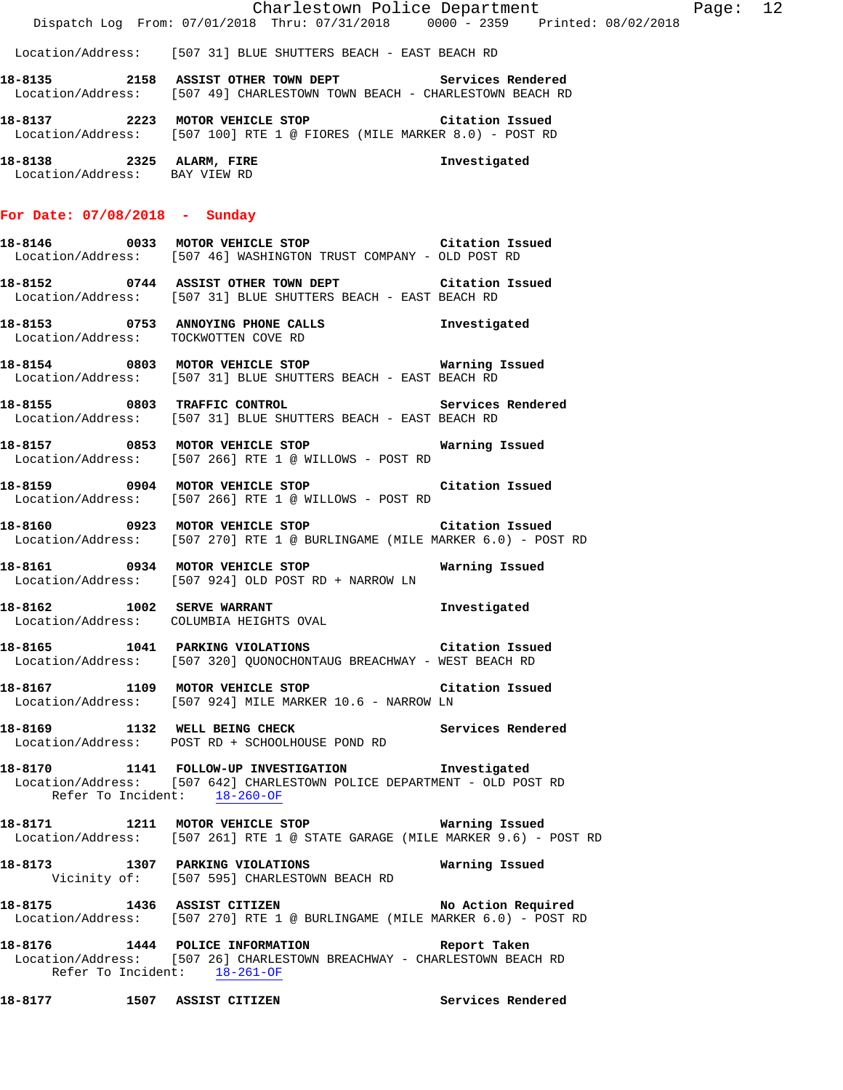Location/Address: [507 31] BLUE SHUTTERS BEACH - EAST BEACH RD

**18-8135 2158 ASSIST OTHER TOWN DEPT Services Rendered**  Location/Address: [507 49] CHARLESTOWN TOWN BEACH - CHARLESTOWN BEACH RD

**18-8137 2223 MOTOR VEHICLE STOP Citation Issued**  Location/Address: [507 100] RTE 1 @ FIORES (MILE MARKER 8.0) - POST RD

**18-8138 2325 ALARM, FIRE Investigated**  Location/Address: BAY VIEW RD

### **For Date: 07/08/2018 - Sunday**

**18-8146 0033 MOTOR VEHICLE STOP Citation Issued**  Location/Address: [507 46] WASHINGTON TRUST COMPANY - OLD POST RD

**18-8152 0744 ASSIST OTHER TOWN DEPT Citation Issued**  Location/Address: [507 31] BLUE SHUTTERS BEACH - EAST BEACH RD

**18-8153 0753 ANNOYING PHONE CALLS Investigated**  Location/Address: TOCKWOTTEN COVE RD

**18-8154 0803 MOTOR VEHICLE STOP Warning Issued**  Location/Address: [507 31] BLUE SHUTTERS BEACH - EAST BEACH RD

**18-8155 0803 TRAFFIC CONTROL Services Rendered**  Location/Address: [507 31] BLUE SHUTTERS BEACH - EAST BEACH RD

**18-8157 0853 MOTOR VEHICLE STOP Warning Issued**  Location/Address: [507 266] RTE 1 @ WILLOWS - POST RD

**18-8159 0904 MOTOR VEHICLE STOP Citation Issued**  Location/Address: [507 266] RTE 1 @ WILLOWS - POST RD

**18-8160 0923 MOTOR VEHICLE STOP Citation Issued**  Location/Address: [507 270] RTE 1 @ BURLINGAME (MILE MARKER 6.0) - POST RD

**18-8161 0934 MOTOR VEHICLE STOP Warning Issued**  Location/Address: [507 924] OLD POST RD + NARROW LN

**18-8162 1002 SERVE WARRANT Investigated**  Location/Address: COLUMBIA HEIGHTS OVAL

**18-8165 1041 PARKING VIOLATIONS Citation Issued**  Location/Address: [507 320] QUONOCHONTAUG BREACHWAY - WEST BEACH RD

**18-8167 1109 MOTOR VEHICLE STOP Citation Issued**  Location/Address: [507 924] MILE MARKER 10.6 - NARROW LN

18-8169 **1132** WELL BEING CHECK **Services Rendered** Location/Address: POST RD + SCHOOLHOUSE POND RD

**18-8170 1141 FOLLOW-UP INVESTIGATION Investigated**  Location/Address: [507 642] CHARLESTOWN POLICE DEPARTMENT - OLD POST RD Refer To Incident: 18-260-OF

**18-8171 1211 MOTOR VEHICLE STOP Warning Issued**  Location/Address: [507 261] RTE 1 @ STATE GARAGE (MILE MARKER 9.6) - POST RD

**18-8173 1307 PARKING VIOLATIONS Warning Issued**  Vicinity of: [507 595] CHARLESTOWN BEACH RD

**18-8175 1436 ASSIST CITIZEN No Action Required**  Location/Address: [507 270] RTE 1 @ BURLINGAME (MILE MARKER 6.0) - POST RD

**18-8176 1444 POLICE INFORMATION Report Taken**  Location/Address: [507 26] CHARLESTOWN BREACHWAY - CHARLESTOWN BEACH RD Refer To Incident: 18-261-OF

**18-8177 1507 ASSIST CITIZEN Services Rendered**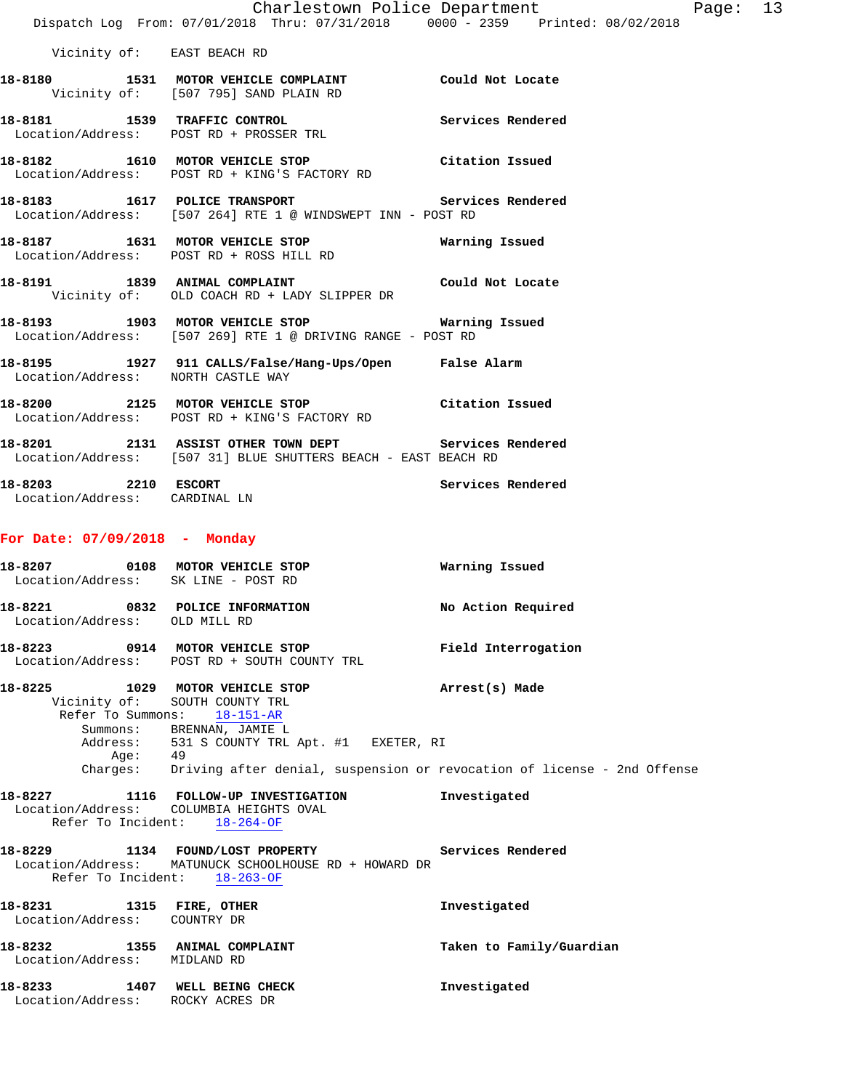|                                                                        | Charlestown Police Department<br>Dispatch Log From: 07/01/2018 Thru: 07/31/2018 0000 - 2359 Printed: 08/02/2018         |                          | Page: 13 |  |
|------------------------------------------------------------------------|-------------------------------------------------------------------------------------------------------------------------|--------------------------|----------|--|
| Vicinity of: EAST BEACH RD                                             |                                                                                                                         |                          |          |  |
|                                                                        | 18-8180 1531 MOTOR VEHICLE COMPLAINT Could Not Locate<br>Vicinity of: [507 795] SAND PLAIN RD                           |                          |          |  |
|                                                                        | 18-8181 1539 TRAFFIC CONTROL<br>Location/Address: POST RD + PROSSER TRL                                                 | Services Rendered        |          |  |
|                                                                        | 18-8182 1610 MOTOR VEHICLE STOP<br>Location/Address: POST RD + KING'S FACTORY RD                                        | Citation Issued          |          |  |
|                                                                        | 18-8183 1617 POLICE TRANSPORT<br>Location/Address: [507 264] RTE 1 @ WINDSWEPT INN - POST RD                            | Services Rendered        |          |  |
|                                                                        |                                                                                                                         | Warning Issued           |          |  |
|                                                                        | 18-8191 1839 ANIMAL COMPLAINT The Could Not Locate<br>Vicinity of: OLD COACH RD + LADY SLIPPER DR                       |                          |          |  |
|                                                                        | Location/Address: [507 269] RTE 1 @ DRIVING RANGE - POST RD                                                             |                          |          |  |
| Location/Address: NORTH CASTLE WAY                                     | 18-8195 1927 911 CALLS/False/Hang-Ups/Open False Alarm                                                                  |                          |          |  |
|                                                                        | 18-8200 2125 MOTOR VEHICLE STOP Citation Issued<br>Location/Address: POST RD + KING'S FACTORY RD                        |                          |          |  |
|                                                                        | 18-8201 2131 ASSIST OTHER TOWN DEPT Services Rendered<br>Location/Address: [507 31] BLUE SHUTTERS BEACH - EAST BEACH RD |                          |          |  |
| 18-8203 2210 ESCORT<br>Location/Address: CARDINAL LN                   |                                                                                                                         | Services Rendered        |          |  |
| For Date: $07/09/2018$ - Monday                                        |                                                                                                                         |                          |          |  |
| 18-8207 0108 MOTOR VEHICLE STOP<br>Location/Address: SK LINE - POST RD |                                                                                                                         | Warning Issued           |          |  |
| 18-8221 0832 POLICE INFORMATION<br>Location/Address: OLD MILL RD       |                                                                                                                         | No Action Required       |          |  |
| 18-8223                                                                | 0914 MOTOR VEHICLE STOP<br>Location/Address: POST RD + SOUTH COUNTY TRL                                                 | Field Interrogation      |          |  |
| 18-8225 1029 MOTOR VEHICLE STOP<br>Refer To Summons:                   | Vicinity of: SOUTH COUNTY TRL<br>18-151-AR<br>Summons: BRENNAN, JAMIE L<br>Address: 531 S COUNTY TRL Apt. #1 EXETER, RI | Arrest(s) Made           |          |  |
| Age: 49                                                                | Charges: Driving after denial, suspension or revocation of license - 2nd Offense                                        |                          |          |  |
| Location/Address: COLUMBIA HEIGHTS OVAL<br>Refer To Incident:          | 18-8227 1116 FOLLOW-UP INVESTIGATION<br>$18 - 264 - OF$                                                                 | Investigated             |          |  |
| Refer To Incident: 18-263-OF                                           | 18-8229 1134 FOUND/LOST PROPERTY<br>Location/Address: MATUNUCK SCHOOLHOUSE RD + HOWARD DR                               | Services Rendered        |          |  |
| 18-8231 1315 FIRE, OTHER<br>Location/Address: COUNTRY DR               |                                                                                                                         | Investigated             |          |  |
| 18-8232 1355 ANIMAL COMPLAINT<br>Location/Address: MIDLAND RD          |                                                                                                                         | Taken to Family/Guardian |          |  |

18-8233 1407 WELL BEING CHECK **Investigated** Location/Address: ROCKY ACRES DR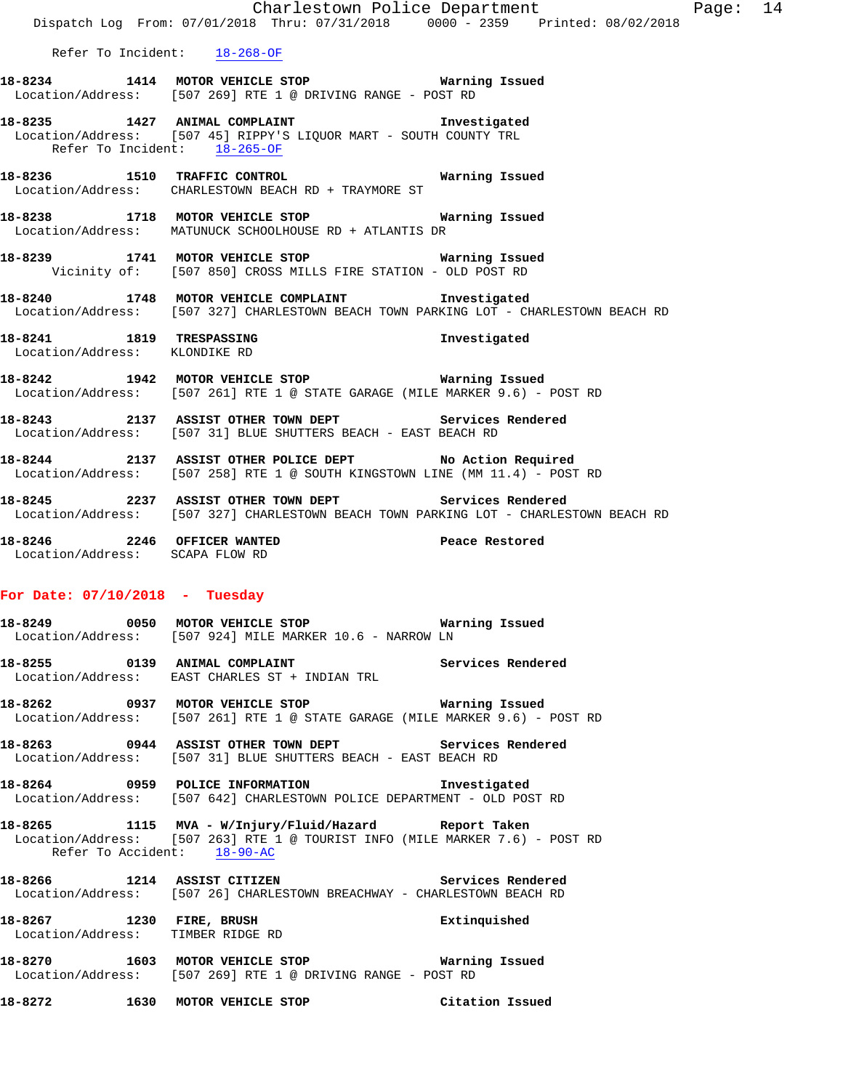|                                  | Dispatch Log From: 07/01/2018 Thru: 07/31/2018 0000 - 2359 Printed: 08/02/2018                                                                 | Charlestown Police Department | Page: 14 |  |
|----------------------------------|------------------------------------------------------------------------------------------------------------------------------------------------|-------------------------------|----------|--|
|                                  | Refer To Incident: 18-268-OF                                                                                                                   |                               |          |  |
|                                  | 18-8234 1414 MOTOR VEHICLE STOP 6 Warning Issued<br>Location/Address: [507 269] RTE 1 @ DRIVING RANGE - POST RD                                |                               |          |  |
| Refer To Incident: 18-265-OF     | 18-8235 1427 ANIMAL COMPLAINT 18-8235 Investigated<br>Location/Address: [507 45] RIPPY'S LIQUOR MART - SOUTH COUNTY TRL                        |                               |          |  |
|                                  | 18-8236 1510 TRAFFIC CONTROL 18-8236<br>Location/Address: CHARLESTOWN BEACH RD + TRAYMORE ST                                                   |                               |          |  |
|                                  | 18-8238 1718 MOTOR VEHICLE STOP Warning Issued<br>Location/Address: MATUNUCK SCHOOLHOUSE RD + ATLANTIS DR                                      |                               |          |  |
|                                  | 18-8239 1741 MOTOR VEHICLE STOP 6 Warning Issued<br>Vicinity of: [507 850] CROSS MILLS FIRE STATION - OLD POST RD                              |                               |          |  |
|                                  | 18-8240 1748 MOTOR VEHICLE COMPLAINT Investigated<br>Location/Address: [507 327] CHARLESTOWN BEACH TOWN PARKING LOT - CHARLESTOWN BEACH RD     |                               |          |  |
| Location/Address: KLONDIKE RD    | 18-8241 1819 TRESPASSING                                                                                                                       | Investigated                  |          |  |
|                                  | 18-8242 1942 MOTOR VEHICLE STOP <b>WATILLE STOP</b><br>Location/Address: [507 261] RTE 1 @ STATE GARAGE (MILE MARKER 9.6) - POST RD            |                               |          |  |
|                                  | 18-8243 2137 ASSIST OTHER TOWN DEPT Services Rendered<br>Location/Address: [507 31] BLUE SHUTTERS BEACH - EAST BEACH RD                        |                               |          |  |
|                                  | 18-8244 2137 ASSIST OTHER POLICE DEPT No Action Required<br>Location/Address: [507 258] RTE 1 @ SOUTH KINGSTOWN LINE (MM 11.4) - POST RD       |                               |          |  |
|                                  | 18-8245 2237 ASSIST OTHER TOWN DEPT Services Rendered<br>Location/Address: [507 327] CHARLESTOWN BEACH TOWN PARKING LOT - CHARLESTOWN BEACH RD |                               |          |  |
| Location/Address: SCAPA FLOW RD  | 18-8246 2246 OFFICER WANTED Peace Restored                                                                                                     |                               |          |  |
| For Date: $07/10/2018$ - Tuesday |                                                                                                                                                |                               |          |  |
|                                  | Location/Address: [507 924] MILE MARKER 10.6 - NARROW LN                                                                                       |                               |          |  |
|                                  | 18-8255 0139 ANIMAL COMPLAINT Services Rendered<br>Location/Address: EAST CHARLES ST + INDIAN TRL                                              |                               |          |  |
|                                  | 18-8262 0937 MOTOR VEHICLE STOP <b>Matricular Manus</b> Issued<br>Location/Address: [507 261] RTE 1 @ STATE GARAGE (MILE MARKER 9.6) - POST RD |                               |          |  |
|                                  | 18-8263 0944 ASSIST OTHER TOWN DEPT Services Rendered<br>Location/Address: [507 31] BLUE SHUTTERS BEACH - EAST BEACH RD                        |                               |          |  |
|                                  | 18-8264 0959 POLICE INFORMATION Investigated<br>Location/Address: [507 642] CHARLESTOWN POLICE DEPARTMENT - OLD POST RD                        |                               |          |  |
|                                  |                                                                                                                                                |                               |          |  |

**18-8265 1115 MVA - W/Injury/Fluid/Hazard Report Taken**  Location/Address: [507 263] RTE 1 @ TOURIST INFO (MILE MARKER 7.6) - POST RD Refer To Accident: 18-90-AC

**18-8266 1214 ASSIST CITIZEN Services Rendered**  Location/Address: [507 26] CHARLESTOWN BREACHWAY - CHARLESTOWN BEACH RD

**18-8267 1230 FIRE, BRUSH Extinquished**  Location/Address: TIMBER RIDGE RD

**18-8270 1603 MOTOR VEHICLE STOP Warning Issued**  Location/Address: [507 269] RTE 1 @ DRIVING RANGE - POST RD

**18-8272 1630 MOTOR VEHICLE STOP Citation Issued**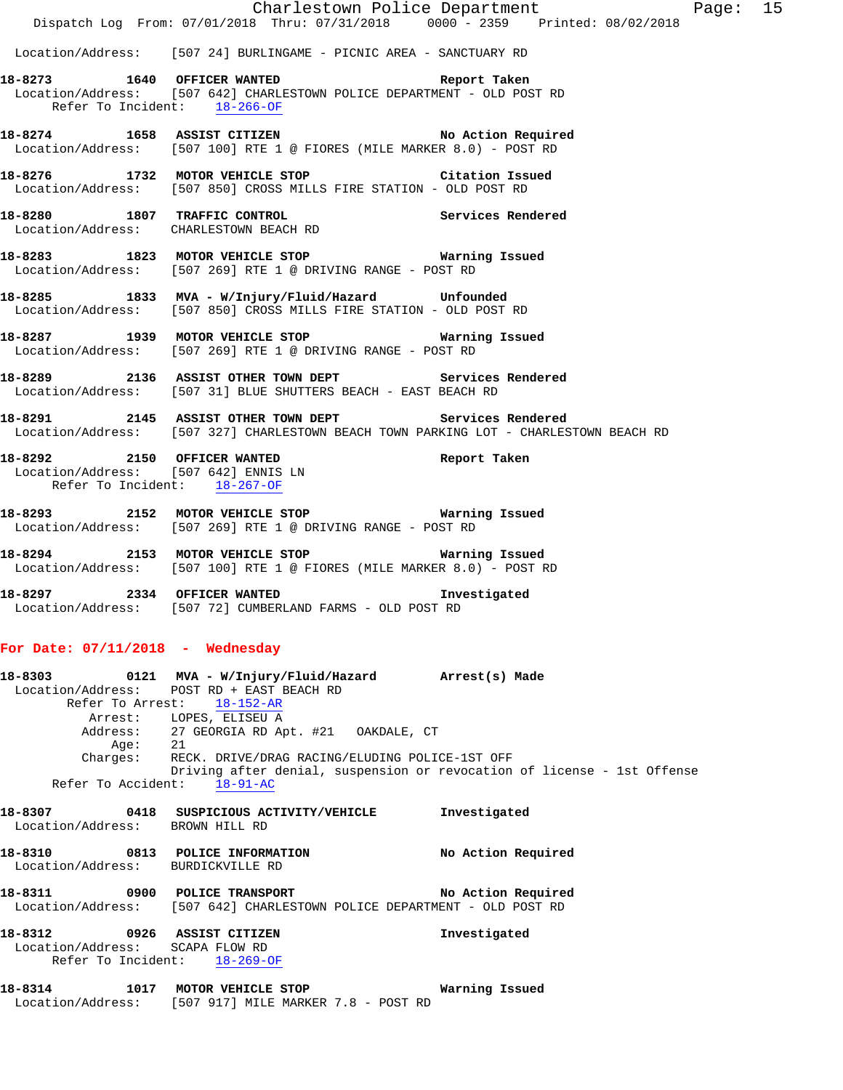|                                | Dispatch Log From: 07/01/2018 Thru: 07/31/2018 0000 - 2359 Printed: 08/02/2018                                                                             | Charlestown Police Department                                           | Page: 15 |  |
|--------------------------------|------------------------------------------------------------------------------------------------------------------------------------------------------------|-------------------------------------------------------------------------|----------|--|
|                                | Location/Address: [507 24] BURLINGAME - PICNIC AREA - SANCTUARY RD                                                                                         |                                                                         |          |  |
|                                | 18-8273 1640 OFFICER WANTED <b>Report Taken</b><br>Location/Address: [507 642] CHARLESTOWN POLICE DEPARTMENT - OLD POST RD<br>Refer To Incident: 18-266-OF |                                                                         |          |  |
|                                | 18-8274 1658 ASSIST CITIZEN No Action Required<br>Location/Address: [507 100] RTE 1 @ FIORES (MILE MARKER 8.0) - POST RD                                   |                                                                         |          |  |
|                                | 18-8276 1732 MOTOR VEHICLE STOP Citation Issued<br>Location/Address: [507 850] CROSS MILLS FIRE STATION - OLD POST RD                                      |                                                                         |          |  |
|                                | 18-8280 1807 TRAFFIC CONTROL CONTROL Services Rendered Location/Address: CHARLESTOWN BEACH RD                                                              |                                                                         |          |  |
|                                | 18-8283 1823 MOTOR VEHICLE STOP 18 Warning Issued<br>Location/Address: [507 269] RTE 1 @ DRIVING RANGE - POST RD                                           |                                                                         |          |  |
|                                | 18-8285 1833 MVA - W/Injury/Fluid/Hazard Unfounded<br>Location/Address: [507 850] CROSS MILLS FIRE STATION - OLD POST RD                                   |                                                                         |          |  |
|                                | 18-8287 1939 MOTOR VEHICLE STOP <b>WATER WATER</b><br>Location/Address: [507 269] RTE 1 @ DRIVING RANGE - POST RD                                          |                                                                         |          |  |
|                                | 18-8289 2136 ASSIST OTHER TOWN DEPT Services Rendered<br>Location/Address: [507 31] BLUE SHUTTERS BEACH - EAST BEACH RD                                    |                                                                         |          |  |
|                                | 18-8291 2145 ASSIST OTHER TOWN DEPT Services Rendered<br>Location/Address: [507 327] CHARLESTOWN BEACH TOWN PARKING LOT - CHARLESTOWN BEACH RD             |                                                                         |          |  |
|                                | 18-8292 2150 OFFICER WANTED<br>Location/Address: [507 642] ENNIS LN<br>Refer To Incident: 18-267-OF                                                        | Report Taken                                                            |          |  |
|                                | 18-8293 2152 MOTOR VEHICLE STOP Warning Issued<br>Location/Address: [507 269] RTE 1 @ DRIVING RANGE - POST RD                                              |                                                                         |          |  |
|                                | 18-8294 2153 MOTOR VEHICLE STOP <b>Warning Issued</b><br>Location/Address: [507 100] RTE 1 @ FIORES (MILE MARKER 8.0) - POST RD                            |                                                                         |          |  |
|                                | 18-8297 2334 OFFICER WANTED<br>Location/Address: [507 72] CUMBERLAND FARMS - OLD POST RD                                                                   | Investigated                                                            |          |  |
|                                | For Date: $07/11/2018$ - Wednesday                                                                                                                         |                                                                         |          |  |
| Refer To Arrest:               | 18-8303   0121 MVA - W/Injury/Fluid/Hazard Arrest(s) Made<br>Location/Address: POST RD + EAST BEACH RD<br>$18 - 152 - AR$                                  |                                                                         |          |  |
| Age: 21                        | Arrest: LOPES, ELISEU A<br>Address: 27 GEORGIA RD Apt. #21 OAKDALE, CT                                                                                     |                                                                         |          |  |
| Charges:<br>Refer To Accident: | RECK. DRIVE/DRAG RACING/ELUDING POLICE-1ST OFF<br>$18 - 91 - AC$                                                                                           | Driving after denial, suspension or revocation of license - 1st Offense |          |  |
|                                | 18-8307 0418 SUSPICIOUS ACTIVITY/VEHICLE<br>Location/Address: BROWN HILL RD                                                                                | Investigated                                                            |          |  |
|                                | 18-8310 0813 POLICE INFORMATION<br>Location/Address: BURDICKVILLE RD                                                                                       | No Action Required                                                      |          |  |
|                                | 18-8311 0900 POLICE TRANSPORT<br>Location/Address: [507 642] CHARLESTOWN POLICE DEPARTMENT - OLD POST RD                                                   | No Action Required                                                      |          |  |
|                                | Location/Address: SCAPA FLOW RD<br>Refer To Incident: 18-269-OF                                                                                            | Investigated                                                            |          |  |
|                                | 18-8314 1017 MOTOR VEHICLE STOP<br>Location/Address: [507 917] MILE MARKER 7.8 - POST RD                                                                   | Warning Issued                                                          |          |  |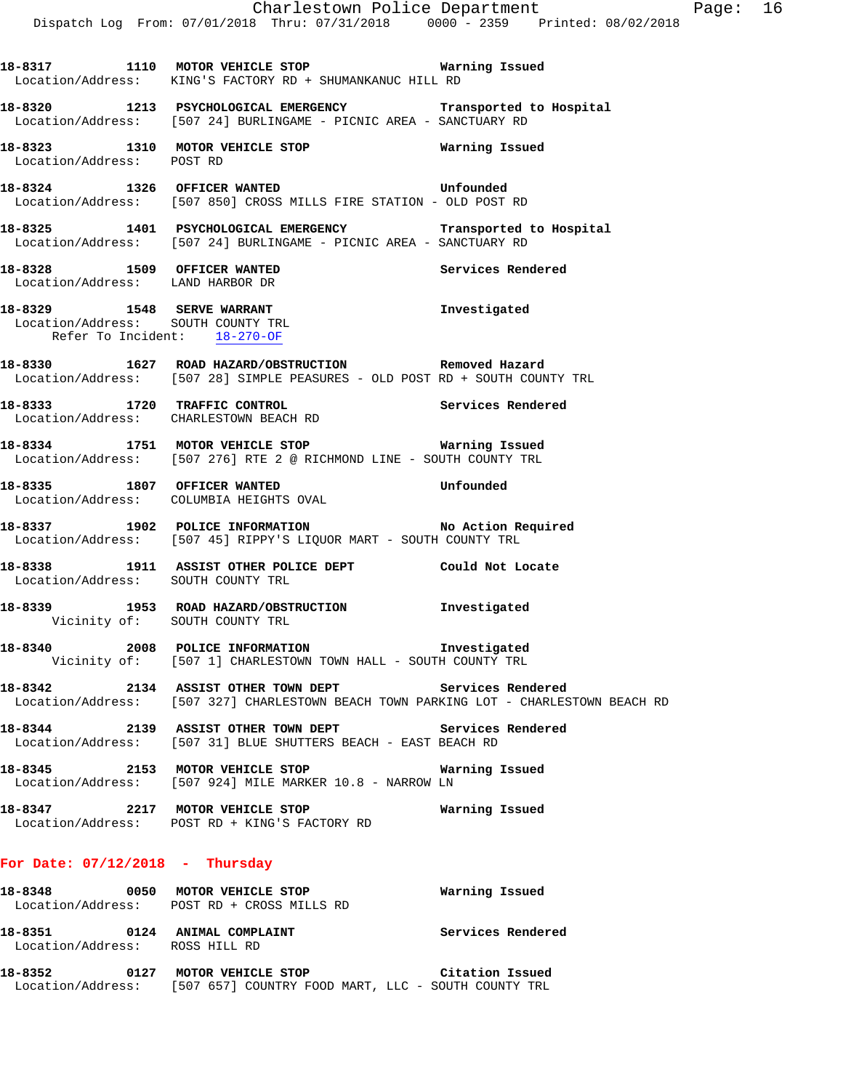**18-8317 1110 MOTOR VEHICLE STOP Warning Issued**  Location/Address: KING'S FACTORY RD + SHUMANKANUC HILL RD **18-8320 1213 PSYCHOLOGICAL EMERGENCY Transported to Hospital**  Location/Address: [507 24] BURLINGAME - PICNIC AREA - SANCTUARY RD **18-8323 1310 MOTOR VEHICLE STOP Warning Issued**  Location/Address: POST RD **18-8324 1326 OFFICER WANTED Unfounded**  Location/Address: [507 850] CROSS MILLS FIRE STATION - OLD POST RD **18-8325 1401 PSYCHOLOGICAL EMERGENCY Transported to Hospital**  Location/Address: [507 24] BURLINGAME - PICNIC AREA - SANCTUARY RD 18-8328 1509 OFFICER WANTED **18-8328** Services Rendered Location/Address: LAND HARBOR DR **18-8329 1548 SERVE WARRANT Investigated**  Location/Address: SOUTH COUNTY TRL Refer To Incident: 18-270-OF **18-8330 1627 ROAD HAZARD/OBSTRUCTION Removed Hazard**  Location/Address: [507 28] SIMPLE PEASURES - OLD POST RD + SOUTH COUNTY TRL **18-8333 1720 TRAFFIC CONTROL Services Rendered**  Location/Address: CHARLESTOWN BEACH RD **18-8334 1751 MOTOR VEHICLE STOP Warning Issued**  Location/Address: [507 276] RTE 2 @ RICHMOND LINE - SOUTH COUNTY TRL **18-8335 1807 OFFICER WANTED Unfounded**  Location/Address: COLUMBIA HEIGHTS OVAL **18-8337 1902 POLICE INFORMATION No Action Required**  Location/Address: [507 45] RIPPY'S LIQUOR MART - SOUTH COUNTY TRL **18-8338 1911 ASSIST OTHER POLICE DEPT Could Not Locate**  Location/Address: SOUTH COUNTY TRL **18-8339 1953 ROAD HAZARD/OBSTRUCTION Investigated**  Vicinity of: SOUTH COUNTY TRL **18-8340 2008 POLICE INFORMATION Investigated**  Vicinity of: [507 1] CHARLESTOWN TOWN HALL - SOUTH COUNTY TRL **18-8342 2134 ASSIST OTHER TOWN DEPT Services Rendered**  Location/Address: [507 327] CHARLESTOWN BEACH TOWN PARKING LOT - CHARLESTOWN BEACH RD **18-8344 2139 ASSIST OTHER TOWN DEPT Services Rendered**  Location/Address: [507 31] BLUE SHUTTERS BEACH - EAST BEACH RD **18-8345 2153 MOTOR VEHICLE STOP Warning Issued**  Location/Address: [507 924] MILE MARKER 10.8 - NARROW LN **18-8347 2217 MOTOR VEHICLE STOP Warning Issued**  Location/Address: POST RD + KING'S FACTORY RD

### **For Date: 07/12/2018 - Thursday**

| 18-8348 | 0050         | MOTOR VEHICLE STOP<br>Location/Address: POST RD + CROSS MILLS RD | Warning Issued              |
|---------|--------------|------------------------------------------------------------------|-----------------------------|
| 18-8351 | 0124         | ANIMAL COMPLAINT<br>Location/Address: ROSS HILL RD               | Services Rendered           |
| 10-0353 | <b>01.27</b> | MOTOD UEUICIE CTOD                                               | $A_{i+1}$ $A_{i}$ $A_{i+1}$ |

### **18-8352 0127 MOTOR VEHICLE STOP Citation Issued**  Location/Address: [507 657] COUNTRY FOOD MART, LLC - SOUTH COUNTY TRL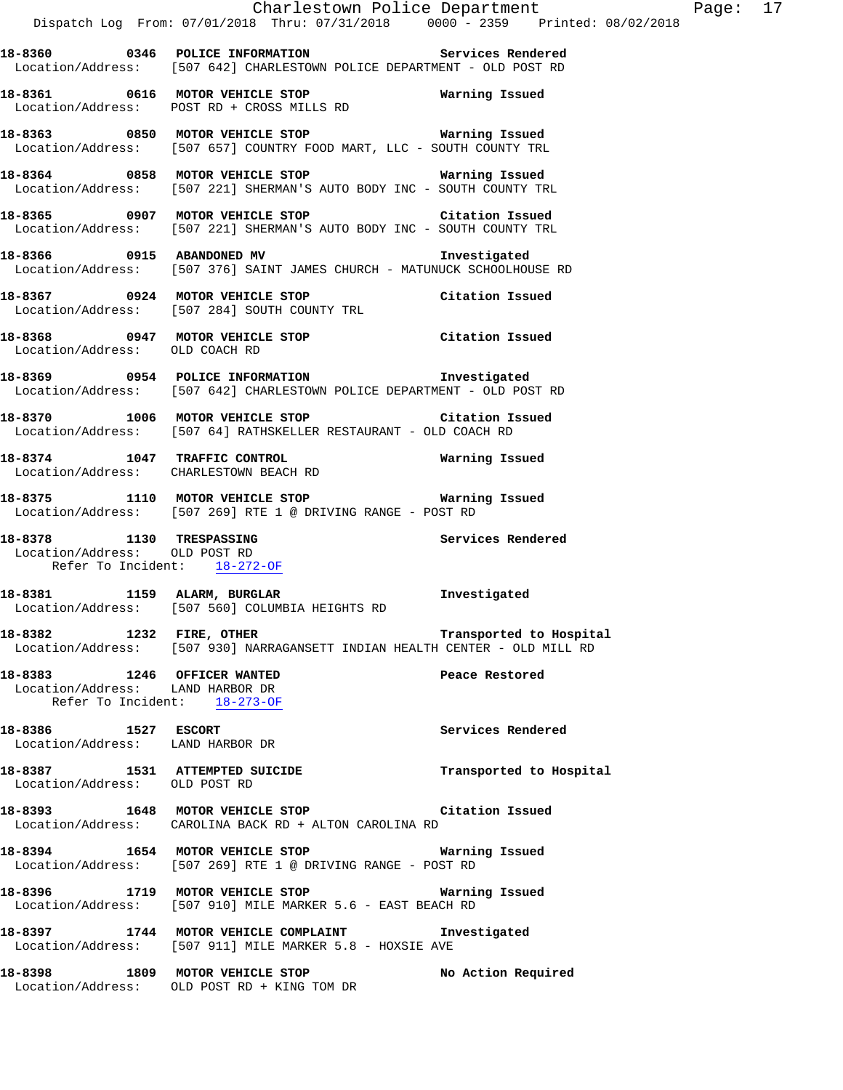**18-8363 0850 MOTOR VEHICLE STOP Warning Issued**  Location/Address: [507 657] COUNTRY FOOD MART, LLC - SOUTH COUNTY TRL

Location/Address: POST RD + CROSS MILLS RD

**18-8364 0858 MOTOR VEHICLE STOP Warning Issued**  Location/Address: [507 221] SHERMAN'S AUTO BODY INC - SOUTH COUNTY TRL

**18-8365 0907 MOTOR VEHICLE STOP Citation Issued**  Location/Address: [507 221] SHERMAN'S AUTO BODY INC - SOUTH COUNTY TRL

**18-8366 0915 ABANDONED MV Investigated**  Location/Address: [507 376] SAINT JAMES CHURCH - MATUNUCK SCHOOLHOUSE RD

**18-8367 0924 MOTOR VEHICLE STOP Citation Issued**  Location/Address: [507 284] SOUTH COUNTY TRL

**18-8368 0947 MOTOR VEHICLE STOP Citation Issued**  Location/Address: OLD COACH RD

**18-8369 0954 POLICE INFORMATION Investigated**  Location/Address: [507 642] CHARLESTOWN POLICE DEPARTMENT - OLD POST RD

**18-8370 1006 MOTOR VEHICLE STOP Citation Issued**  Location/Address: [507 64] RATHSKELLER RESTAURANT - OLD COACH RD

**18-8374 1047 TRAFFIC CONTROL Warning Issued**  Location/Address: CHARLESTOWN BEACH RD

**18-8375 1110 MOTOR VEHICLE STOP Warning Issued**  Location/Address: [507 269] RTE 1 @ DRIVING RANGE - POST RD

**18-8378 1130 TRESPASSING Services Rendered**  Location/Address: OLD POST RD Refer To Incident: 18-272-OF

**18-8381 1159 ALARM, BURGLAR Investigated**  Location/Address: [507 560] COLUMBIA HEIGHTS RD

**18-8382 1232 FIRE, OTHER Transported to Hospital**  Location/Address: [507 930] NARRAGANSETT INDIAN HEALTH CENTER - OLD MILL RD

**18-8383 1246 OFFICER WANTED Peace Restored**  Location/Address: LAND HARBOR DR Refer To Incident: 18-273-OF

**18-8386 1527 ESCORT Services Rendered**  Location/Address: LAND HARBOR DR

**18-8387 1531 ATTEMPTED SUICIDE Transported to Hospital**  Location/Address: OLD POST RD

**18-8393 1648 MOTOR VEHICLE STOP Citation Issued**  Location/Address: CAROLINA BACK RD + ALTON CAROLINA RD

**18-8394 1654 MOTOR VEHICLE STOP Warning Issued**  Location/Address: [507 269] RTE 1 @ DRIVING RANGE - POST RD

**18-8396 1719 MOTOR VEHICLE STOP Warning Issued**  Location/Address: [507 910] MILE MARKER 5.6 - EAST BEACH RD

**18-8397 1744 MOTOR VEHICLE COMPLAINT Investigated**  Location/Address: [507 911] MILE MARKER 5.8 - HOXSIE AVE

**18-8398 1809 MOTOR VEHICLE STOP No Action Required**  Location/Address: OLD POST RD + KING TOM DR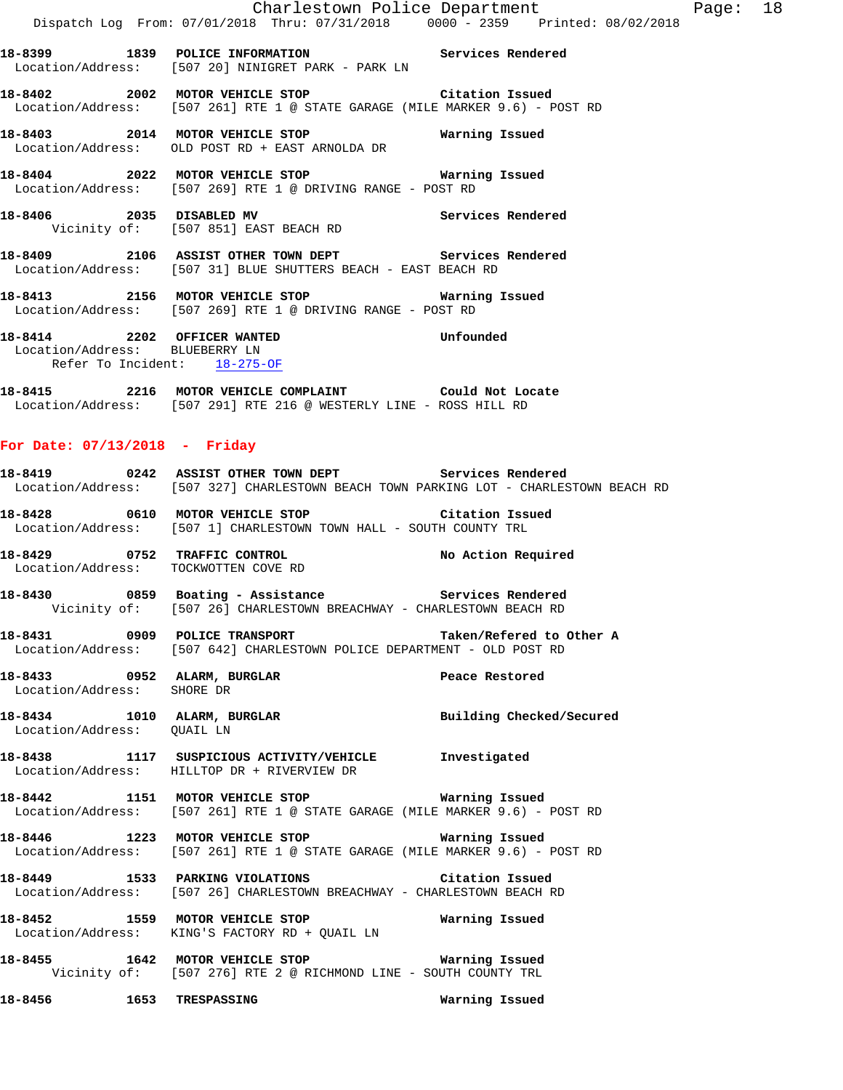|                                                                |                  |                                                                                                                             | Charlestown Police Department Page: 18<br>Dispatch Log From: 07/01/2018 Thru: 07/31/2018 0000 - 2359 Printed: 08/02/2018 |  |
|----------------------------------------------------------------|------------------|-----------------------------------------------------------------------------------------------------------------------------|--------------------------------------------------------------------------------------------------------------------------|--|
|                                                                |                  | 18-8399 1839 POLICE INFORMATION Services Rendered<br>Location/Address: [507 20] NINIGRET PARK - PARK LN                     |                                                                                                                          |  |
|                                                                |                  | 18-8402 2002 MOTOR VEHICLE STOP Citation Issued                                                                             | Location/Address: [507 261] RTE 1 @ STATE GARAGE (MILE MARKER 9.6) - POST RD                                             |  |
|                                                                |                  | 18-8403 2014 MOTOR VEHICLE STOP 6 Warning Issued<br>Location/Address: OLD POST RD + EAST ARNOLDA DR                         |                                                                                                                          |  |
|                                                                |                  | 18-8404 2022 MOTOR VEHICLE STOP Warning Issued<br>Location/Address: [507 269] RTE 1 @ DRIVING RANGE - POST RD               |                                                                                                                          |  |
|                                                                |                  | 18-8406 2035 DISABLED MV Services Rendered<br>Vicinity of: [507 851] EAST BEACH RD                                          |                                                                                                                          |  |
|                                                                |                  | 18-8409 2106 ASSIST OTHER TOWN DEPT Services Rendered<br>Location/Address: [507 31] BLUE SHUTTERS BEACH - EAST BEACH RD     |                                                                                                                          |  |
|                                                                |                  | 18-8413 2156 MOTOR VEHICLE STOP 6 Warning Issued<br>Location/Address: [507 269] RTE 1 @ DRIVING RANGE - POST RD             |                                                                                                                          |  |
| Location/Address: BLUEBERRY LN<br>Refer To Incident: 18-275-OF |                  | 18-8414 2202 OFFICER WANTED<br>Location/Address: BLUEBERRY LN                                                               | Unfounded                                                                                                                |  |
|                                                                |                  | 18-8415 2216 MOTOR VEHICLE COMPLAINT Could Not Locate<br>Location/Address: [507 291] RTE 216 @ WESTERLY LINE - ROSS HILL RD |                                                                                                                          |  |
| For Date: $07/13/2018$ - Friday                                |                  |                                                                                                                             |                                                                                                                          |  |
|                                                                |                  | 18-8419 		 0242 ASSIST OTHER TOWN DEPT Services Rendered                                                                    | Location/Address: [507 327] CHARLESTOWN BEACH TOWN PARKING LOT - CHARLESTOWN BEACH RD                                    |  |
|                                                                |                  | 18-8428 0610 MOTOR VEHICLE STOP Citation Issued<br>Location/Address: [507 1] CHARLESTOWN TOWN HALL - SOUTH COUNTY TRL       |                                                                                                                          |  |
| Location/Address: TOCKWOTTEN COVE RD                           |                  | 18-8429 0752 TRAFFIC CONTROL No Action Required                                                                             |                                                                                                                          |  |
|                                                                |                  | 18-8430 0859 Boating - Assistance Services Rendered<br>Vicinity of: [507 26] CHARLESTOWN BREACHWAY - CHARLESTOWN BEACH RD   |                                                                                                                          |  |
|                                                                |                  | Location/Address: [507 642] CHARLESTOWN POLICE DEPARTMENT - OLD POST RD                                                     |                                                                                                                          |  |
| Location/Address: SHORE DR                                     |                  | 18-8433 0952 ALARM, BURGLAR 2000 Peace Restored                                                                             |                                                                                                                          |  |
| Location/Address: QUAIL LN                                     |                  |                                                                                                                             | 18-8434 1010 ALARM, BURGLAR Building Checked/Secured                                                                     |  |
| Location/Address: HILLTOP DR + RIVERVIEW DR                    |                  | 18-8438 1117 SUSPICIOUS ACTIVITY/VEHICLE Investigated                                                                       |                                                                                                                          |  |
|                                                                |                  | 18-8442 1151 MOTOR VEHICLE STOP 60 Warning Issued                                                                           | Location/Address: [507 261] RTE 1 @ STATE GARAGE (MILE MARKER 9.6) - POST RD                                             |  |
|                                                                |                  | 18-8446 1223 MOTOR VEHICLE STOP 6 Warning Issued                                                                            | Location/Address: [507 261] RTE 1 @ STATE GARAGE (MILE MARKER 9.6) - POST RD                                             |  |
|                                                                |                  | 18-8449 1533 PARKING VIOLATIONS Citation Issued<br>Location/Address: [507 26] CHARLESTOWN BREACHWAY - CHARLESTOWN BEACH RD  |                                                                                                                          |  |
| Location/Address: KING'S FACTORY RD + QUAIL LN                 |                  | 18-8452 1559 MOTOR VEHICLE STOP 6 Warning Issued                                                                            |                                                                                                                          |  |
|                                                                |                  | 18-8455 1642 MOTOR VEHICLE STOP 18-8455<br>Vicinity of: [507 276] RTE 2 @ RICHMOND LINE - SOUTH COUNTY TRL                  |                                                                                                                          |  |
| 18-8456                                                        | 1653 TRESPASSING |                                                                                                                             | Warning Issued                                                                                                           |  |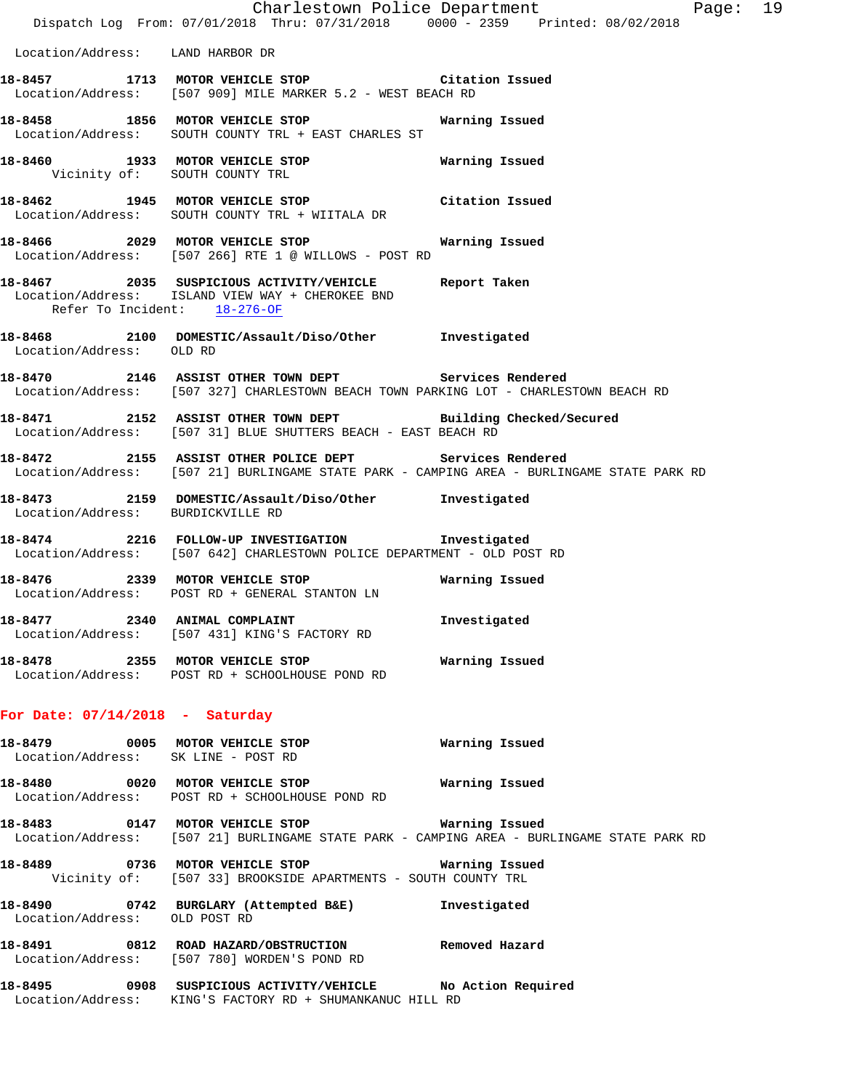|                                     | Dispatch Log From: 07/01/2018 Thru: 07/31/2018 0000 - 2359 Printed: 08/02/2018                                                                        | Charlestown Police Department | Page: 19 |  |
|-------------------------------------|-------------------------------------------------------------------------------------------------------------------------------------------------------|-------------------------------|----------|--|
| Location/Address: LAND HARBOR DR    |                                                                                                                                                       |                               |          |  |
|                                     | 18-8457 1713 MOTOR VEHICLE STOP Citation Issued<br>Location/Address: [507 909] MILE MARKER 5.2 - WEST BEACH RD                                        |                               |          |  |
|                                     | 18-8458 1856 MOTOR VEHICLE STOP<br>Location/Address: SOUTH COUNTY TRL + EAST CHARLES ST                                                               | Warning Issued                |          |  |
|                                     | 18-8460 1933 MOTOR VEHICLE STOP 6 Warning Issued<br>Vicinity of: SOUTH COUNTY TRL                                                                     |                               |          |  |
|                                     | 18-8462 1945 MOTOR VEHICLE STOP Citation Issued<br>Location/Address: SOUTH COUNTY TRL + WIITALA DR                                                    |                               |          |  |
|                                     | 18-8466 2029 MOTOR VEHICLE STOP<br>Location/Address: [507 266] RTE 1 @ WILLOWS - POST RD                                                              | Warning Issued                |          |  |
| Refer To Incident: 18-276-OF        | 18-8467 2035 SUSPICIOUS ACTIVITY/VEHICLE Report Taken<br>Location/Address: ISLAND VIEW WAY + CHEROKEE BND                                             |                               |          |  |
| Location/Address: OLD RD            | 18-8468 2100 DOMESTIC/Assault/Diso/Other Investigated                                                                                                 |                               |          |  |
|                                     | 18-8470 2146 ASSIST OTHER TOWN DEPT Services Rendered<br>Location/Address: [507 327] CHARLESTOWN BEACH TOWN PARKING LOT - CHARLESTOWN BEACH RD        |                               |          |  |
|                                     | 18-8471 2152 ASSIST OTHER TOWN DEPT Building Checked/Secured<br>Location/Address: [507 31] BLUE SHUTTERS BEACH - EAST BEACH RD                        |                               |          |  |
|                                     | 18-8472 2155 ASSIST OTHER POLICE DEPT Services Rendered<br>Location/Address: [507 21] BURLINGAME STATE PARK - CAMPING AREA - BURLINGAME STATE PARK RD |                               |          |  |
| Location/Address: BURDICKVILLE RD   | 18-8473  2159 DOMESTIC/Assault/Diso/Other  Investigated                                                                                               |                               |          |  |
|                                     | 18-8474 2216 FOLLOW-UP INVESTIGATION Investigated<br>Location/Address: [507 642] CHARLESTOWN POLICE DEPARTMENT - OLD POST RD                          |                               |          |  |
|                                     | 18-8476 2339 MOTOR VEHICLE STOP<br>Location/Address: POST RD + GENERAL STANTON LN                                                                     | Warning Issued                |          |  |
|                                     | 18-8477 2340 ANIMAL COMPLAINT<br>Location/Address: [507 431] KING'S FACTORY RD                                                                        | Investigated                  |          |  |
|                                     | Location/Address: POST RD + SCHOOLHOUSE POND RD                                                                                                       |                               |          |  |
| For Date: $07/14/2018$ - Saturday   |                                                                                                                                                       |                               |          |  |
| Location/Address: SK LINE - POST RD | 18-8479 0005 MOTOR VEHICLE STOP                                                                                                                       | Warning Issued                |          |  |
|                                     | 18-8480 0020 MOTOR VEHICLE STOP<br>Location/Address: POST RD + SCHOOLHOUSE POND RD                                                                    | Warning Issued                |          |  |
|                                     | Location/Address: [507 21] BURLINGAME STATE PARK - CAMPING AREA - BURLINGAME STATE PARK RD                                                            |                               |          |  |
|                                     | 18-8489   0736   MOTOR VEHICLE STOP   Warning Issued<br>Vicinity of: [507 33] BROOKSIDE APARTMENTS - SOUTH COUNTY TRL                                 |                               |          |  |
| Location/Address: OLD POST RD       | 18-8490 0742 BURGLARY (Attempted B&E) Investigated                                                                                                    |                               |          |  |
|                                     | 18-8491 0812 ROAD HAZARD/OBSTRUCTION Removed Hazard<br>Location/Address: [507 780] WORDEN'S POND RD                                                   |                               |          |  |
|                                     | 18-8495 		 0908 SUSPICIOUS ACTIVITY/VEHICLE 		 No Action Required<br>Location/Address: KING'S FACTORY RD + SHUMANKANUC HILL RD                        |                               |          |  |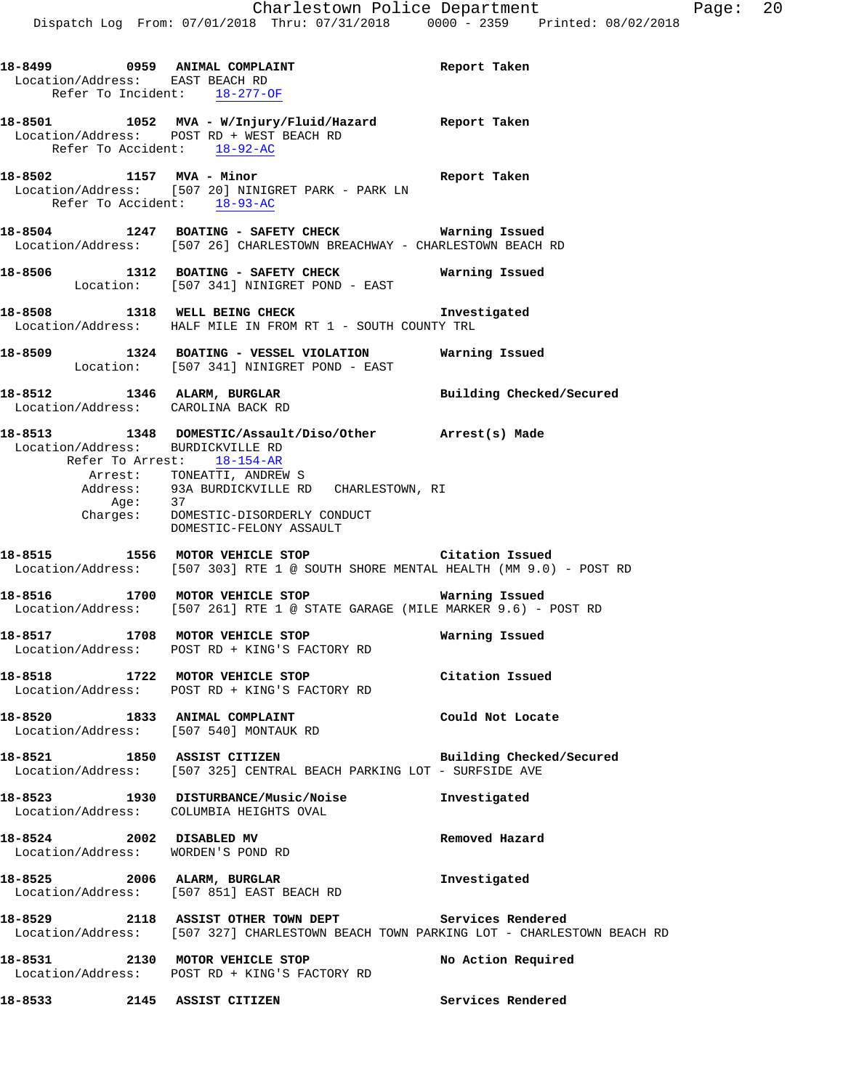|  | 18-8499 0959 ANIMAL COMPLAINT<br>Location/Address: EAST BEACH RD<br>Refer To Incident: 18-277-OF                                                   | Report Taken             |
|--|----------------------------------------------------------------------------------------------------------------------------------------------------|--------------------------|
|  | 18-8501 1052 MVA - W/Injury/Fluid/Hazard Report Taken<br>Location/Address: POST RD + WEST BEACH RD<br>Refer To Accident: 18-92-AC                  |                          |
|  | 18-8502 1157 MVA - Minor<br>Location/Address: [507 20] NINIGRET PARK - PARK LN<br>Refer To Accident: 18-93-AC                                      | Report Taken             |
|  | 18-8504 1247 BOATING - SAFETY CHECK Warning Issued<br>Location/Address: [507 26] CHARLESTOWN BREACHWAY - CHARLESTOWN BEACH RD                      |                          |
|  | 18-8506 1312 BOATING - SAFETY CHECK Warning Issued<br>Location: [507 341] NINIGRET POND - EAST                                                     |                          |
|  | 18-8508 1318 WELL BEING CHECK 10 Investigated<br>Location/Address: HALF MILE IN FROM RT 1 - SOUTH COUNTY TRL                                       |                          |
|  | 18-8509 1324 BOATING - VESSEL VIOLATION Warning Issued<br>Location: [507 341] NINIGRET POND - EAST                                                 |                          |
|  | 18-8512 1346 ALARM, BURGLAR<br>Location/Address: CAROLINA BACK RD                                                                                  | Building Checked/Secured |
|  | 18-8513 1348 DOMESTIC/Assault/Diso/Other Arrest(s) Made<br>Location/Address: BURDICKVILLE RD<br>Refer To Arrest: 18-154-AR                         |                          |
|  | Arrest: TONEATTI, ANDREW S                                                                                                                         |                          |
|  | Address: 93A BURDICKVILLE RD CHARLESTOWN, RI<br>Age: 37                                                                                            |                          |
|  | Charges: DOMESTIC-DISORDERLY CONDUCT<br>DOMESTIC-FELONY ASSAULT                                                                                    |                          |
|  | 18-8515 1556 MOTOR VEHICLE STOP <b>18-8515</b> Citation Issued<br>Location/Address: [507 303] RTE 1 @ SOUTH SHORE MENTAL HEALTH (MM 9.0) - POST RD |                          |
|  | 18-8516 1700 MOTOR VEHICLE STOP WATNING ISSUED NARRIES: [507 261] RTE 1 @ STATE GARAGE (MILE MARKER 9.6) - POST RD                                 |                          |
|  | 18-8517 1708 MOTOR VEHICLE STOP<br>Location/Address: POST RD + KING'S FACTORY RD                                                                   | Warning Issued           |
|  | 18-8518 1722 MOTOR VEHICLE STOP<br>Location/Address: POST RD + KING'S FACTORY RD                                                                   | Citation Issued          |
|  | 18-8520 1833 ANIMAL COMPLAINT<br>Location/Address: [507 540] MONTAUK RD                                                                            | Could Not Locate         |
|  | 18-8521 1850 ASSIST CITIZEN<br>Location/Address: [507 325] CENTRAL BEACH PARKING LOT - SURFSIDE AVE                                                | Building Checked/Secured |
|  | 18-8523 1930 DISTURBANCE/Music/Noise<br>Location/Address: COLUMBIA HEIGHTS OVAL                                                                    | Investigated             |
|  | 18-8524 2002 DISABLED MV<br>Location/Address: WORDEN'S POND RD                                                                                     | Removed Hazard           |
|  | 18-8525 2006 ALARM, BURGLAR<br>Location/Address: [507 851] EAST BEACH RD                                                                           | Investigated             |
|  | 18-8529 2118 ASSIST OTHER TOWN DEPT Services Rendered<br>Location/Address: [507 327] CHARLESTOWN BEACH TOWN PARKING LOT - CHARLESTOWN BEACH RD     |                          |
|  | 18-8531 2130 MOTOR VEHICLE STOP<br>Location/Address: POST RD + KING'S FACTORY RD                                                                   | No Action Required       |
|  | 18-8533 2145 ASSIST CITIZEN                                                                                                                        | Services Rendered        |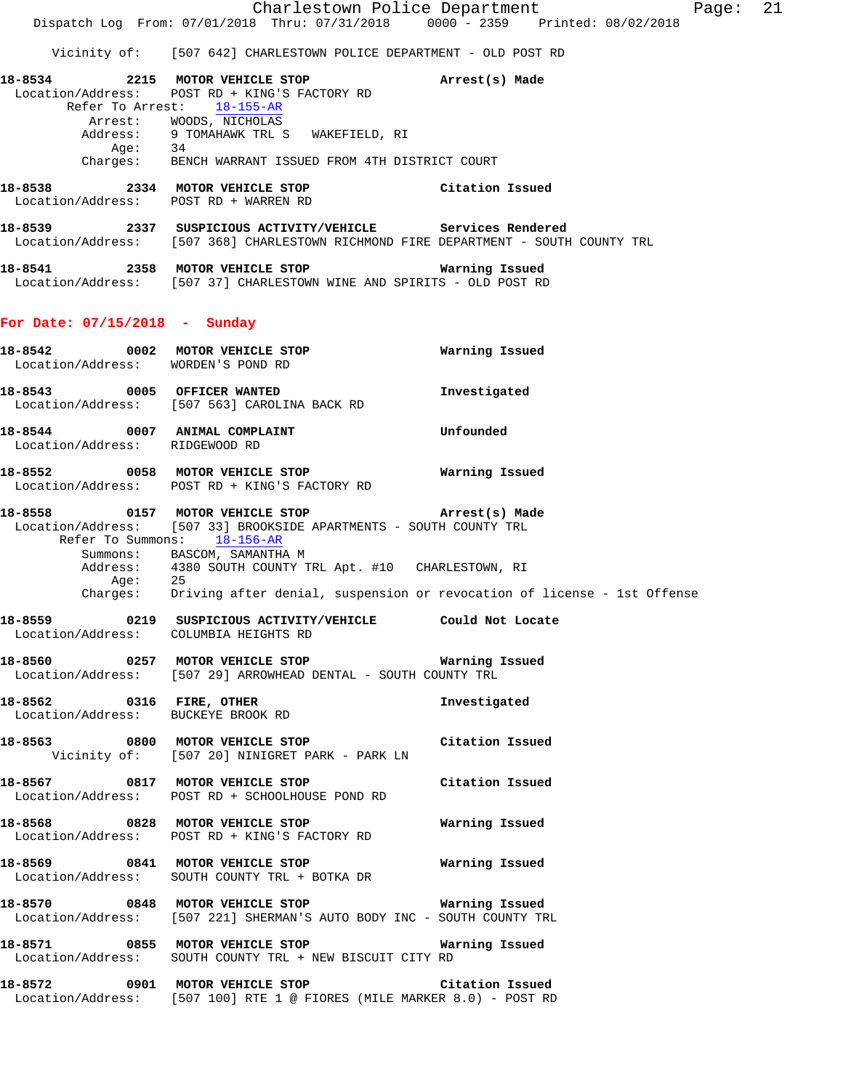Charlestown Police Department Fage: 21 Dispatch Log From: 07/01/2018 Thru: 07/31/2018 0000 - 2359 Printed: 08/02/2018 Vicinity of: [507 642] CHARLESTOWN POLICE DEPARTMENT - OLD POST RD **18-8534 2215 MOTOR VEHICLE STOP Arrest(s) Made**  Location/Address: POST RD + KING'S FACTORY RD Refer To Arrest: 18-155-AR Arrest: WOODS, NICHOLAS Address: 9 TOMAHAWK TRL S WAKEFIELD, RI Age: 34 Charges: BENCH WARRANT ISSUED FROM 4TH DISTRICT COURT **18-8538 2334 MOTOR VEHICLE STOP Citation Issued**  Location/Address: POST RD + WARREN RD **18-8539 2337 SUSPICIOUS ACTIVITY/VEHICLE Services Rendered**  Location/Address: [507 368] CHARLESTOWN RICHMOND FIRE DEPARTMENT - SOUTH COUNTY TRL **18-8541 2358 MOTOR VEHICLE STOP Warning Issued**  Location/Address: [507 37] CHARLESTOWN WINE AND SPIRITS - OLD POST RD **For Date: 07/15/2018 - Sunday 18-8542 0002 MOTOR VEHICLE STOP Warning Issued**  Location/Address: WORDEN'S POND RD **18-8543 0005 OFFICER WANTED Investigated**  Location/Address: [507 563] CAROLINA BACK RD **18-8544 0007 ANIMAL COMPLAINT Unfounded**  Location/Address: RIDGEWOOD RD **18-8552 0058 MOTOR VEHICLE STOP Warning Issued**  Location/Address: POST RD + KING'S FACTORY RD **18-8558 0157 MOTOR VEHICLE STOP Arrest(s) Made**  Location/Address: [507 33] BROOKSIDE APARTMENTS - SOUTH COUNTY TRL Refer To Summons: 18-156-AR Summons: BASCOM, SAMANTHA M Address: 4380 SOUTH COUNTY TRL Apt. #10 CHARLESTOWN, RI Age: 25 Charges: Driving after denial, suspension or revocation of license - 1st Offense **18-8559 0219 SUSPICIOUS ACTIVITY/VEHICLE Could Not Locate**  Location/Address: COLUMBIA HEIGHTS RD **18-8560 0257 MOTOR VEHICLE STOP Warning Issued**  Location/Address: [507 29] ARROWHEAD DENTAL - SOUTH COUNTY TRL

**18-8562 0316 FIRE, OTHER Investigated**  Location/Address: BUCKEYE BROOK RD

**18-8563 0800 MOTOR VEHICLE STOP Citation Issued**  Vicinity of: [507 20] NINIGRET PARK - PARK LN

**18-8567 0817 MOTOR VEHICLE STOP Citation Issued**  Location/Address: POST RD + SCHOOLHOUSE POND RD

**18-8568 0828 MOTOR VEHICLE STOP Warning Issued**  Location/Address: POST RD + KING'S FACTORY RD

**18-8569 0841 MOTOR VEHICLE STOP Warning Issued**  Location/Address: SOUTH COUNTY TRL + BOTKA DR

**18-8570 0848 MOTOR VEHICLE STOP Warning Issued**  Location/Address: [507 221] SHERMAN'S AUTO BODY INC - SOUTH COUNTY TRL

**18-8571 0855 MOTOR VEHICLE STOP Warning Issued**  Location/Address: SOUTH COUNTY TRL + NEW BISCUIT CITY RD

**18-8572 0901 MOTOR VEHICLE STOP Citation Issued**  Location/Address: [507 100] RTE 1 @ FIORES (MILE MARKER 8.0) - POST RD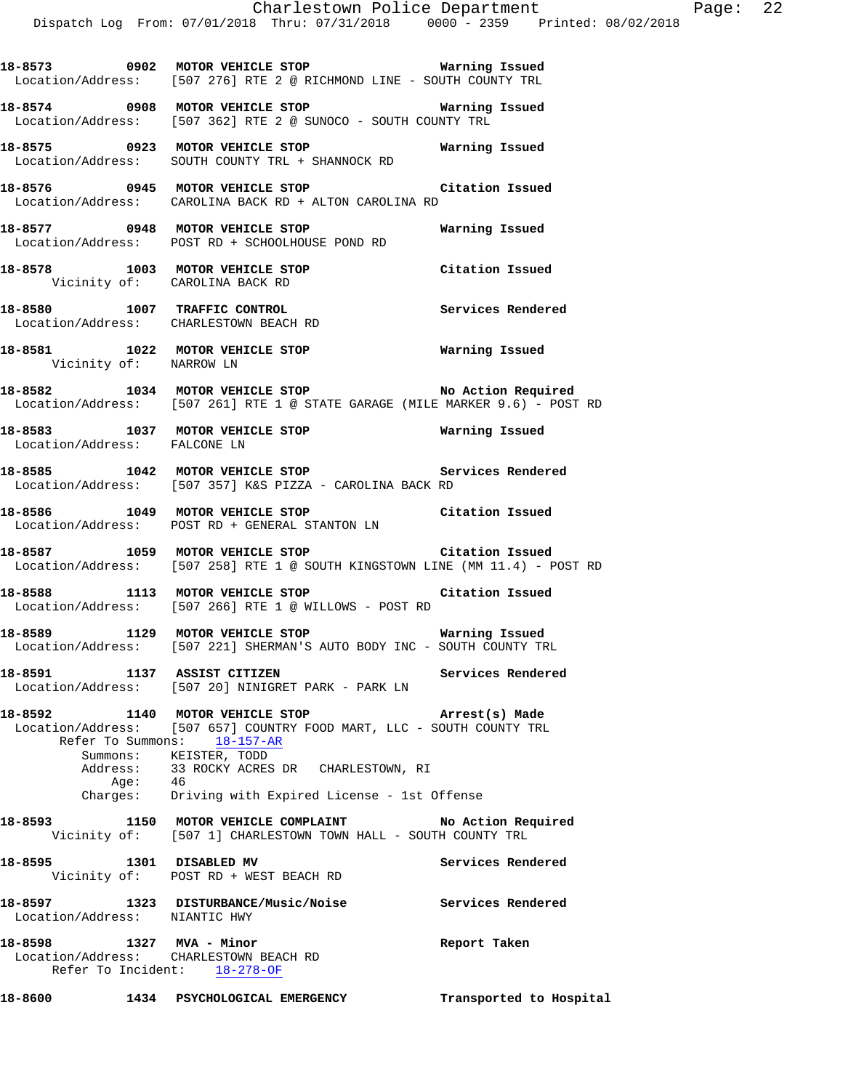**18-8573 0902 MOTOR VEHICLE STOP Warning Issued** 

 Location/Address: [507 276] RTE 2 @ RICHMOND LINE - SOUTH COUNTY TRL **18-8574 0908 MOTOR VEHICLE STOP Warning Issued**  Location/Address: [507 362] RTE 2 @ SUNOCO - SOUTH COUNTY TRL **18-8575 0923 MOTOR VEHICLE STOP Warning Issued**  Location/Address: SOUTH COUNTY TRL + SHANNOCK RD **18-8576 0945 MOTOR VEHICLE STOP Citation Issued**  Location/Address: CAROLINA BACK RD + ALTON CAROLINA RD **18-8577 0948 MOTOR VEHICLE STOP Warning Issued**  Location/Address: POST RD + SCHOOLHOUSE POND RD **18-8578 1003 MOTOR VEHICLE STOP Citation Issued**  Vicinity of: CAROLINA BACK RD **18-8580 1007 TRAFFIC CONTROL Services Rendered**  Location/Address: CHARLESTOWN BEACH RD **18-8581 1022 MOTOR VEHICLE STOP Warning Issued**  Vicinity of: NARROW LN **18-8582 1034 MOTOR VEHICLE STOP No Action Required**  Location/Address: [507 261] RTE 1 @ STATE GARAGE (MILE MARKER 9.6) - POST RD **18-8583 1037 MOTOR VEHICLE STOP Warning Issued**  Location/Address: FALCONE LN **18-8585 1042 MOTOR VEHICLE STOP Services Rendered**  Location/Address: [507 357] K&S PIZZA - CAROLINA BACK RD **18-8586 1049 MOTOR VEHICLE STOP Citation Issued**  Location/Address: POST RD + GENERAL STANTON LN **18-8587 1059 MOTOR VEHICLE STOP Citation Issued**  Location/Address: [507 258] RTE 1 @ SOUTH KINGSTOWN LINE (MM 11.4) - POST RD **18-8588 1113 MOTOR VEHICLE STOP Citation Issued**  Location/Address: [507 266] RTE 1 @ WILLOWS - POST RD **18-8589 1129 MOTOR VEHICLE STOP Warning Issued**  Location/Address: [507 221] SHERMAN'S AUTO BODY INC - SOUTH COUNTY TRL **18-8591 1137 ASSIST CITIZEN Services Rendered**  Location/Address: [507 20] NINIGRET PARK - PARK LN **18-8592 1140 MOTOR VEHICLE STOP Arrest(s) Made**  Location/Address: [507 657] COUNTRY FOOD MART, LLC - SOUTH COUNTY TRL Refer To Summons: 18-157-AR Summons: KEISTER, TODD<br>Address: 33 ROCKY ACRES 33 ROCKY ACRES DR CHARLESTOWN, RI<br>46 Aqe: Charges: Driving with Expired License - 1st Offense 18-8593 1150 MOTOR VEHICLE COMPLAINT **No Action Required**  Vicinity of: [507 1] CHARLESTOWN TOWN HALL - SOUTH COUNTY TRL **18-8595 1301 DISABLED MV Services Rendered**  Vicinity of: POST RD + WEST BEACH RD **18-8597 1323 DISTURBANCE/Music/Noise Services Rendered**  Location/Address: NIANTIC HWY **18-8598 1327 MVA - Minor Report Taken**  Location/Address: CHARLESTOWN BEACH RD

Refer To Incident: 18-278-OF

**18-8600 1434 PSYCHOLOGICAL EMERGENCY Transported to Hospital**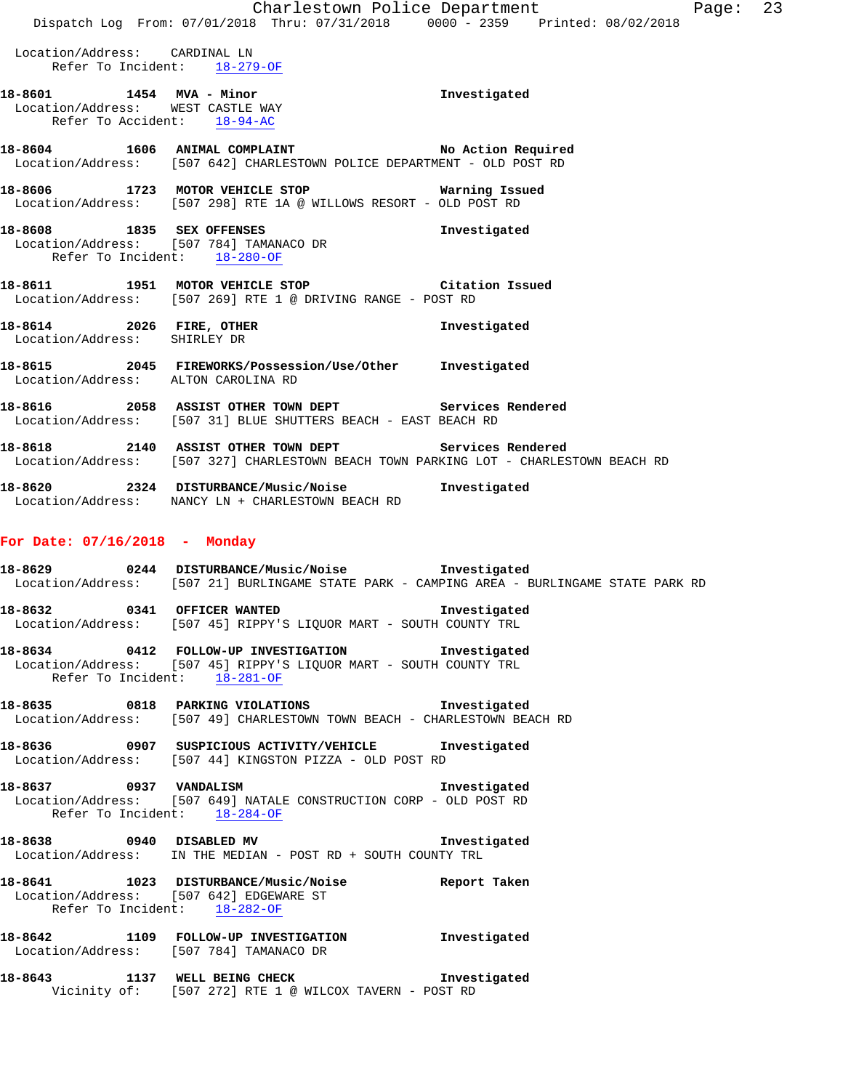|                                                               | Dispatch Log From: 07/01/2018 Thru: 07/31/2018 0000 - 2359 Printed: 08/02/2018                                                                    | Charlestown Police Department | Page: 23 |  |
|---------------------------------------------------------------|---------------------------------------------------------------------------------------------------------------------------------------------------|-------------------------------|----------|--|
| Location/Address: CARDINAL LN                                 | Refer To Incident: 18-279-OF                                                                                                                      |                               |          |  |
| 18-8601 1454 MVA - Minor<br>Location/Address: WEST CASTLE WAY | Refer To Accident: $18-94-AC$                                                                                                                     | Investigated                  |          |  |
|                                                               | 18-8604 1606 ANIMAL COMPLAINT No Action Required<br>Location/Address: [507 642] CHARLESTOWN POLICE DEPARTMENT - OLD POST RD                       |                               |          |  |
|                                                               | 18-8606 1723 MOTOR VEHICLE STOP 6 Warning Issued<br>Location/Address: [507 298] RTE 1A @ WILLOWS RESORT - OLD POST RD                             |                               |          |  |
|                                                               | 18-8608 1835 SEX OFFENSES<br>Location/Address: [507 784] TAMANACO DR<br>Refer To Incident: 18-280-OF                                              | Investigated                  |          |  |
|                                                               | 18-8611 1951 MOTOR VEHICLE STOP Citation Issued<br>Location/Address: [507 269] RTE 1 @ DRIVING RANGE - POST RD                                    |                               |          |  |
| 18-8614 2026 FIRE, OTHER<br>Location/Address: SHIRLEY DR      |                                                                                                                                                   | Investigated                  |          |  |
|                                                               | 18-8615  2045  FIREWORKS/Possession/Use/Other  Investigated<br>Location/Address: ALTON CAROLINA RD                                                |                               |          |  |
|                                                               | 18-8616 2058 ASSIST OTHER TOWN DEPT Services Rendered<br>Location/Address: [507 31] BLUE SHUTTERS BEACH - EAST BEACH RD                           |                               |          |  |
|                                                               | 18-8618 2140 ASSIST OTHER TOWN DEPT<br>Location/Address: [507 327] CHARLESTOWN BEACH TOWN PARKING LOT - CHARLESTOWN BEACH RD                      | Services Rendered             |          |  |
|                                                               | 18-8620 18-3324 DISTURBANCE/Music/Noise Investigated<br>Location/Address: NANCY LN + CHARLESTOWN BEACH RD                                         |                               |          |  |
| For Date: $07/16/2018$ - Monday                               |                                                                                                                                                   |                               |          |  |
| 18-8629                                                       | 0244 DISTURBANCE/Music/Noise http://www.mvestigated<br>Location/Address: [507 21] BURLINGAME STATE PARK - CAMPING AREA - BURLINGAME STATE PARK RD |                               |          |  |
|                                                               | 18-8632 0341 OFFICER WANTED 18-8632 Investigated<br>Location/Address: [507 45] RIPPY'S LIQUOR MART - SOUTH COUNTY TRL                             |                               |          |  |
|                                                               | 18-8634 0412 FOLLOW-UP INVESTIGATION                                                                                                              | Investigated                  |          |  |

 Location/Address: [507 45] RIPPY'S LIQUOR MART - SOUTH COUNTY TRL Refer To Incident: 18-281-OF

**18-8635 0818 PARKING VIOLATIONS Investigated**  Location/Address: [507 49] CHARLESTOWN TOWN BEACH - CHARLESTOWN BEACH RD

**18-8636 0907 SUSPICIOUS ACTIVITY/VEHICLE Investigated**  Location/Address: [507 44] KINGSTON PIZZA - OLD POST RD

**18-8637 0937 VANDALISM Investigated**  Location/Address: [507 649] NATALE CONSTRUCTION CORP - OLD POST RD Refer To Incident: 18-284-OF

**18-8638 0940 DISABLED MV Investigated**  Location/Address: IN THE MEDIAN - POST RD + SOUTH COUNTY TRL

**18-8641 1023 DISTURBANCE/Music/Noise Report Taken**  Location/Address: [507 642] EDGEWARE ST Refer To Incident: 18-282-OF

**18-8642 1109 FOLLOW-UP INVESTIGATION Investigated**  Location/Address: [507 784] TAMANACO DR

**18-8643 1137 WELL BEING CHECK Investigated**  Vicinity of: [507 272] RTE 1 @ WILCOX TAVERN - POST RD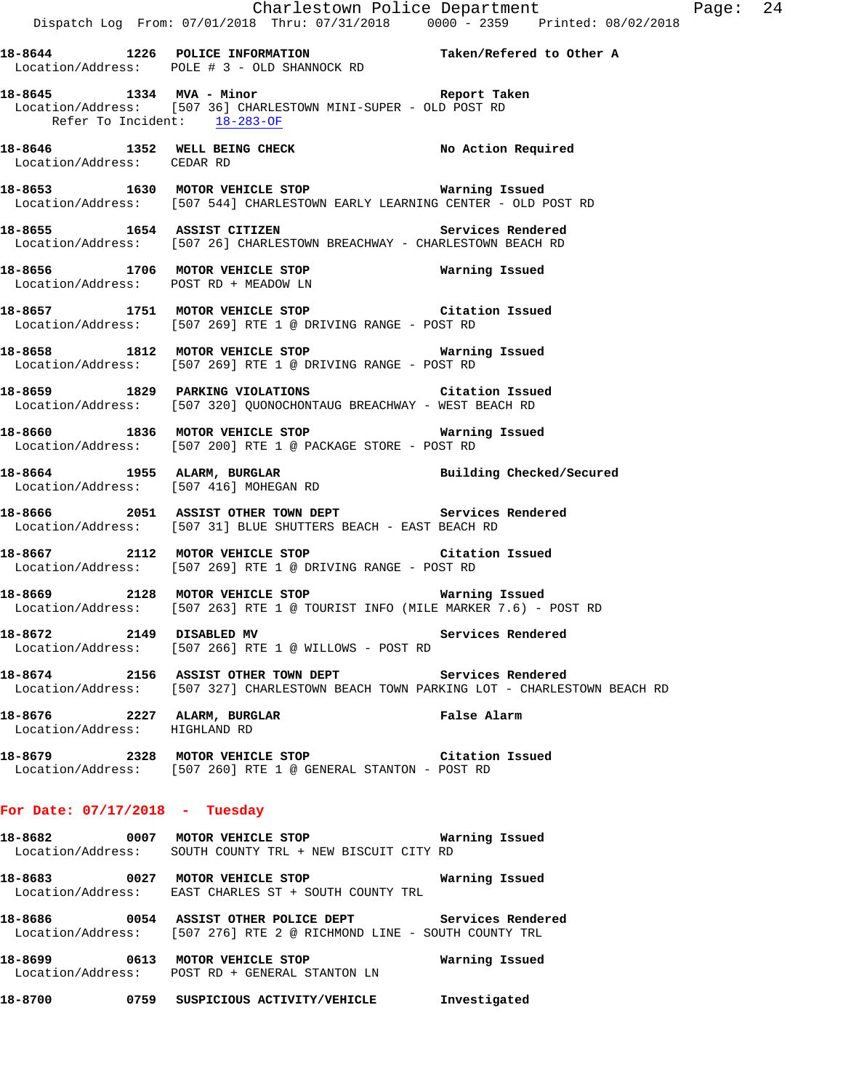**18-8644 1226 POLICE INFORMATION Taken/Refered to Other A**  Location/Address: POLE # 3 - OLD SHANNOCK RD

- **18-8645 1334 MVA Minor Report Taken**  Location/Address: [507 36] CHARLESTOWN MINI-SUPER - OLD POST RD Refer To Incident: 18-283-OF
- **18-8646 1352 WELL BEING CHECK No Action Required**  Location/Address: CEDAR RD
- **18-8653 1630 MOTOR VEHICLE STOP Warning Issued**  Location/Address: [507 544] CHARLESTOWN EARLY LEARNING CENTER - OLD POST RD
- **18-8655 1654 ASSIST CITIZEN Services Rendered**  Location/Address: [507 26] CHARLESTOWN BREACHWAY - CHARLESTOWN BEACH RD
- **18-8656 1706 MOTOR VEHICLE STOP Warning Issued**  Location/Address: POST RD + MEADOW LN
- **18-8657 1751 MOTOR VEHICLE STOP Citation Issued**  Location/Address: [507 269] RTE 1 @ DRIVING RANGE - POST RD
- **18-8658 1812 MOTOR VEHICLE STOP Warning Issued**  Location/Address: [507 269] RTE 1 @ DRIVING RANGE - POST RD
- **18-8659 1829 PARKING VIOLATIONS Citation Issued**  Location/Address: [507 320] QUONOCHONTAUG BREACHWAY - WEST BEACH RD
- **18-8660 1836 MOTOR VEHICLE STOP Warning Issued**  Location/Address: [507 200] RTE 1 @ PACKAGE STORE - POST RD
- **18-8664 1955 ALARM, BURGLAR Building Checked/Secured**  Location/Address: [507 416] MOHEGAN RD
- **18-8666 2051 ASSIST OTHER TOWN DEPT Services Rendered**  Location/Address: [507 31] BLUE SHUTTERS BEACH - EAST BEACH RD
- **18-8667 2112 MOTOR VEHICLE STOP Citation Issued**  Location/Address: [507 269] RTE 1 @ DRIVING RANGE - POST RD
- **18-8669 2128 MOTOR VEHICLE STOP Warning Issued**  Location/Address: [507 263] RTE 1 @ TOURIST INFO (MILE MARKER 7.6) - POST RD
- 18-8672 2149 DISABLED MV **Services Rendered** Location/Address: [507 266] RTE 1 @ WILLOWS - POST RD
- **18-8674 2156 ASSIST OTHER TOWN DEPT Services Rendered**  Location/Address: [507 327] CHARLESTOWN BEACH TOWN PARKING LOT - CHARLESTOWN BEACH RD
- **18-8676 2227 ALARM, BURGLAR False Alarm**  Location/Address: HIGHLAND RD
- **18-8679 2328 MOTOR VEHICLE STOP Citation Issued**  Location/Address: [507 260] RTE 1 @ GENERAL STANTON - POST RD

#### **For Date: 07/17/2018 - Tuesday**

- **18-8682 0007 MOTOR VEHICLE STOP Warning Issued**  Location/Address: SOUTH COUNTY TRL + NEW BISCUIT CITY RD
- **18-8683 0027 MOTOR VEHICLE STOP Warning Issued**  Location/Address: EAST CHARLES ST + SOUTH COUNTY TRL
- **18-8686 0054 ASSIST OTHER POLICE DEPT Services Rendered**  Location/Address: [507 276] RTE 2 @ RICHMOND LINE - SOUTH COUNTY TRL
- **18-8699 0613 MOTOR VEHICLE STOP Warning Issued**  Location/Address: POST RD + GENERAL STANTON LN
- **18-8700 0759 SUSPICIOUS ACTIVITY/VEHICLE Investigated**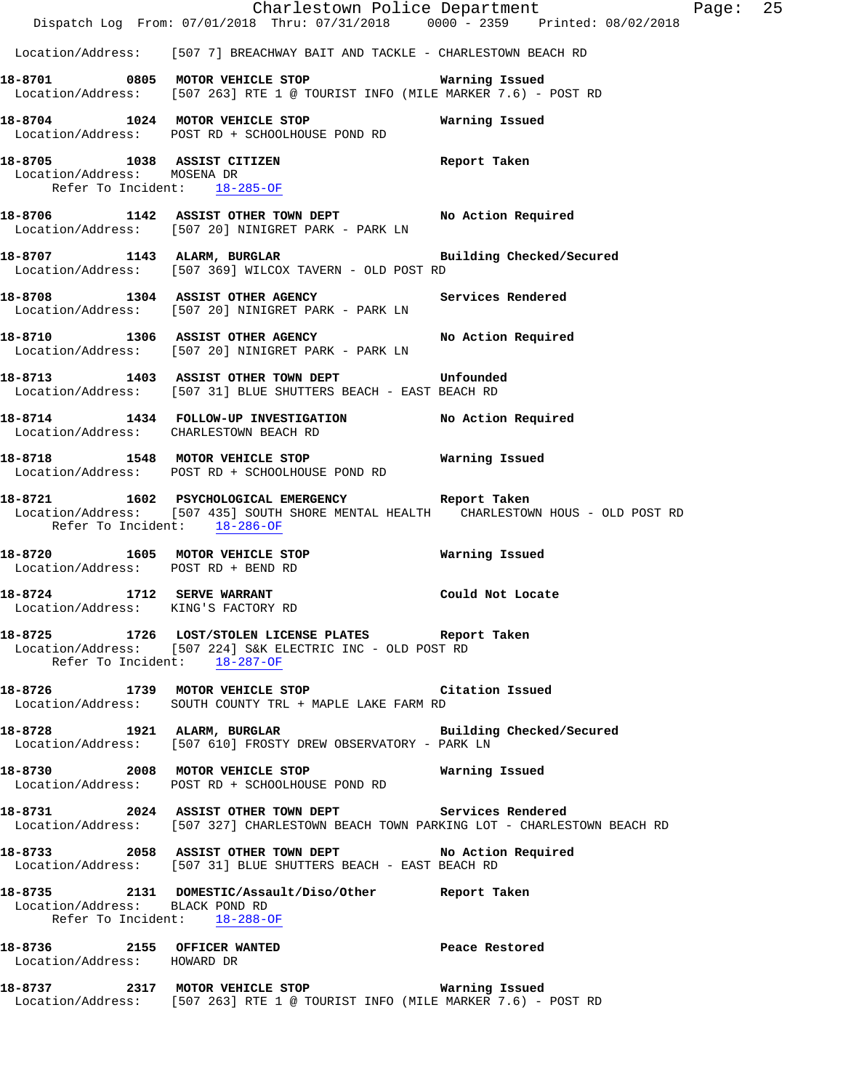|                                                                   | Dispatch Log From: 07/01/2018 Thru: 07/31/2018 0000 - 2359 Printed: 08/02/2018                                                                     | Charlestown Police Department | Page: 25 |  |
|-------------------------------------------------------------------|----------------------------------------------------------------------------------------------------------------------------------------------------|-------------------------------|----------|--|
|                                                                   | Location/Address: [507 7] BREACHWAY BAIT AND TACKLE - CHARLESTOWN BEACH RD                                                                         |                               |          |  |
|                                                                   | 18-8701 0805 MOTOR VEHICLE STOP 6 Warning Issued<br>Location/Address: [507 263] RTE 1 @ TOURIST INFO (MILE MARKER 7.6) - POST RD                   |                               |          |  |
|                                                                   | 18-8704 1024 MOTOR VEHICLE STOP 6 Warning Issued<br>Location/Address: POST RD + SCHOOLHOUSE POND RD                                                |                               |          |  |
| Location/Address: MOSENA DR<br>Refer To Incident: 18-285-OF       | 18-8705 1038 ASSIST CITIZEN 18-8705 Report Taken                                                                                                   |                               |          |  |
|                                                                   | 18-8706 1142 ASSIST OTHER TOWN DEPT No Action Required<br>Location/Address: [507 20] NINIGRET PARK - PARK LN                                       |                               |          |  |
|                                                                   | 18-8707 1143 ALARM, BURGLAR BURGER Building Checked/Secured<br>Location/Address: [507 369] WILCOX TAVERN - OLD POST RD                             |                               |          |  |
|                                                                   | 18-8708 1304 ASSIST OTHER AGENCY Services Rendered<br>Location/Address: [507 20] NINIGRET PARK - PARK LN                                           |                               |          |  |
|                                                                   | 18-8710 1306 ASSIST OTHER AGENCY No Action Required<br>Location/Address: [507 20] NINIGRET PARK - PARK LN                                          |                               |          |  |
|                                                                   | 18-8713 1403 ASSIST OTHER TOWN DEPT Unfounded<br>Location/Address: [507 31] BLUE SHUTTERS BEACH - EAST BEACH RD                                    |                               |          |  |
|                                                                   | 18-8714 1434 FOLLOW-UP INVESTIGATION No Action Required<br>Location/Address: CHARLESTOWN BEACH RD                                                  |                               |          |  |
|                                                                   | 18-8718 1548 MOTOR VEHICLE STOP 18-8718 Warning Issued<br>Location/Address: POST RD + SCHOOLHOUSE POND RD                                          |                               |          |  |
| Refer To Incident: 18-286-OF                                      | 18-8721 1602 PSYCHOLOGICAL EMERGENCY Report Taken<br>Location/Address: [507 435] SOUTH SHORE MENTAL HEALTH CHARLESTOWN HOUS - OLD POST RD          |                               |          |  |
| Location/Address: POST RD + BEND RD                               | 18-8720 1605 MOTOR VEHICLE STOP 6 Warning Issued                                                                                                   |                               |          |  |
| 18-8724 1712 SERVE WARRANT<br>Location/Address: KING'S FACTORY RD |                                                                                                                                                    | Could Not Locate              |          |  |
|                                                                   | 18-8725 1726 LOST/STOLEN LICENSE PLATES Report Taken<br>Location/Address: [507 224] S&K ELECTRIC INC - OLD POST RD<br>Refer To Incident: 18-287-OF |                               |          |  |
|                                                                   | 18-8726 1739 MOTOR VEHICLE STOP Citation Issued<br>Location/Address: SOUTH COUNTY TRL + MAPLE LAKE FARM RD                                         |                               |          |  |
|                                                                   | 18-8728 1921 ALARM, BURGLAR Building Checked/Secured<br>Location/Address: [507 610] FROSTY DREW OBSERVATORY - PARK LN                              |                               |          |  |
|                                                                   | Location/Address: POST RD + SCHOOLHOUSE POND RD                                                                                                    |                               |          |  |
|                                                                   | 18-8731 2024 ASSIST OTHER TOWN DEPT Services Rendered<br>Location/Address: [507 327] CHARLESTOWN BEACH TOWN PARKING LOT - CHARLESTOWN BEACH RD     |                               |          |  |
|                                                                   | 18-8733 2058 ASSIST OTHER TOWN DEPT No Action Required<br>Location/Address: [507 31] BLUE SHUTTERS BEACH - EAST BEACH RD                           |                               |          |  |
| Location/Address: BLACK POND RD<br>Refer To Incident: 18-288-OF   | 18-8735 2131 DOMESTIC/Assault/Diso/Other Report Taken                                                                                              |                               |          |  |
| Location/Address: HOWARD DR                                       | 18-8736 2155 OFFICER WANTED 2008 Peace Restored                                                                                                    |                               |          |  |
|                                                                   | Location/Address: [507 263] RTE 1 @ TOURIST INFO (MILE MARKER 7.6) - POST RD                                                                       |                               |          |  |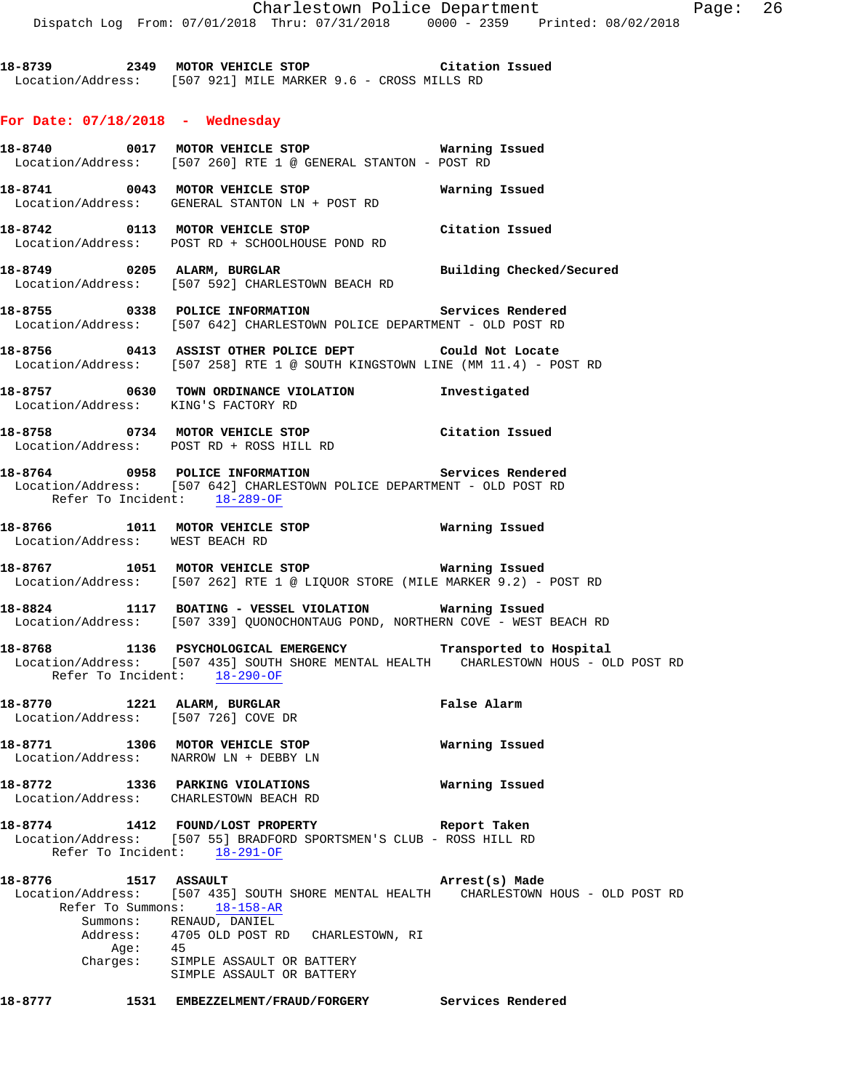**18-8739 2349 MOTOR VEHICLE STOP Citation Issued**  Location/Address: [507 921] MILE MARKER 9.6 - CROSS MILLS RD

### **For Date: 07/18/2018 - Wednesday**

**18-8740 0017 MOTOR VEHICLE STOP Warning Issued**  Location/Address: [507 260] RTE 1 @ GENERAL STANTON - POST RD **18-8741 0043 MOTOR VEHICLE STOP Warning Issued**  Location/Address: GENERAL STANTON LN + POST RD **18-8742 0113 MOTOR VEHICLE STOP Citation Issued**  Location/Address: POST RD + SCHOOLHOUSE POND RD **18-8749 0205 ALARM, BURGLAR Building Checked/Secured**  Location/Address: [507 592] CHARLESTOWN BEACH RD **18-8755 0338 POLICE INFORMATION Services Rendered**  Location/Address: [507 642] CHARLESTOWN POLICE DEPARTMENT - OLD POST RD **18-8756 0413 ASSIST OTHER POLICE DEPT Could Not Locate**  Location/Address: [507 258] RTE 1 @ SOUTH KINGSTOWN LINE (MM 11.4) - POST RD **18-8757 0630 TOWN ORDINANCE VIOLATION Investigated**  Location/Address: KING'S FACTORY RD **18-8758 0734 MOTOR VEHICLE STOP Citation Issued**  Location/Address: POST RD + ROSS HILL RD **18-8764 0958 POLICE INFORMATION Services Rendered**  Location/Address: [507 642] CHARLESTOWN POLICE DEPARTMENT - OLD POST RD Refer To Incident: 18-289-OF **18-8766 1011 MOTOR VEHICLE STOP Warning Issued**  Location/Address: **18-8767 1051 MOTOR VEHICLE STOP Warning Issued**  Location/Address: [507 262] RTE 1 @ LIQUOR STORE (MILE MARKER 9.2) - POST RD **18-8824 1117 BOATING - VESSEL VIOLATION Warning Issued**  Location/Address: [507 339] QUONOCHONTAUG POND, NORTHERN COVE - WEST BEACH RD **18-8768 1136 PSYCHOLOGICAL EMERGENCY Transported to Hospital**  Location/Address: [507 435] SOUTH SHORE MENTAL HEALTH CHARLESTOWN HOUS - OLD POST RD Refer To Incident: 18-290-OF **18-8770 1221 ALARM, BURGLAR False Alarm**  Location/Address: [507 726] COVE DR **18-8771 1306 MOTOR VEHICLE STOP Warning Issued**  Location/Address: NARROW LN + DEBBY LN **18-8772 1336 PARKING VIOLATIONS Warning Issued**  Location/Address: CHARLESTOWN BEACH RD **18-8774 1412 FOUND/LOST PROPERTY Report Taken**  Location/Address: [507 55] BRADFORD SPORTSMEN'S CLUB - ROSS HILL RD Refer To Incident: 18-291-OF **18-8776 1517 ASSAULT Arrest(s) Made**  Location/Address: [507 435] SOUTH SHORE MENTAL HEALTH CHARLESTOWN HOUS - OLD POST RD Refer To Summons: 18-158-AR Summons: RENAUD, DANIEL<br>Address: 4705 OLD POST RI 4705 OLD POST RD CHARLESTOWN, RI Age: 45 Charges: SIMPLE ASSAULT OR BATTERY SIMPLE ASSAULT OR BATTERY **18-8777 1531 EMBEZZELMENT/FRAUD/FORGERY Services Rendered**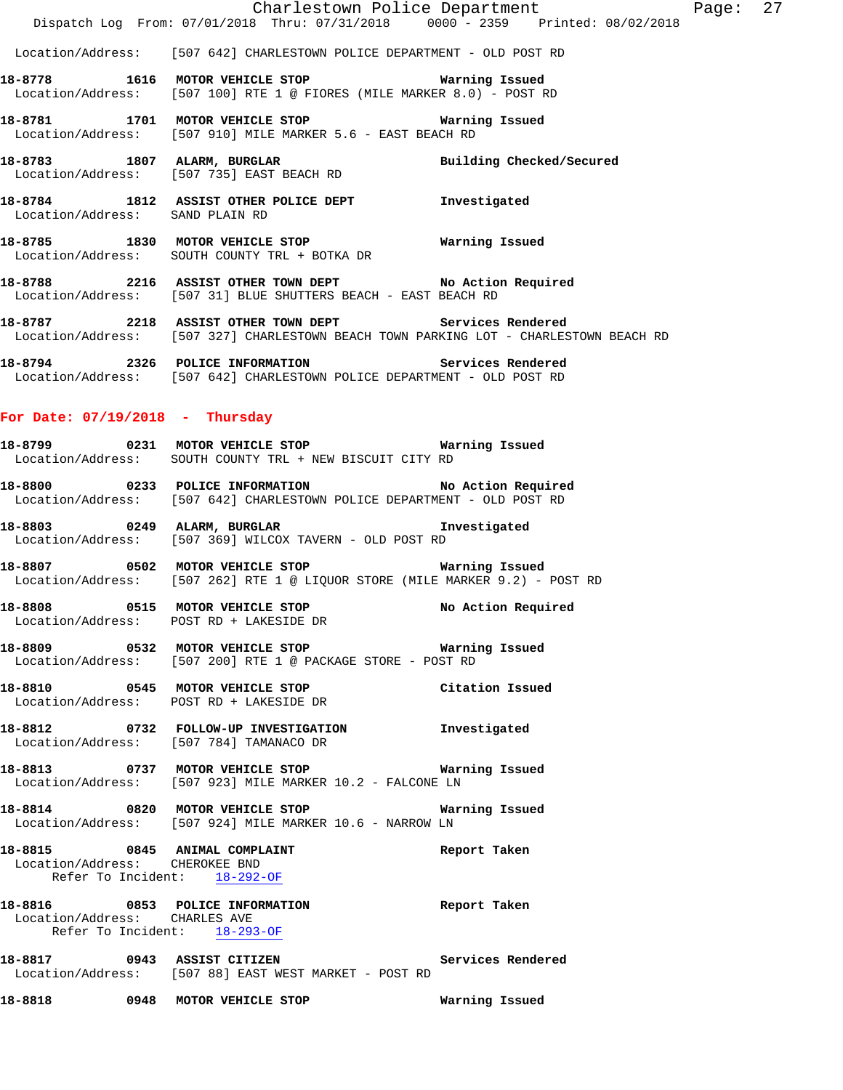Location/Address: [507 642] CHARLESTOWN POLICE DEPARTMENT - OLD POST RD

- **18-8778 1616 MOTOR VEHICLE STOP Warning Issued**  Location/Address: [507 100] RTE 1 @ FIORES (MILE MARKER 8.0) - POST RD
- **18-8781 1701 MOTOR VEHICLE STOP Warning Issued**  Location/Address: [507 910] MILE MARKER 5.6 - EAST BEACH RD
- **18-8783 1807 ALARM, BURGLAR Building Checked/Secured**  Location/Address: [507 735] EAST BEACH RD
- **18-8784 1812 ASSIST OTHER POLICE DEPT Investigated**  Location/Address: SAND PLAIN RD
- **18-8785 1830 MOTOR VEHICLE STOP Warning Issued**  Location/Address: SOUTH COUNTY TRL + BOTKA DR
- **18-8788 2216 ASSIST OTHER TOWN DEPT No Action Required**  Location/Address: [507 31] BLUE SHUTTERS BEACH - EAST BEACH RD
- **18-8787 2218 ASSIST OTHER TOWN DEPT Services Rendered**  Location/Address: [507 327] CHARLESTOWN BEACH TOWN PARKING LOT - CHARLESTOWN BEACH RD
- **18-8794 2326 POLICE INFORMATION Services Rendered**  Location/Address: [507 642] CHARLESTOWN POLICE DEPARTMENT - OLD POST RD

#### **For Date: 07/19/2018 - Thursday**

- **18-8799 0231 MOTOR VEHICLE STOP Warning Issued**  Location/Address: SOUTH COUNTY TRL + NEW BISCUIT CITY RD
- **18-8800 0233 POLICE INFORMATION No Action Required**  Location/Address: [507 642] CHARLESTOWN POLICE DEPARTMENT - OLD POST RD
- **18-8803 0249 ALARM, BURGLAR Investigated**  Location/Address: [507 369] WILCOX TAVERN - OLD POST RD
- **18-8807 0502 MOTOR VEHICLE STOP Warning Issued**  Location/Address: [507 262] RTE 1 @ LIQUOR STORE (MILE MARKER 9.2) - POST RD
- **18-8808 0515 MOTOR VEHICLE STOP No Action Required**  Location/Address: POST RD + LAKESIDE DR
- **18-8809 0532 MOTOR VEHICLE STOP Warning Issued**  Location/Address: [507 200] RTE 1 @ PACKAGE STORE - POST RD
- **18-8810 0545 MOTOR VEHICLE STOP Citation Issued**  Location/Address: POST RD + LAKESIDE DR
- **18-8812 0732 FOLLOW-UP INVESTIGATION Investigated**  Location/Address: [507 784] TAMANACO DR
- **18-8813 0737 MOTOR VEHICLE STOP Warning Issued**  Location/Address: [507 923] MILE MARKER 10.2 - FALCONE LN
- **18-8814 0820 MOTOR VEHICLE STOP Warning Issued**  Location/Address: [507 924] MILE MARKER 10.6 - NARROW LN
- **18-8815 0845 ANIMAL COMPLAINT Report Taken**  Location/Address: CHEROKEE BND
- Refer To Incident: 18-292-OF
- **18-8816 0853 POLICE INFORMATION Report Taken**  Location/Address: CHARLES AVE Refer To Incident: 18-293-OF
- **18-8817 0943 ASSIST CITIZEN Services Rendered**  Location/Address: [507 88] EAST WEST MARKET - POST RD
- **18-8818 0948 MOTOR VEHICLE STOP Warning Issued**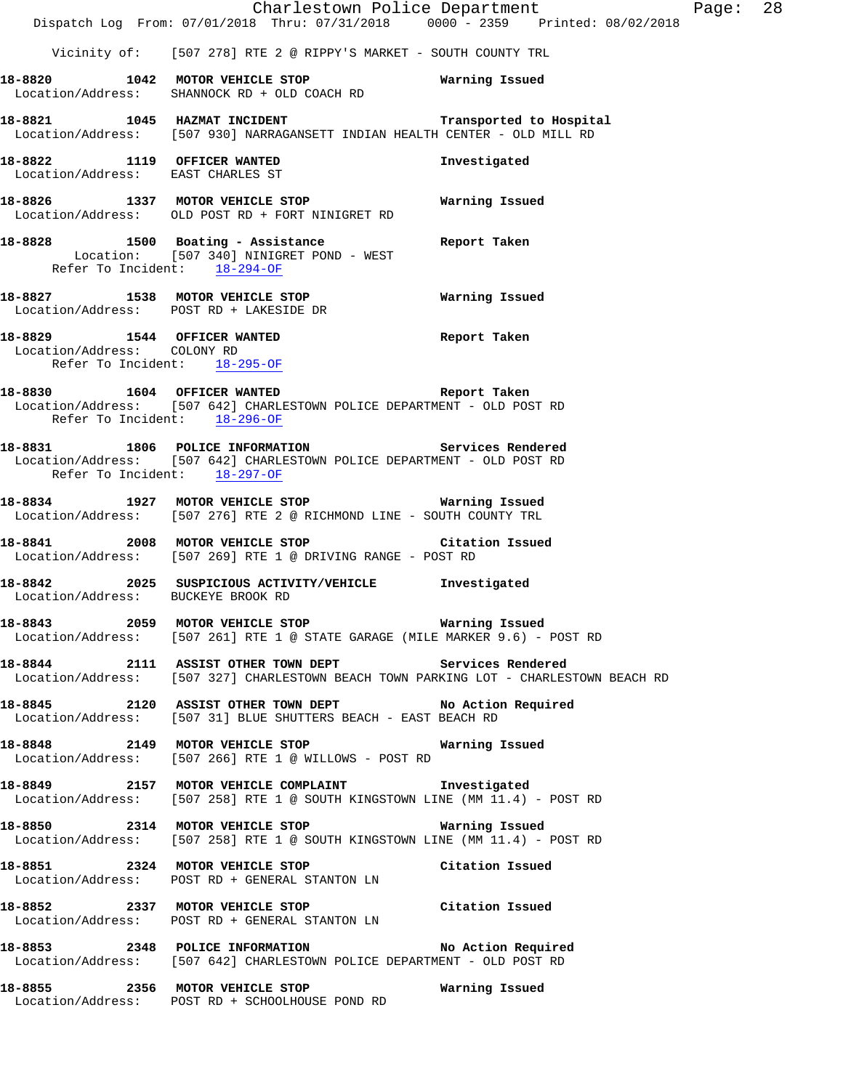Charlestown Police Department Page: 28 Dispatch Log From: 07/01/2018 Thru: 07/31/2018 0000 - 2359 Printed: 08/02/2018 Vicinity of: [507 278] RTE 2 @ RIPPY'S MARKET - SOUTH COUNTY TRL **18-8820 1042 MOTOR VEHICLE STOP Warning Issued**  Location/Address: SHANNOCK RD + OLD COACH RD **18-8821 1045 HAZMAT INCIDENT Transported to Hospital**  Location/Address: [507 930] NARRAGANSETT INDIAN HEALTH CENTER - OLD MILL RD **18-8822 1119 OFFICER WANTED Investigated**  Location/Address: EAST CHARLES ST **18-8826 1337 MOTOR VEHICLE STOP Warning Issued**  Location/Address: OLD POST RD + FORT NINIGRET RD **18-8828 1500 Boating - Assistance Report Taken**  Location: [507 340] NINIGRET POND - WEST Refer To Incident: 18-294-OF **18-8827 1538 MOTOR VEHICLE STOP Warning Issued**  Location/Address: POST RD + LAKESIDE DR **18-8829 1544 OFFICER WANTED Report Taken**  Location/Address: COLONY RD Refer To Incident: 18-295-OF **18-8830 1604 OFFICER WANTED Report Taken**  Location/Address: [507 642] CHARLESTOWN POLICE DEPARTMENT - OLD POST RD Refer To Incident: 18-296-OF **18-8831 1806 POLICE INFORMATION Services Rendered**  Location/Address: [507 642] CHARLESTOWN POLICE DEPARTMENT - OLD POST RD Refer To Incident: 18-297-OF **18-8834 1927 MOTOR VEHICLE STOP Warning Issued**  Location/Address: [507 276] RTE 2 @ RICHMOND LINE - SOUTH COUNTY TRL **18-8841 2008 MOTOR VEHICLE STOP Citation Issued**  Location/Address: [507 269] RTE 1 @ DRIVING RANGE - POST RD **18-8842 2025 SUSPICIOUS ACTIVITY/VEHICLE Investigated**  Location/Address: BUCKEYE BROOK RD **18-8843 2059 MOTOR VEHICLE STOP Warning Issued**  Location/Address: [507 261] RTE 1 @ STATE GARAGE (MILE MARKER 9.6) - POST RD **18-8844 2111 ASSIST OTHER TOWN DEPT Services Rendered**  Location/Address: [507 327] CHARLESTOWN BEACH TOWN PARKING LOT - CHARLESTOWN BEACH RD **18-8845 2120 ASSIST OTHER TOWN DEPT No Action Required**  Location/Address: [507 31] BLUE SHUTTERS BEACH - EAST BEACH RD **18-8848 2149 MOTOR VEHICLE STOP Warning Issued**  Location/Address: [507 266] RTE 1 @ WILLOWS - POST RD **18-8849 2157 MOTOR VEHICLE COMPLAINT Investigated**  Location/Address: [507 258] RTE 1 @ SOUTH KINGSTOWN LINE (MM 11.4) - POST RD **18-8850 2314 MOTOR VEHICLE STOP Warning Issued**  Location/Address: [507 258] RTE 1 @ SOUTH KINGSTOWN LINE (MM 11.4) - POST RD **18-8851 2324 MOTOR VEHICLE STOP Citation Issued**  Location/Address: POST RD + GENERAL STANTON LN **18-8852 2337 MOTOR VEHICLE STOP Citation Issued**  Location/Address: POST RD + GENERAL STANTON LN **18-8853 2348 POLICE INFORMATION No Action Required**  Location/Address: [507 642] CHARLESTOWN POLICE DEPARTMENT - OLD POST RD **18-8855 2356 MOTOR VEHICLE STOP Warning Issued**  Location/Address: POST RD + SCHOOLHOUSE POND RD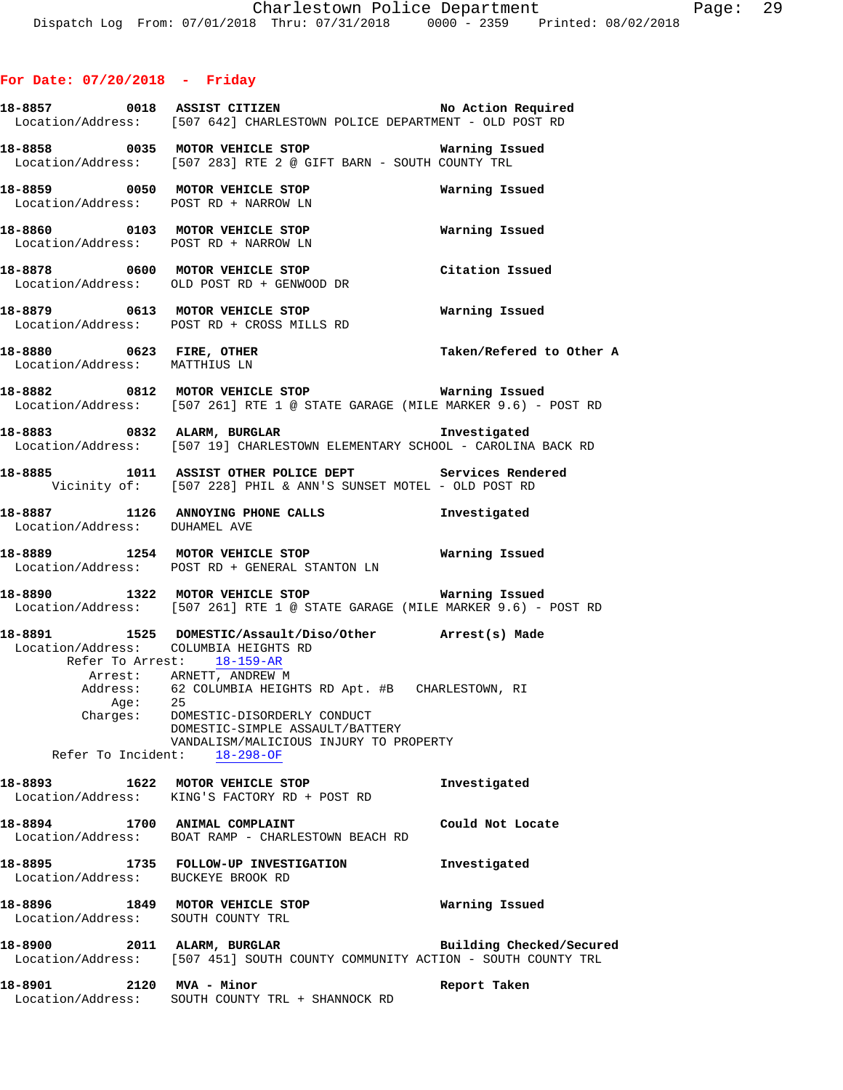|                               |         | 18-8857 0018 ASSIST CITIZEN<br>Location/Address: [507 642] CHARLESTOWN POLICE DEPARTMENT - OLD POST RD                                                                                                   | No Action Required       |
|-------------------------------|---------|----------------------------------------------------------------------------------------------------------------------------------------------------------------------------------------------------------|--------------------------|
|                               |         | 18-8858 0035 MOTOR VEHICLE STOP <b>STOP</b> Warning Issued<br>Location/Address: [507 283] RTE 2 @ GIFT BARN - SOUTH COUNTY TRL                                                                           |                          |
|                               |         | 18-8859 0050 MOTOR VEHICLE STOP<br>Location/Address: POST RD + NARROW LN                                                                                                                                 | Warning Issued           |
|                               |         | 18-8860 0103 MOTOR VEHICLE STOP 6 Warning Issued<br>Location/Address: POST RD + NARROW LN                                                                                                                |                          |
|                               |         | 18-8878 0600 MOTOR VEHICLE STOP<br>Location/Address: OLD POST RD + GENWOOD DR                                                                                                                            | Citation Issued          |
|                               |         | 18-8879 0613 MOTOR VEHICLE STOP <b>Warning Issued</b><br>Location/Address: POST RD + CROSS MILLS RD                                                                                                      |                          |
|                               |         | 18-8880 0623 FIRE, OTHER<br>Location/Address: MATTHIUS LN                                                                                                                                                | Taken/Refered to Other A |
|                               |         | 18-8882 0812 MOTOR VEHICLE STOP Warning Issued<br>Location/Address: [507 261] RTE 1 @ STATE GARAGE (MILE MARKER 9.6) - POST RD                                                                           |                          |
|                               |         | 18-8883 0832 ALARM, BURGLAR CHARTER STREET STREET ALARM<br>Location/Address: [507 19] CHARLESTOWN ELEMENTARY SCHOOL - CAROLINA BACK RD                                                                   |                          |
|                               |         | 18-8885 1011 ASSIST OTHER POLICE DEPT Services Rendered<br>Vicinity of: [507 228] PHIL & ANN'S SUNSET MOTEL - OLD POST RD                                                                                |                          |
| Location/Address: DUHAMEL AVE |         | 18-8887 1126 ANNOYING PHONE CALLS 18-8887                                                                                                                                                                |                          |
|                               |         | 18-8889 1254 MOTOR VEHICLE STOP <b>18-8889</b> Warning Issued<br>Location/Address: POST RD + GENERAL STANTON LN                                                                                          |                          |
|                               |         | 18-8890 1322 MOTOR VEHICLE STOP <b>18-8890</b> Warning Issued<br>Location/Address: [507 261] RTE 1 @ STATE GARAGE (MILE MARKER 9.6) - POST RD                                                            |                          |
|                               |         | 18-8891 1525 DOMESTIC/Assault/Diso/Other Arrest(s) Made<br>Location/Address: COLUMBIA HEIGHTS RD<br>Refer To Arrest: 18-159-AR                                                                           |                          |
|                               | Age: 25 | Arrest: ARNETT, ANDREW M<br>Address: 62 COLUMBIA HEIGHTS RD Apt. #B CHARLESTOWN, RI<br>Charges: DOMESTIC-DISORDERLY CONDUCT<br>DOMESTIC-SIMPLE ASSAULT/BATTERY<br>VANDALISM/MALICIOUS INJURY TO PROPERTY |                          |
|                               |         | Refer To Incident: 18-298-OF<br>18-8893 1622 MOTOR VEHICLE STOP                                                                                                                                          |                          |
|                               |         | Location/Address: KING'S FACTORY RD + POST RD                                                                                                                                                            | Investigated             |
|                               |         | 18-8894 1700 ANIMAL COMPLAINT<br>Location/Address: BOAT RAMP - CHARLESTOWN BEACH RD                                                                                                                      | Could Not Locate         |
|                               |         | 18-8895 1735 FOLLOW-UP INVESTIGATION<br>Location/Address: BUCKEYE BROOK RD                                                                                                                               | Investigated             |
|                               |         | 18-8896 1849 MOTOR VEHICLE STOP<br>Location/Address: SOUTH COUNTY TRL                                                                                                                                    | Warning Issued           |
|                               |         | 18-8900 2011 ALARM, BURGLAR 2001 Building Checked/Secured<br>Location/Address: [507 451] SOUTH COUNTY COMMUNITY ACTION - SOUTH COUNTY TRL                                                                |                          |
| 18-8901 2120 MVA - Minor      |         | Location/Address: SOUTH COUNTY TRL + SHANNOCK RD                                                                                                                                                         | Report Taken             |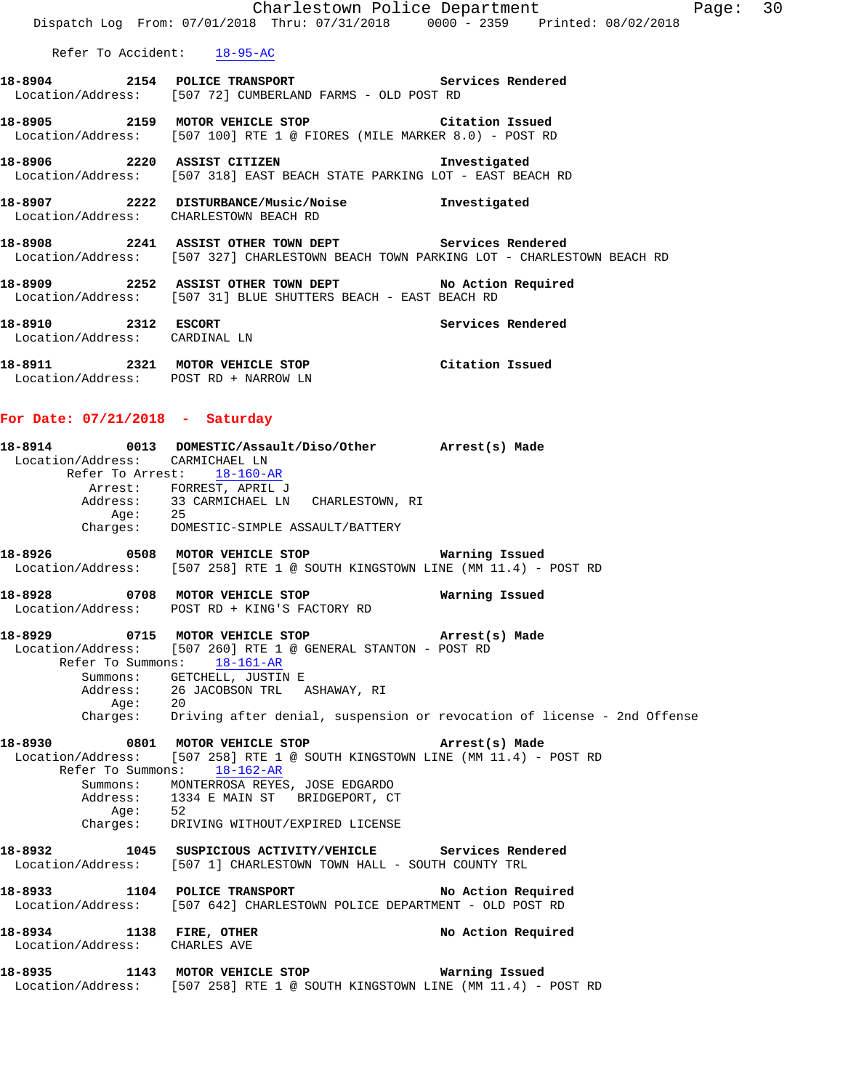|                                                      | Charlestown Police Department                                                                                                                                       |                   | Page: 30 |  |
|------------------------------------------------------|---------------------------------------------------------------------------------------------------------------------------------------------------------------------|-------------------|----------|--|
|                                                      | Dispatch Log From: 07/01/2018 Thru: 07/31/2018 0000 - 2359 Printed: 08/02/2018                                                                                      |                   |          |  |
|                                                      | Refer To Accident: 18-95-AC                                                                                                                                         |                   |          |  |
|                                                      | 18-8904 2154 POLICE TRANSPORT Services Rendered<br>Location/Address: [507 72] CUMBERLAND FARMS - OLD POST RD                                                        |                   |          |  |
|                                                      | 18-8905 2159 MOTOR VEHICLE STOP Citation Issued<br>Location/Address: [507 100] RTE 1 @ FIORES (MILE MARKER 8.0) - POST RD                                           |                   |          |  |
|                                                      | 18-8906 2220 ASSIST CITIZEN 1nvestigated<br>  Location/Address: [507 318] EAST BEACH STATE PARKING LOT - EAST BEACH RD                                              |                   |          |  |
|                                                      | 18-8907 2222 DISTURBANCE/Music/Noise Investigated<br>Location/Address: CHARLESTOWN BEACH RD                                                                         |                   |          |  |
|                                                      | 18-8908 2241 ASSIST OTHER TOWN DEPT Services Rendered<br>Location/Address: [507 327] CHARLESTOWN BEACH TOWN PARKING LOT - CHARLESTOWN BEACH RD                      |                   |          |  |
|                                                      | 18-8909 2252 ASSIST OTHER TOWN DEPT No Action Required<br>Location/Address: [507 31] BLUE SHUTTERS BEACH - EAST BEACH RD                                            |                   |          |  |
| 18-8910 2312 ESCORT<br>Location/Address: CARDINAL LN |                                                                                                                                                                     | Services Rendered |          |  |
|                                                      | 10 0011 <b>10 0011</b> 1000 0000 10000 10000 0000<br>a a a a an t-anns an t-anns an t-anns an t-anns an t-anns an t-anns an t-anns an t-anns an t-anns an t-anns an |                   |          |  |

**18-8911 2321 MOTOR VEHICLE STOP Citation Issued**  Location/Address: POST RD + NARROW LN

# **For Date: 07/21/2018 - Saturday**

|         | 18-8914  0013 DOMESTIC/Assault/Diso/Other  Arrest(s) Made                                                   |                |
|---------|-------------------------------------------------------------------------------------------------------------|----------------|
|         | Location/Address: CARMICHAEL LN                                                                             |                |
|         | Refer To Arrest: 18-160-AR                                                                                  |                |
|         | Arrest: FORREST, APRIL J                                                                                    |                |
|         | Address: 33 CARMICHAEL LN CHARLESTOWN, RI                                                                   |                |
| Age: 25 |                                                                                                             |                |
|         | Charges: DOMESTIC-SIMPLE ASSAULT/BATTERY                                                                    |                |
|         |                                                                                                             |                |
|         | Location/Address: [507 258] RTE 1 @ SOUTH KINGSTOWN LINE (MM 11.4) - POST RD                                |                |
|         | 18-8928 0708 MOTOR VEHICLE STOP                                                                             | Warning Issued |
|         | Location/Address: POST RD + KING'S FACTORY RD                                                               |                |
|         | 18-8929 0715 MOTOR VEHICLE STOP (Arrest(s) Made                                                             |                |
|         | Location/Address: [507 260] RTE 1 @ GENERAL STANTON - POST RD                                               |                |
|         | Refer To Summons: 18-161-AR                                                                                 |                |
|         | Summons: GETCHELL, JUSTIN E                                                                                 |                |
|         |                                                                                                             |                |
|         |                                                                                                             |                |
|         |                                                                                                             |                |
|         | 18-8930 0801 MOTOR VEHICLE STOP <b>Arrest(s)</b> Made                                                       |                |
|         | Location/Address: [507 258] RTE 1 @ SOUTH KINGSTOWN LINE (MM 11.4) - POST RD<br>Refer To Summons: 18-162-AR |                |
|         | Summons: MONTERROSA REYES, JOSE EDGARDO                                                                     |                |
|         | Address: 1334 E MAIN ST BRIDGEPORT, CT                                                                      |                |
| Age: 52 |                                                                                                             |                |
|         | Charges: DRIVING WITHOUT/EXPIRED LICENSE                                                                    |                |
|         | 18-8932 1045 SUSPICIOUS ACTIVITY/VEHICLE Services Rendered                                                  |                |
|         | Location/Address: [507 1] CHARLESTOWN TOWN HALL - SOUTH COUNTY TRL                                          |                |
|         | 18-8933 1104 POLICE TRANSPORT No Action Required                                                            |                |
|         | Location/Address: [507 642] CHARLESTOWN POLICE DEPARTMENT - OLD POST RD                                     |                |
|         | 18-8934 1138 FIRE, OTHER No Action Required                                                                 |                |
|         | Location/Address: CHARLES AVE                                                                               |                |
|         | 18-8935 1143 MOTOR VEHICLE STOP 5 Warning Issued                                                            |                |
|         | Location/Address: [507 258] RTE 1 @ SOUTH KINGSTOWN LINE (MM 11.4) - POST RD                                |                |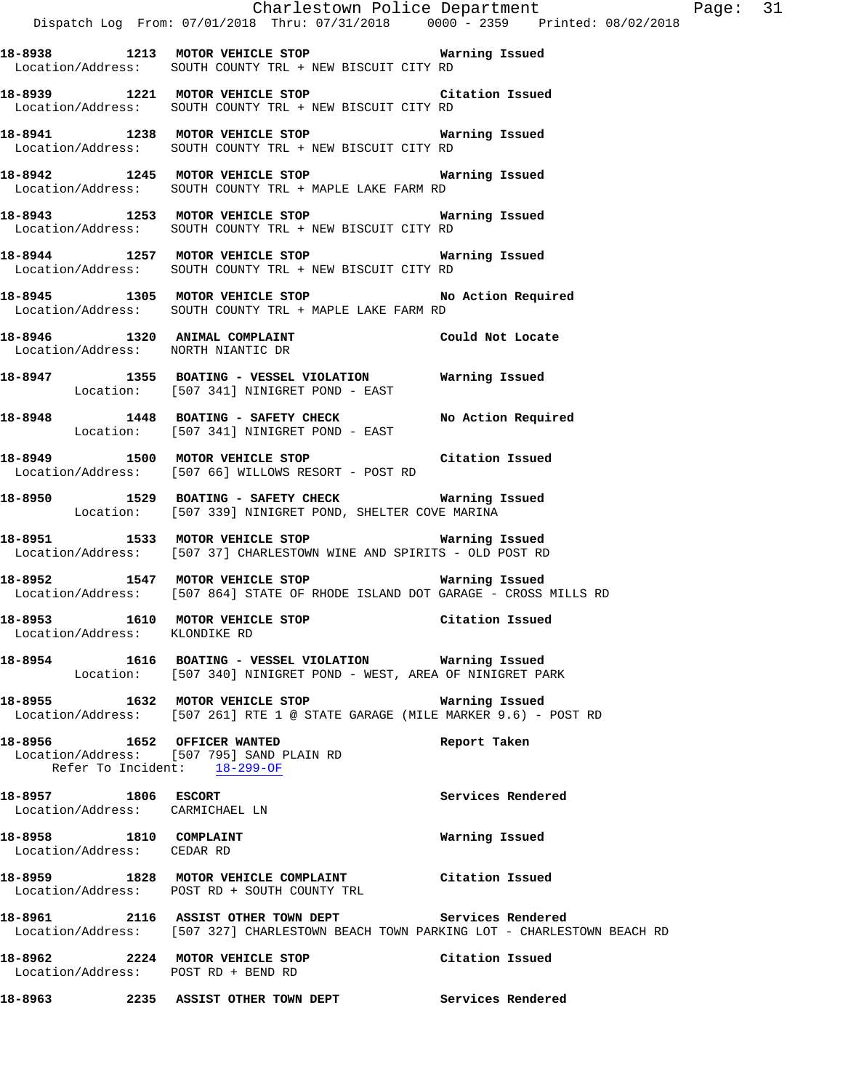|                                                        | Charlestown Police Department                                                                                                                  |                   |
|--------------------------------------------------------|------------------------------------------------------------------------------------------------------------------------------------------------|-------------------|
|                                                        | Dispatch Log From: 07/01/2018 Thru: 07/31/2018 0000 - 2359 Printed: 08/02/2018                                                                 |                   |
|                                                        | 18-8938 1213 MOTOR VEHICLE STOP Warning Issued<br>Location/Address: SOUTH COUNTY TRL + NEW BISCUIT CITY RD                                     |                   |
|                                                        | 18-8939 1221 MOTOR VEHICLE STOP Citation Issued<br>Location/Address: SOUTH COUNTY TRL + NEW BISCUIT CITY RD                                    |                   |
|                                                        | 18-8941 1238 MOTOR VEHICLE STOP Warning Issued<br>Location/Address: SOUTH COUNTY TRL + NEW BISCUIT CITY RD                                     |                   |
|                                                        | 18-8942 1245 MOTOR VEHICLE STOP <b>Marning Issued</b><br>Location/Address: SOUTH COUNTY TRL + MAPLE LAKE FARM RD                               |                   |
|                                                        | 18-8943 1253 MOTOR VEHICLE STOP 6 Warning Issued<br>Location/Address: SOUTH COUNTY TRL + NEW BISCUIT CITY RD                                   |                   |
|                                                        | 18-8944 1257 MOTOR VEHICLE STOP <b>Marning Issued</b><br>Location/Address: SOUTH COUNTY TRL + NEW BISCUIT CITY RD                              |                   |
|                                                        | 18-8945 1305 MOTOR VEHICLE STOP 10 No Action Required<br>Location/Address: SOUTH COUNTY TRL + MAPLE LAKE FARM RD                               |                   |
| Location/Address: NORTH NIANTIC DR                     | 18-8946 1320 ANIMAL COMPLAINT CONSTRUCTED Could Not Locate                                                                                     |                   |
|                                                        | 18-8947 1355 BOATING - VESSEL VIOLATION Warning Issued<br>Location: [507 341] NINIGRET POND - EAST                                             |                   |
|                                                        | 18-8948 1448 BOATING - SAFETY CHECK No Action Required<br>Location: [507 341] NINIGRET POND - EAST                                             |                   |
|                                                        | -<br>18-8949 1500 MOTOR VEHICLE STOP 1991 2010 Citation Issued<br>Location/Address: [507 66] WILLOWS RESORT - POST RD                          |                   |
|                                                        | 18-8950 1529 BOATING - SAFETY CHECK Warning Issued<br>Location: [507 339] NINIGRET POND, SHELTER COVE MARINA                                   |                   |
|                                                        | Location/Address: [507 37] CHARLESTOWN WINE AND SPIRITS - OLD POST RD                                                                          |                   |
|                                                        | Location/Address: [507 864] STATE OF RHODE ISLAND DOT GARAGE - CROSS MILLS RD                                                                  |                   |
| Location/Address: KLONDIKE RD                          | 18-8953 1610 MOTOR VEHICLE STOP                                                                                                                | Citation Issued   |
|                                                        | 18-8954 1616 BOATING - VESSEL VIOLATION Warning Issued<br>Location: [507 340] NINIGRET POND - WEST, AREA OF NINIGRET PARK                      |                   |
|                                                        | 18-8955 1632 MOTOR VEHICLE STOP <b>18-8955</b> Warning Issued<br>Location/Address: [507 261] RTE 1 @ STATE GARAGE (MILE MARKER 9.6) - POST RD  |                   |
| Refer To Incident: 18-299-OF                           | 18-8956 1652 OFFICER WANTED<br>Location/Address: [507 795] SAND PLAIN RD                                                                       | Report Taken      |
| 18-8957 1806 ESCORT<br>Location/Address: CARMICHAEL LN |                                                                                                                                                | Services Rendered |
| 18-8958 1810 COMPLAINT<br>Location/Address: CEDAR RD   |                                                                                                                                                | Warning Issued    |
|                                                        | 18-8959 1828 MOTOR VEHICLE COMPLAINT Citation Issued<br>Location/Address: POST RD + SOUTH COUNTY TRL                                           |                   |
|                                                        | 18-8961 2116 ASSIST OTHER TOWN DEPT Services Rendered<br>Location/Address: [507 327] CHARLESTOWN BEACH TOWN PARKING LOT - CHARLESTOWN BEACH RD |                   |
| Location/Address: POST RD + BEND RD                    | 18-8962 2224 MOTOR VEHICLE STOP                                                                                                                | Citation Issued   |
|                                                        | 18-8963 		 2235 ASSIST OTHER TOWN DEPT Services Rendered                                                                                       |                   |

Page: 31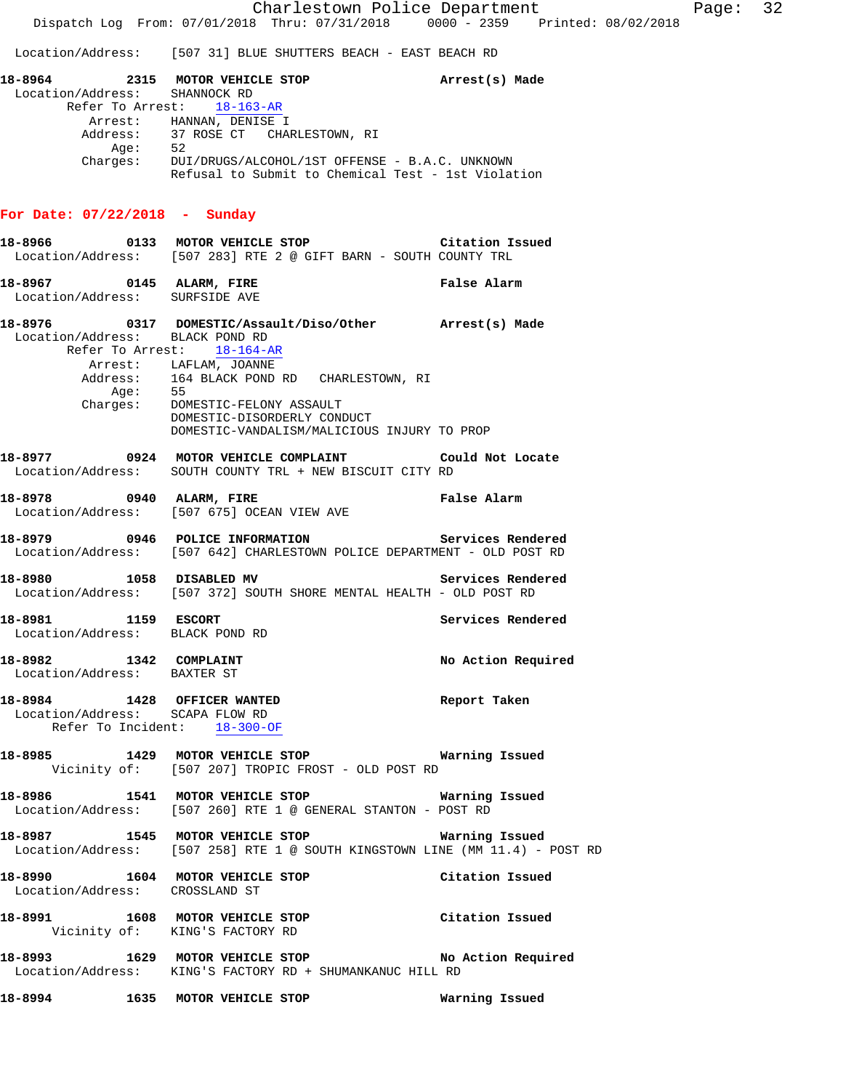Location/Address: [507 31] BLUE SHUTTERS BEACH - EAST BEACH RD

| 18-8964                       | 2315                       |                  | MOTOR VEHICLE STOP |                                                    | Arrest(s) Made |  |
|-------------------------------|----------------------------|------------------|--------------------|----------------------------------------------------|----------------|--|
| Location/Address: SHANNOCK RD |                            |                  |                    |                                                    |                |  |
|                               | Refer To Arrest: 18-163-AR |                  |                    |                                                    |                |  |
|                               | Arrest:                    | HANNAN, DENISE I |                    |                                                    |                |  |
|                               | Address:                   |                  |                    | 37 ROSE CT – CHARLESTOWN, RI                       |                |  |
|                               | Aqe:                       | 52               |                    |                                                    |                |  |
|                               | Charges:                   |                  |                    | DUI/DRUGS/ALCOHOL/1ST OFFENSE - B.A.C. UNKNOWN     |                |  |
|                               |                            |                  |                    | Refusal to Submit to Chemical Test - 1st Violation |                |  |
|                               |                            |                  |                    |                                                    |                |  |

## **For Date: 07/22/2018 - Sunday**

|                                                        | 18-8966 6 0133 MOTOR VEHICLE STOP 6 Citation Issued<br>Location/Address: [507 283] RTE 2 @ GIFT BARN - SOUTH COUNTY TRL                                                                                                                                                                      |                    |
|--------------------------------------------------------|----------------------------------------------------------------------------------------------------------------------------------------------------------------------------------------------------------------------------------------------------------------------------------------------|--------------------|
| 18-8967 0145 ALARM, FIRE                               | Location/Address: SURFSIDE AVE                                                                                                                                                                                                                                                               | False Alarm        |
| Location/Address: BLACK POND RD                        | 18-8976  0317 DOMESTIC/Assault/Diso/Other  Arrest(s) Made<br>Refer To Arrest: 18-164-AR<br>Arrest: LAFLAM, JOANNE<br>Address: 164 BLACK POND RD CHARLESTOWN, RI<br>Age: 55<br>Charges: DOMESTIC-FELONY ASSAULT<br>DOMESTIC-DISORDERLY CONDUCT<br>DOMESTIC-VANDALISM/MALICIOUS INJURY TO PROP |                    |
|                                                        | 18-8977 0924 MOTOR VEHICLE COMPLAINT Could Not Locate<br>Location/Address: SOUTH COUNTY TRL + NEW BISCUIT CITY RD                                                                                                                                                                            |                    |
|                                                        | <b>Ealse Alarm</b> USAU ALARM, FIRE False Alarm<br>Location/Address: [507 675] OCEAN VIEW AVE                                                                                                                                                                                                |                    |
|                                                        | 18-8979 0946 POLICE INFORMATION Services Rendered<br>Location/Address: [507 642] CHARLESTOWN POLICE DEPARTMENT - OLD POST RD                                                                                                                                                                 |                    |
|                                                        | 18-8980 1058 DISABLED MV<br>Location/Address: [507 372] SOUTH SHORE MENTAL HEALTH - OLD POST RD                                                                                                                                                                                              | Services Rendered  |
| 18-8981 1159 ESCORT<br>Location/Address: BLACK POND RD |                                                                                                                                                                                                                                                                                              | Services Rendered  |
| 18-8982 1342 COMPLAINT<br>Location/Address: BAXTER ST  |                                                                                                                                                                                                                                                                                              | No Action Required |
|                                                        | 18-8984 1428 OFFICER WANTED<br>Location/Address: SCAPA FLOW RD<br>Refer To Incident: 18-300-OF                                                                                                                                                                                               | Report Taken       |
|                                                        | 18-8985 1429 MOTOR VEHICLE STOP<br>Vicinity of: [507 207] TROPIC FROST - OLD POST RD                                                                                                                                                                                                         | Warning Issued     |
|                                                        | 18-8986 1541 MOTOR VEHICLE STOP 6 Warning Issued<br>Location/Address: [507 260] RTE 1 @ GENERAL STANTON - POST RD                                                                                                                                                                            |                    |
|                                                        | Location/Address: [507 258] RTE 1 @ SOUTH KINGSTOWN LINE (MM 11.4) - POST RD                                                                                                                                                                                                                 |                    |
|                                                        | 18-8990 1604 MOTOR VEHICLE STOP<br>Location/Address: CROSSLAND ST                                                                                                                                                                                                                            | Citation Issued    |
|                                                        | 18-8991 1608 MOTOR VEHICLE STOP<br>Vicinity of: KING'S FACTORY RD                                                                                                                                                                                                                            | Citation Issued    |
|                                                        | 18-8993 1629 MOTOR VEHICLE STOP NO Action Required<br>Location/Address: KING'S FACTORY RD + SHUMANKANUC HILL RD                                                                                                                                                                              |                    |

**18-8994 1635 MOTOR VEHICLE STOP Warning Issued**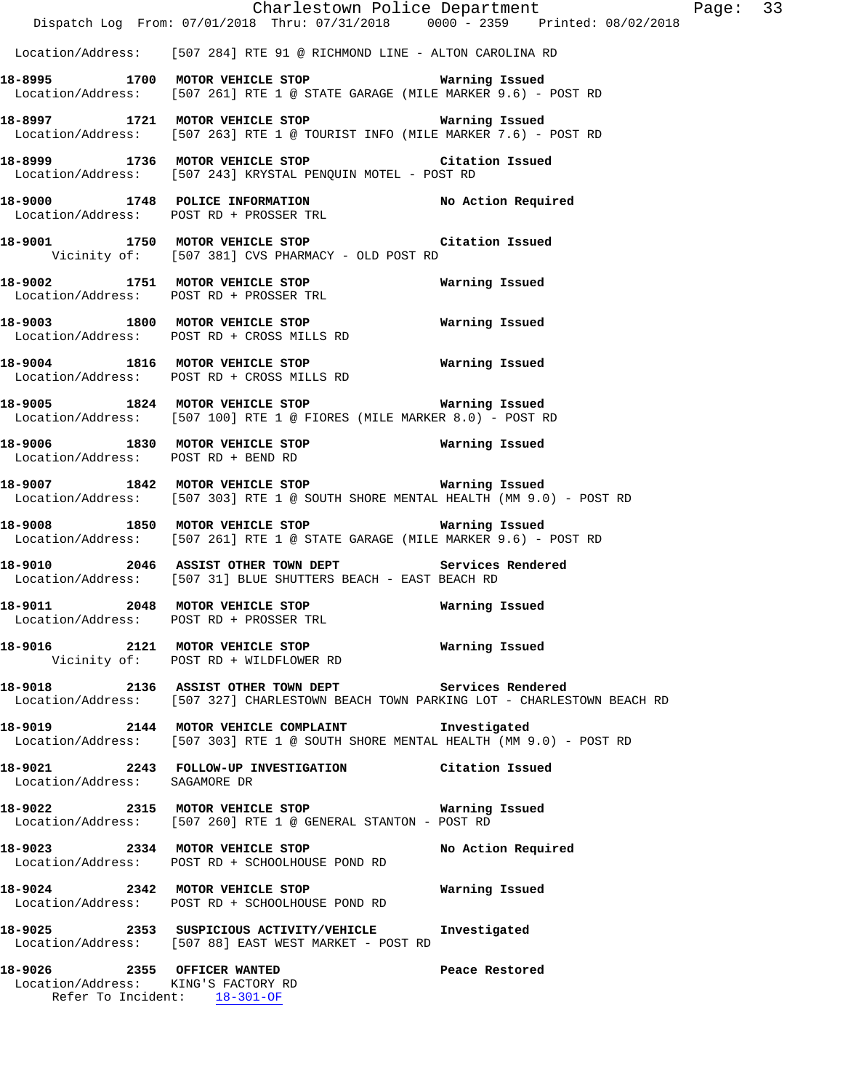|                                     | Dispatch Log From: 07/01/2018 Thru: 07/31/2018 0000 - 2359 Printed: 08/02/2018                                                                 | Charlestown Police Department | Page: 33 |  |
|-------------------------------------|------------------------------------------------------------------------------------------------------------------------------------------------|-------------------------------|----------|--|
|                                     | Location/Address: [507 284] RTE 91 @ RICHMOND LINE - ALTON CAROLINA RD                                                                         |                               |          |  |
|                                     | 18-8995 1700 MOTOR VEHICLE STOP 6 Warning Issued<br>Location/Address: [507 261] RTE 1 @ STATE GARAGE (MILE MARKER 9.6) - POST RD               |                               |          |  |
|                                     | 18-8997 1721 MOTOR VEHICLE STOP 6 Warning Issued<br>Location/Address: [507 263] RTE 1 @ TOURIST INFO (MILE MARKER 7.6) - POST RD               |                               |          |  |
|                                     | 18-8999 1736 MOTOR VEHICLE STOP Citation Issued<br>Location/Address: [507 243] KRYSTAL PENQUIN MOTEL - POST RD                                 |                               |          |  |
|                                     | 18-9000 1748 POLICE INFORMATION<br>Location/Address: POST RD + PROSSER TRL                                                                     | No Action Required            |          |  |
|                                     | 18-9001 1750 MOTOR VEHICLE STOP Citation Issued<br>Vicinity of: [507 381] CVS PHARMACY - OLD POST RD                                           |                               |          |  |
|                                     | 18-9002 1751 MOTOR VEHICLE STOP 6 Warning Issued<br>Location/Address: POST RD + PROSSER TRL                                                    |                               |          |  |
|                                     | 18-9003 1800 MOTOR VEHICLE STOP<br>Location/Address: POST RD + CROSS MILLS RD                                                                  | Warning Issued                |          |  |
|                                     | 18-9004 1816 MOTOR VEHICLE STOP<br>Location/Address: POST RD + CROSS MILLS RD                                                                  | Warning Issued                |          |  |
|                                     | 18-9005 1824 MOTOR VEHICLE STOP 6 Warning Issued<br>Location/Address: [507 100] RTE 1 @ FIORES (MILE MARKER 8.0) - POST RD                     |                               |          |  |
| Location/Address: POST RD + BEND RD | 18-9006 1830 MOTOR VEHICLE STOP 6 Warning Issued                                                                                               |                               |          |  |
|                                     | 18-9007 1842 MOTOR VEHICLE STOP 6 Warning Issued<br>Location/Address: [507 303] RTE 1 @ SOUTH SHORE MENTAL HEALTH (MM 9.0) - POST RD           |                               |          |  |
|                                     | 18-9008 1850 MOTOR VEHICLE STOP 6 Warning Issued<br>Location/Address: [507 261] RTE 1 @ STATE GARAGE (MILE MARKER 9.6) - POST RD               |                               |          |  |
|                                     | 18-9010 2046 ASSIST OTHER TOWN DEPT Services Rendered<br>Location/Address: [507 31] BLUE SHUTTERS BEACH - EAST BEACH RD                        |                               |          |  |
| 18-9011                             | 2048 MOTOR VEHICLE STOP<br>Location/Address: POST RD + PROSSER TRL                                                                             | Warning Issued                |          |  |
|                                     | 18-9016  2121 MOTOR VEHICLE STOP   Warning Issued<br>Vicinity of: POST RD + WILDFLOWER RD                                                      |                               |          |  |
|                                     | 18-9018 2136 ASSIST OTHER TOWN DEPT Services Rendered<br>Location/Address: [507 327] CHARLESTOWN BEACH TOWN PARKING LOT - CHARLESTOWN BEACH RD |                               |          |  |
|                                     | 18-9019 2144 MOTOR VEHICLE COMPLAINT 1nvestigated<br>Location/Address: [507 303] RTE 1 @ SOUTH SHORE MENTAL HEALTH (MM 9.0) - POST RD          |                               |          |  |
| Location/Address: SAGAMORE DR       | 18-9021 2243 FOLLOW-UP INVESTIGATION Citation Issued                                                                                           |                               |          |  |
|                                     | 18-9022 2315 MOTOR VEHICLE STOP 6 Warning Issued<br>Location/Address: [507 260] RTE 1 @ GENERAL STANTON - POST RD                              |                               |          |  |
|                                     | 18-9023 2334 MOTOR VEHICLE STOP<br>Location/Address: POST RD + SCHOOLHOUSE POND RD                                                             | No Action Required            |          |  |
|                                     | 18-9024 2342 MOTOR VEHICLE STOP 6 Warning Issued<br>Location/Address: POST RD + SCHOOLHOUSE POND RD                                            |                               |          |  |
|                                     | 18-9025 2353 SUSPICIOUS ACTIVITY/VEHICLE Investigated<br>Location/Address: [507 88] EAST WEST MARKET - POST RD                                 |                               |          |  |
| Location/Address: KING'S FACTORY RD | 18-9026 2355 OFFICER WANTED<br>Refer To Incident: 18-301-OF                                                                                    | Peace Restored                |          |  |
|                                     |                                                                                                                                                |                               |          |  |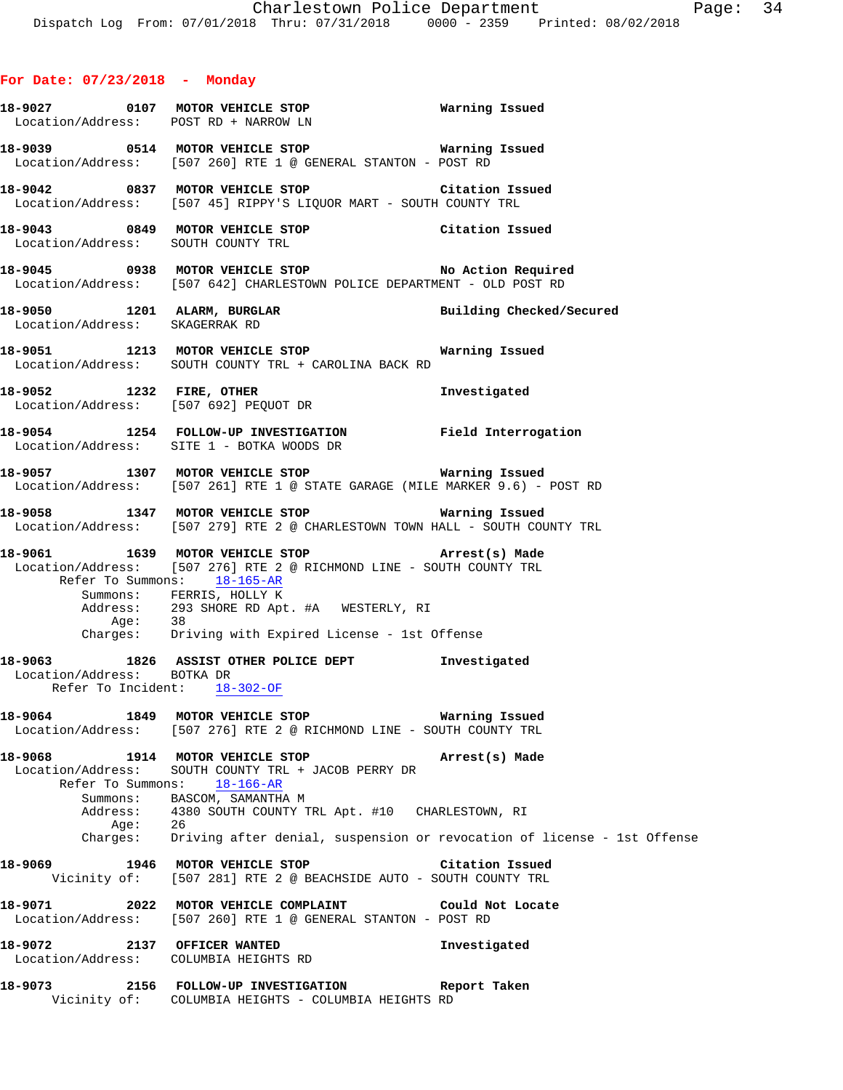|                                                            | 18-9027  0107 MOTOR VEHICLE STOP <b>WATER MATTION</b> Issued<br>Location/Address: POST RD + NARROW LN                                                                                 |                 |
|------------------------------------------------------------|---------------------------------------------------------------------------------------------------------------------------------------------------------------------------------------|-----------------|
|                                                            | Location/Address: [507 260] RTE 1 @ GENERAL STANTON - POST RD                                                                                                                         |                 |
|                                                            | 18-9042 0837 MOTOR VEHICLE STOP Citation Issued<br>Location/Address: [507 45] RIPPY'S LIQUOR MART - SOUTH COUNTY TRL                                                                  |                 |
|                                                            | 18-9043 0849 MOTOR VEHICLE STOP Citation Issued<br>Location/Address: SOUTH COUNTY TRL                                                                                                 |                 |
|                                                            | 18-9045 0938 MOTOR VEHICLE STOP No Action Required<br>Location/Address: [507 642] CHARLESTOWN POLICE DEPARTMENT - OLD POST RD                                                         |                 |
|                                                            | 18-9050 1201 ALARM, BURGLAR BURGLAR Building Checked/Secured Location/Address: SKAGERRAK RD                                                                                           |                 |
|                                                            | 18-9051 1213 MOTOR VEHICLE STOP 6 Warning Issued<br>Location/Address: SOUTH COUNTY TRL + CAROLINA BACK RD                                                                             |                 |
|                                                            | 18-9052 1232 FIRE, OTHER<br>Location/Address: [507 692] PEQUOT DR<br>Location/Address: [507 692] PEQUOT DR                                                                            |                 |
|                                                            | 18-9054 1254 FOLLOW-UP INVESTIGATION Field Interrogation<br>Location/Address: SITE 1 - BOTKA WOODS DR                                                                                 |                 |
|                                                            | 18-9057 1307 MOTOR VEHICLE STOP <b>Warning Issued</b><br>Location/Address: [507 261] RTE 1 @ STATE GARAGE (MILE MARKER 9.6) - POST RD                                                 |                 |
|                                                            | 18-9058 1347 MOTOR VEHICLE STOP 6 Warning Issued<br>Location/Address: [507 279] RTE 2 @ CHARLESTOWN TOWN HALL - SOUTH COUNTY TRL                                                      |                 |
|                                                            | 18-9061 1639 MOTOR VEHICLE STOP (Arrest(s) Made<br>Location/Address: [507 276] RTE 2 @ RICHMOND LINE - SOUTH COUNTY TRL<br>Refer To Summons: 18-165-AR                                |                 |
|                                                            | Summons: FERRIS, HOLLY K<br>Address: 293 SHORE RD Apt. #A WESTERLY, RI<br>Age: 38<br>Charges: Driving with Expired License - 1st Offense                                              |                 |
| Location/Address: BOTKA DR<br>Refer To Incident: 18-302-OF | 18-9063 1826 ASSIST OTHER POLICE DEPT 1nvestigated                                                                                                                                    |                 |
|                                                            | 18-9064 1849 MOTOR VEHICLE STOP 6 Warning Issued<br>Location/Address: [507 276] RTE 2 @ RICHMOND LINE - SOUTH COUNTY TRL                                                              |                 |
|                                                            | 18-9068 1914 MOTOR VEHICLE STOP Arrest(s) Made<br>Location/Address: SOUTH COUNTY TRL + JACOB PERRY DR<br>Refer To Summons: 18-166-AR                                                  |                 |
|                                                            | Summons: BASCOM, SAMANTHA M<br>Address: 4380 SOUTH COUNTY TRL Apt. #10 CHARLESTOWN, RI<br>Age: 26<br>Charges: Driving after denial, suspension or revocation of license - 1st Offense |                 |
|                                                            | 18-9069 1946 MOTOR VEHICLE STOP                                                                                                                                                       | Citation Issued |
|                                                            | Vicinity of: [507 281] RTE 2 @ BEACHSIDE AUTO - SOUTH COUNTY TRL                                                                                                                      |                 |
|                                                            | 18-9071 2022 MOTOR VEHICLE COMPLAINT Could Not Locate<br>Location/Address: [507 260] RTE 1 @ GENERAL STANTON - POST RD                                                                |                 |
| 18-9072 2137 OFFICER WANTED                                | Location/Address: COLUMBIA HEIGHTS RD                                                                                                                                                 | Investigated    |
|                                                            | 18-9073 2156 FOLLOW-UP INVESTIGATION Report Taken<br>Vicinity of: COLUMBIA HEIGHTS - COLUMBIA HEIGHTS RD                                                                              |                 |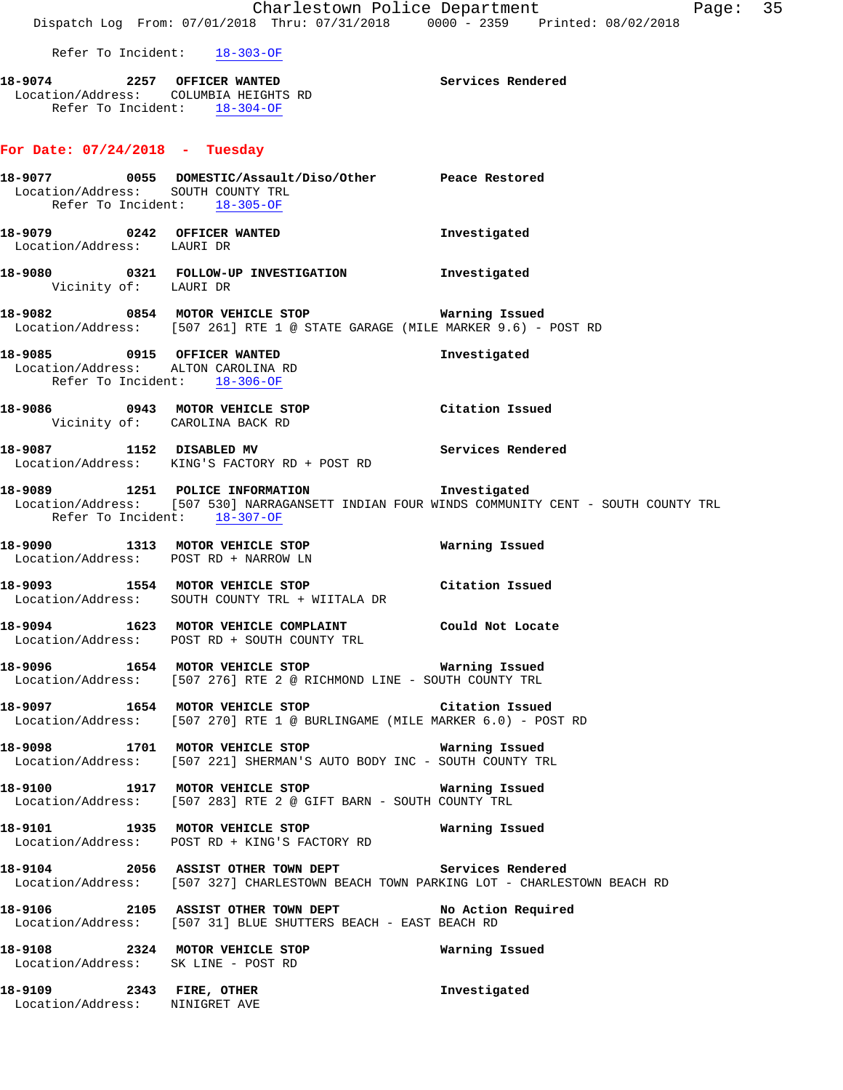Refer To Incident: 18-303-OF

**18-9074 2257 OFFICER WANTED Services Rendered**  Location/Address: COLUMBIA HEIGHTS RD Refer To Incident:  $\frac{18-304-OF}{}$ 

# **For Date: 07/24/2018 - Tuesday**

| Location/Address: SOUTH COUNTY TRL<br>Refer To Incident: 18-305-OF | 18-9077  0055 DOMESTIC/Assault/Diso/Other Peace Restored                                                                              |                                                                                              |
|--------------------------------------------------------------------|---------------------------------------------------------------------------------------------------------------------------------------|----------------------------------------------------------------------------------------------|
| Location/Address: LAURI DR                                         | 18-9079 0242 OFFICER WANTED                                                                                                           | Investigated                                                                                 |
| Vicinity of: LAURI DR                                              | 18-9080 0321 FOLLOW-UP INVESTIGATION 1nvestigated                                                                                     |                                                                                              |
|                                                                    | 18-9082 0854 MOTOR VEHICLE STOP <b>Marning Issued</b><br>Location/Address: [507 261] RTE 1 @ STATE GARAGE (MILE MARKER 9.6) - POST RD |                                                                                              |
| Refer To Incident: 18-306-OF                                       | 18-9085 0915 OFFICER WANTED<br>Location/Address: ALTON CAROLINA RD                                                                    | Investigated                                                                                 |
|                                                                    | 18-9086 0943 MOTOR VEHICLE STOP Citation Issued<br>Vicinity of: CAROLINA BACK RD                                                      |                                                                                              |
|                                                                    | 18-9087 1152 DISABLED MV Services Rendered<br>Location/Address: KING'S FACTORY RD + POST RD                                           |                                                                                              |
| Refer To Incident: 18-307-OF                                       |                                                                                                                                       | Location/Address: [507 530] NARRAGANSETT INDIAN FOUR WINDS COMMUNITY CENT - SOUTH COUNTY TRL |
|                                                                    | 18-9090 1313 MOTOR VEHICLE STOP 6 Warning Issued<br>Location/Address: POST RD + NARROW LN                                             |                                                                                              |
|                                                                    | 18-9093 1554 MOTOR VEHICLE STOP Citation Issued<br>Location/Address: SOUTH COUNTY TRL + WIITALA DR                                    |                                                                                              |
|                                                                    | 18-9094 1623 MOTOR VEHICLE COMPLAINT Could Not Locate<br>Location/Address: POST RD + SOUTH COUNTY TRL                                 |                                                                                              |
|                                                                    | 18-9096 1654 MOTOR VEHICLE STOP <b>Marning Issued</b><br>Location/Address: [507 276] RTE 2 @ RICHMOND LINE - SOUTH COUNTY TRL         |                                                                                              |
|                                                                    | 18-9097 1654 MOTOR VEHICLE STOP Citation Issued<br>Location/Address: [507 270] RTE 1 @ BURLINGAME (MILE MARKER 6.0) - POST RD         |                                                                                              |
|                                                                    | 18-9098 1701 MOTOR VEHICLE STOP <b>Marning Issued</b><br>Location/Address: [507 221] SHERMAN'S AUTO BODY INC - SOUTH COUNTY TRL       |                                                                                              |
|                                                                    | 18-9100 1917 MOTOR VEHICLE STOP <b>Warning Issued</b><br>Location/Address: [507 283] RTE 2 @ GIFT BARN - SOUTH COUNTY TRL             |                                                                                              |
|                                                                    | 18-9101 1935 MOTOR VEHICLE STOP 18 Warning Issued<br>Location/Address: POST RD + KING'S FACTORY RD                                    |                                                                                              |
|                                                                    | 18-9104 2056 ASSIST OTHER TOWN DEPT<br>Location/Address: [507 327] CHARLESTOWN BEACH TOWN PARKING LOT - CHARLESTOWN BEACH RD          | Services Rendered                                                                            |
|                                                                    | 18-9106 2105 ASSIST OTHER TOWN DEPT No Action Required<br>Location/Address: [507 31] BLUE SHUTTERS BEACH - EAST BEACH RD              |                                                                                              |
| Location/Address: SK LINE - POST RD                                | 18-9108 2324 MOTOR VEHICLE STOP                                                                                                       | Warning Issued                                                                               |
| 18-9109 2343 FIRE, OTHER<br>Location/Address: NINIGRET AVE         |                                                                                                                                       | Investigated                                                                                 |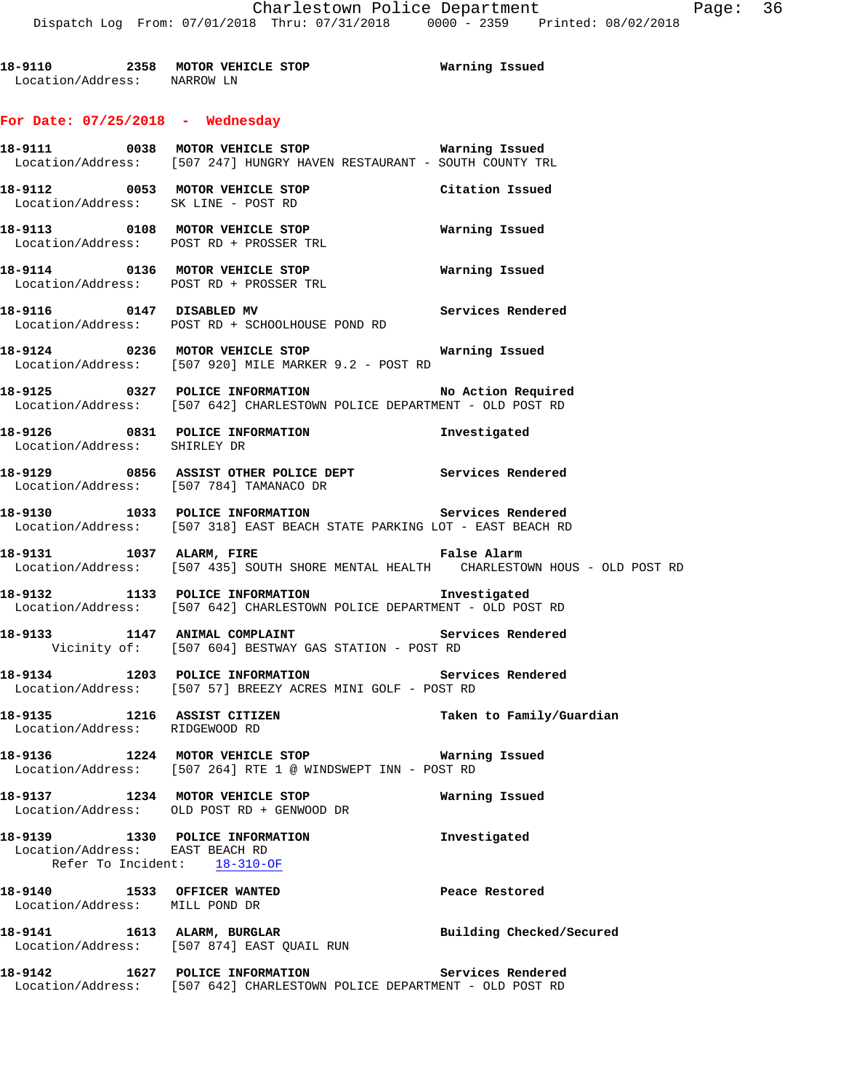**18-9110 2358 MOTOR VEHICLE STOP Warning Issued**  Location/Address: NARROW LN

# **For Date: 07/25/2018 - Wednesday**

|                                                               | Location/Address: [507 247] HUNGRY HAVEN RESTAURANT - SOUTH COUNTY TRL                                                             |                          |
|---------------------------------------------------------------|------------------------------------------------------------------------------------------------------------------------------------|--------------------------|
|                                                               | 18-9112 0053 MOTOR VEHICLE STOP<br>Location/Address: SK LINE - POST RD                                                             | Citation Issued          |
|                                                               | 18-9113 0108 MOTOR VEHICLE STOP 6 Warning Issued<br>Location/Address: POST RD + PROSSER TRL                                        |                          |
|                                                               | 18-9114 0136 MOTOR VEHICLE STOP <b>WAYNIG SERVE WARE</b><br>Location/Address: POST RD + PROSSER TRL                                |                          |
|                                                               | 18-9116 0147 DISABLED MV Services Rendered<br>Location/Address: POST RD + SCHOOLHOUSE POND RD                                      |                          |
|                                                               | 18-9124 0236 MOTOR VEHICLE STOP <b>Warning Issued</b><br>Location/Address: [507 920] MILE MARKER 9.2 - POST RD                     |                          |
|                                                               | 18-9125 0327 POLICE INFORMATION No Action Required<br>Location/Address: [507 642] CHARLESTOWN POLICE DEPARTMENT - OLD POST RD      |                          |
| Location/Address: SHIRLEY DR                                  | 18-9126 0831 POLICE INFORMATION 1nvestigated                                                                                       |                          |
|                                                               | 18-9129 0856 ASSIST OTHER POLICE DEPT Services Rendered<br>Location/Address: [507 784] TAMANACO DR                                 |                          |
|                                                               | 18-9130 1033 POLICE INFORMATION Services Rendered<br>Location/Address: [507 318] EAST BEACH STATE PARKING LOT - EAST BEACH RD      |                          |
|                                                               | 18-9131 1037 ALARM, FIRE 18 19 False Alarm<br>Location/Address: [507 435] SOUTH SHORE MENTAL HEALTH CHARLESTOWN HOUS - OLD POST RD |                          |
|                                                               | 18-9132 1133 POLICE INFORMATION 18-9132<br>Location/Address: [507 642] CHARLESTOWN POLICE DEPARTMENT - OLD POST RD                 |                          |
|                                                               | 18-9133 1147 ANIMAL COMPLAINT Services Rendered<br>Vicinity of: [507 604] BESTWAY GAS STATION - POST RD                            |                          |
|                                                               | 18-9134 1203 POLICE INFORMATION 5ervices Rendered<br>Location/Address: [507 57] BREEZY ACRES MINI GOLF - POST RD                   |                          |
| Location/Address: RIDGEWOOD RD                                |                                                                                                                                    | Taken to Family/Guardian |
|                                                               | 18-9136 1224 MOTOR VEHICLE STOP<br>Location/Address: [507 264] RTE 1 @ WINDSWEPT INN - POST RD                                     | Warning Issued           |
|                                                               | 18-9137 1234 MOTOR VEHICLE STOP<br>Location/Address: OLD POST RD + GENWOOD DR                                                      | Warning Issued           |
| Location/Address: EAST BEACH RD                               | 18-9139 1330 POLICE INFORMATION<br>Refer To Incident: 18-310-OF                                                                    | Investigated             |
| 18-9140 1533 OFFICER WANTED<br>Location/Address: MILL POND DR |                                                                                                                                    | Peace Restored           |
|                                                               | 18-9141 1613 ALARM, BURGLAR<br>Location/Address: [507 874] EAST QUAIL RUN                                                          | Building Checked/Secured |
|                                                               | 18-9142 1627 POLICE INFORMATION<br>Location/Address: [507 642] CHARLESTOWN POLICE DEPARTMENT - OLD POST RD                         | Services Rendered        |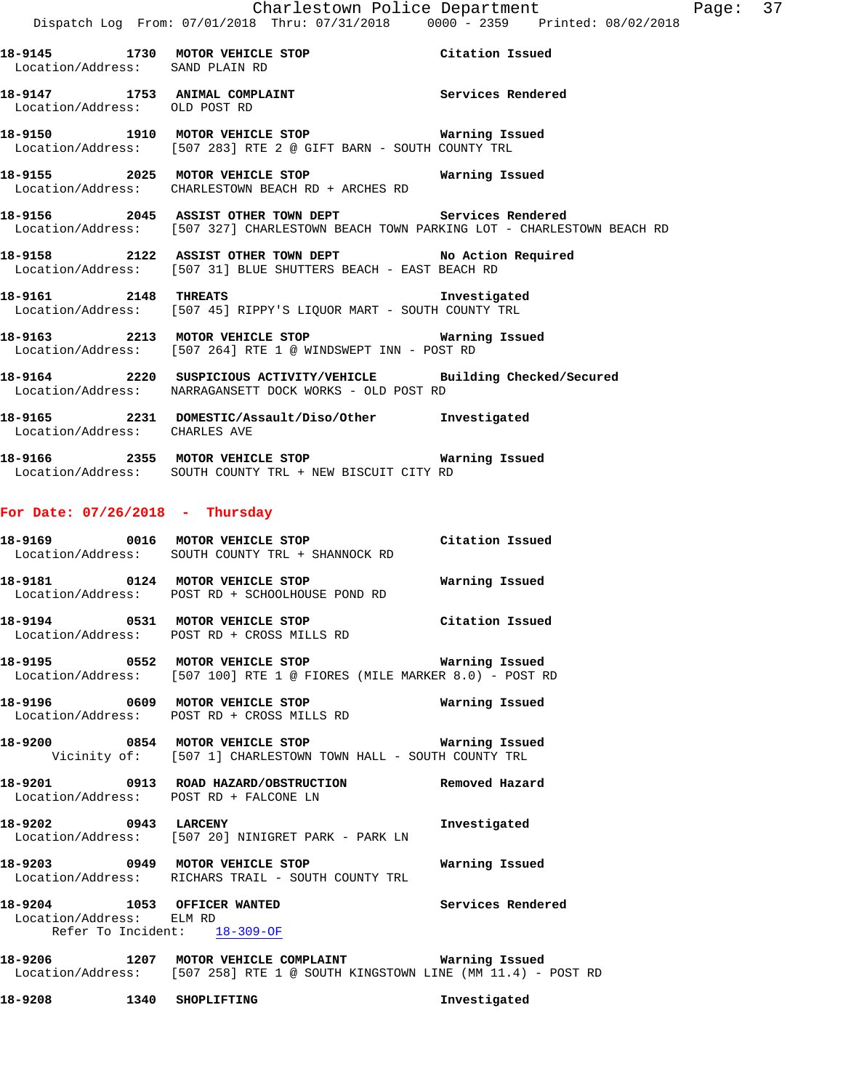| 18-9145<br>Location/Address: SAND PLAIN RD | 1730 | MOTOR VEHICLE STOP | Citation Issued   |  |
|--------------------------------------------|------|--------------------|-------------------|--|
| 18-9147<br>Location/Address: OLD POST RD   | 1753 | ANIMAL COMPLAINT   | Services Rendered |  |

**18-9150 1910 MOTOR VEHICLE STOP Warning Issued**  Location/Address: [507 283] RTE 2 @ GIFT BARN - SOUTH COUNTY TRL

**18-9155 2025 MOTOR VEHICLE STOP Warning Issued**  Location/Address: CHARLESTOWN BEACH RD + ARCHES RD

**18-9156 2045 ASSIST OTHER TOWN DEPT Services Rendered**  Location/Address: [507 327] CHARLESTOWN BEACH TOWN PARKING LOT - CHARLESTOWN BEACH RD

**18-9158 2122 ASSIST OTHER TOWN DEPT No Action Required**  Location/Address: [507 31] BLUE SHUTTERS BEACH - EAST BEACH RD

**18-9161 2148 THREATS Investigated**  Location/Address: [507 45] RIPPY'S LIQUOR MART - SOUTH COUNTY TRL

**18-9163 2213 MOTOR VEHICLE STOP Warning Issued**  Location/Address: [507 264] RTE 1 @ WINDSWEPT INN - POST RD

**18-9164 2220 SUSPICIOUS ACTIVITY/VEHICLE Building Checked/Secured**  Location/Address: NARRAGANSETT DOCK WORKS - OLD POST RD

**18-9165 2231 DOMESTIC/Assault/Diso/Other Investigated**  Location/Address: CHARLES AVE

**18-9166 2355 MOTOR VEHICLE STOP Warning Issued**  Location/Address: SOUTH COUNTY TRL + NEW BISCUIT CITY RD

#### **For Date: 07/26/2018 - Thursday**

| 18-9169           |      | 0016 MOTOR VEHICLE STOP        | Citation Issued |
|-------------------|------|--------------------------------|-----------------|
| Location/Address: |      | SOUTH COUNTY TRL + SHANNOCK RD |                 |
| 18-9181           | 0124 | MOTOR VEHICLE STOP             | Warning Issued  |
| Location/Address: |      | POST RD + SCHOOLHOUSE POND RD  |                 |

**18-9194** 0531 MOTOR VEHICLE STOP Citation Issued<br>
Location/Address: POST RD + CROSS MILLS RD Location/Address: POST RD + CROSS MILLS RD

**18-9195 0552 MOTOR VEHICLE STOP Warning Issued**  Location/Address: [507 100] RTE 1 @ FIORES (MILE MARKER 8.0) - POST RD

**18-9196 0609 MOTOR VEHICLE STOP Warning Issued**  Location/Address: POST RD + CROSS MILLS RD

**18-9200 0854 MOTOR VEHICLE STOP Warning Issued**  Vicinity of: [507 1] CHARLESTOWN TOWN HALL - SOUTH COUNTY TRL

**18-9201 0913 ROAD HAZARD/OBSTRUCTION Removed Hazard**  Location/Address: POST RD + FALCONE LN

**18-9202 0943 LARCENY Investigated**  Location/Address: [507 20] NINIGRET PARK - PARK LN

**18-9203 0949 MOTOR VEHICLE STOP Warning Issued**  Location/Address: RICHARS TRAIL - SOUTH COUNTY TRL

**18-9204 1053 OFFICER WANTED Services Rendered**  Location/Address: ELM RD Refer To Incident: 18-309-OF

**18-9206 1207 MOTOR VEHICLE COMPLAINT Warning Issued**  Location/Address: [507 258] RTE 1 @ SOUTH KINGSTOWN LINE (MM 11.4) - POST RD

**18-9208 1340 SHOPLIFTING Investigated**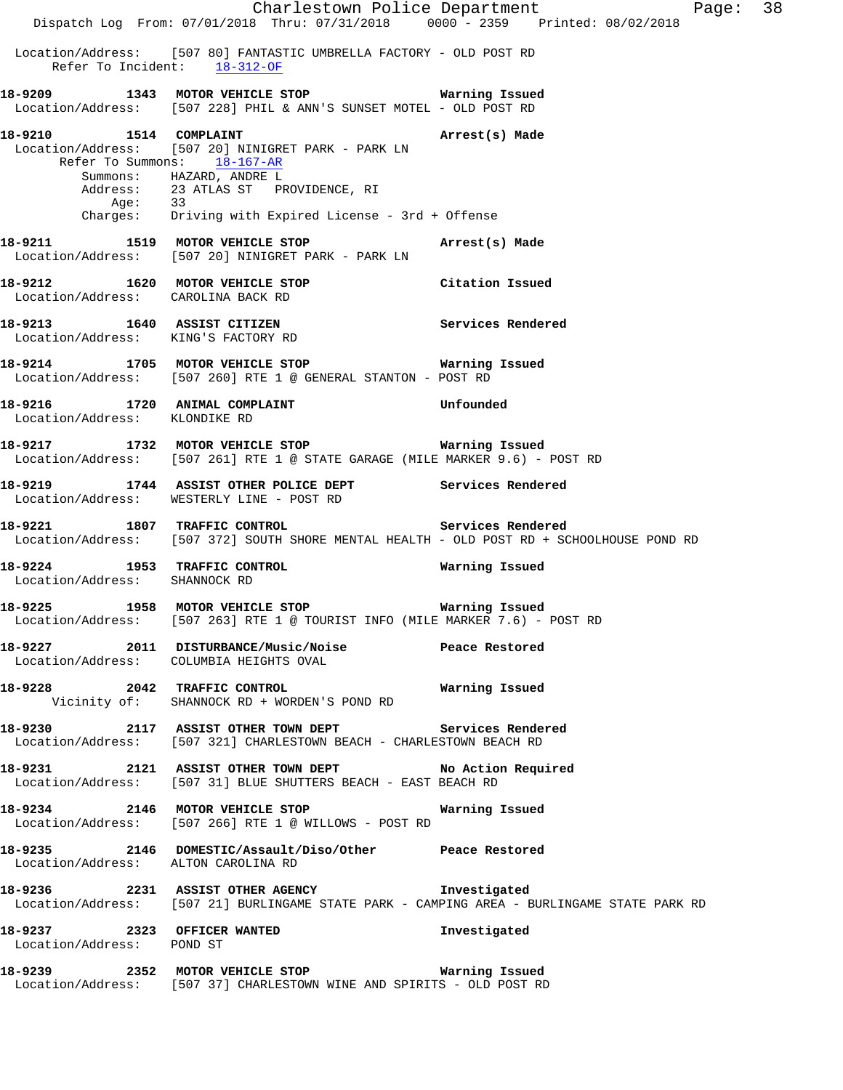Charlestown Police Department Page: 38 Dispatch Log From: 07/01/2018 Thru: 07/31/2018 0000 - 2359 Printed: 08/02/2018 Location/Address: [507 80] FANTASTIC UMBRELLA FACTORY - OLD POST RD Refer To Incident: 18-312-OF **18-9209 1343 MOTOR VEHICLE STOP Warning Issued**  Location/Address: [507 228] PHIL & ANN'S SUNSET MOTEL - OLD POST RD **18-9210 1514 COMPLAINT Arrest(s) Made**  Location/Address: [507 20] NINIGRET PARK - PARK LN Refer To Summons: 18-167-AR Summons: HAZARD, ANDRE L Address: 23 ATLAS ST PROVIDENCE, RI Age: 33 Charges: Driving with Expired License - 3rd + Offense **18-9211 1519 MOTOR VEHICLE STOP Arrest(s) Made**  Location/Address: [507 20] NINIGRET PARK - PARK LN **18-9212 1620 MOTOR VEHICLE STOP Citation Issued**  Location/Address: CAROLINA BACK RD **18-9213 1640 ASSIST CITIZEN Services Rendered**  Location/Address: KING'S FACTORY RD **18-9214 1705 MOTOR VEHICLE STOP Warning Issued**  Location/Address: [507 260] RTE 1 @ GENERAL STANTON - POST RD **18-9216 1720 ANIMAL COMPLAINT Unfounded**  Location/Address: KLONDIKE RD **18-9217 1732 MOTOR VEHICLE STOP Warning Issued**  Location/Address: [507 261] RTE 1 @ STATE GARAGE (MILE MARKER 9.6) - POST RD **18-9219 1744 ASSIST OTHER POLICE DEPT Services Rendered**  Location/Address: WESTERLY LINE - POST RD **18-9221 1807 TRAFFIC CONTROL Services Rendered**  Location/Address: [507 372] SOUTH SHORE MENTAL HEALTH - OLD POST RD + SCHOOLHOUSE POND RD **18-9224 1953 TRAFFIC CONTROL Warning Issued**  Location/Address: SHANNOCK RD **18-9225 1958 MOTOR VEHICLE STOP Warning Issued**  Location/Address: [507 263] RTE 1 @ TOURIST INFO (MILE MARKER 7.6) - POST RD **18-9227 2011 DISTURBANCE/Music/Noise Peace Restored**  Location/Address: COLUMBIA HEIGHTS OVAL **18-9228 2042 TRAFFIC CONTROL Warning Issued**  Vicinity of: SHANNOCK RD + WORDEN'S POND RD **18-9230 2117 ASSIST OTHER TOWN DEPT Services Rendered**  Location/Address: [507 321] CHARLESTOWN BEACH - CHARLESTOWN BEACH RD **18-9231 2121 ASSIST OTHER TOWN DEPT No Action Required**  Location/Address: [507 31] BLUE SHUTTERS BEACH - EAST BEACH RD **18-9234 2146 MOTOR VEHICLE STOP Warning Issued**  Location/Address: [507 266] RTE 1 @ WILLOWS - POST RD **18-9235 2146 DOMESTIC/Assault/Diso/Other Peace Restored**  Location/Address: ALTON CAROLINA RD **18-9236 2231 ASSIST OTHER AGENCY Investigated**  Location/Address: [507 21] BURLINGAME STATE PARK - CAMPING AREA - BURLINGAME STATE PARK RD **18-9237 2323 OFFICER WANTED Investigated**  Location/Address: POND ST **18-9239 2352 MOTOR VEHICLE STOP Warning Issued**  Location/Address: [507 37] CHARLESTOWN WINE AND SPIRITS - OLD POST RD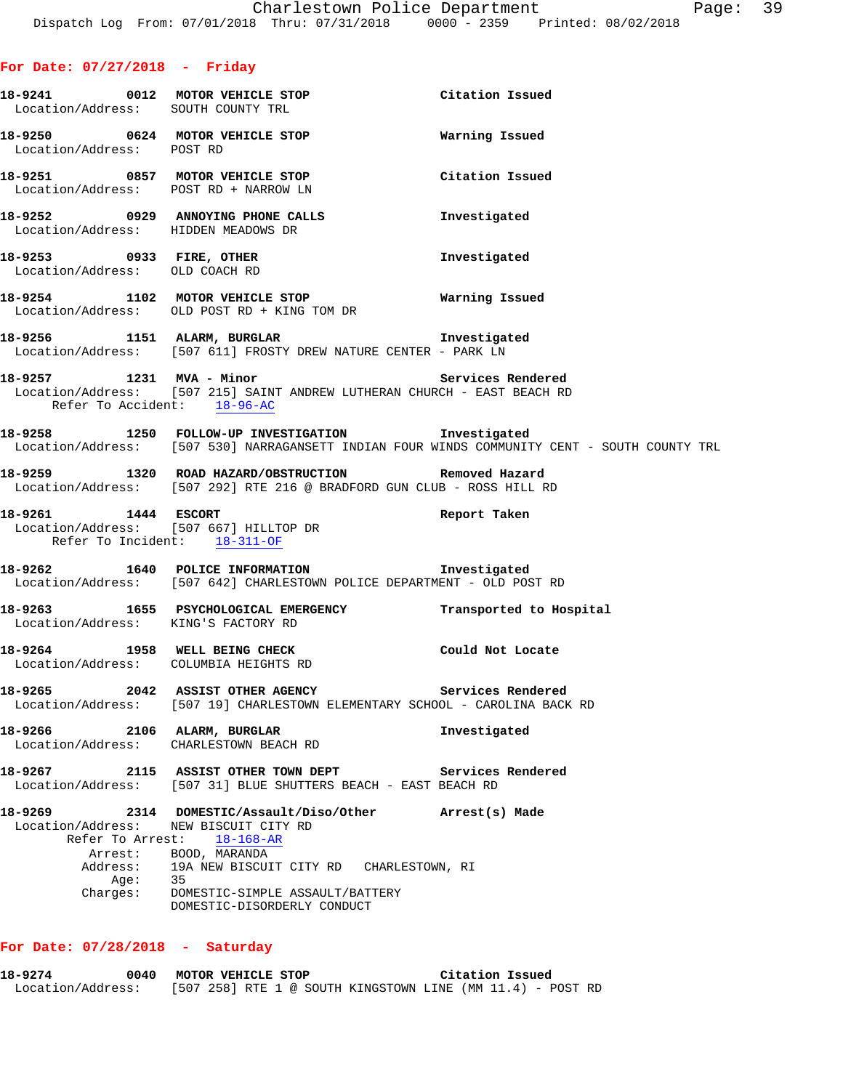|                                | 18-9241 0012 MOTOR VEHICLE STOP Citation Issued<br>Location/Address: SOUTH COUNTY TRL                                                                       |                 |
|--------------------------------|-------------------------------------------------------------------------------------------------------------------------------------------------------------|-----------------|
| Location/Address: POST RD      | 18-9250 0624 MOTOR VEHICLE STOP 18-9250 Warning Issued                                                                                                      |                 |
|                                | 18-9251 0857 MOTOR VEHICLE STOP<br>Location/Address: POST RD + NARROW LN                                                                                    | Citation Issued |
|                                | 18-9252 0929 ANNOYING PHONE CALLS<br>Location/Address: HIDDEN MEADOWS DR                                                                                    | Investigated    |
| Location/Address: OLD COACH RD | 18-9253 0933 FIRE, OTHER                                                                                                                                    | Investigated    |
|                                | 18-9254 1102 MOTOR VEHICLE STOP Warning Issued<br>Location/Address: OLD POST RD + KING TOM DR                                                               |                 |
|                                | 18-9256 1151 ALARM, BURGLAR 18-9256 Investigated<br>Location/Address: [507 611] FROSTY DREW NATURE CENTER - PARK LN                                         |                 |
|                                | 18-9257 1231 MVA - Minor 18-10 Services Rendered<br>Location/Address: [507 215] SAINT ANDREW LUTHERAN CHURCH - EAST BEACH RD<br>Refer To Accident: 18-96-AC |                 |
|                                | 18-9258 1250 FOLLOW-UP INVESTIGATION Investigated<br>Location/Address: [507 530] NARRAGANSETT INDIAN FOUR WINDS COMMUNITY CENT - SOUTH COUNTY TRL           |                 |
|                                | 18-9259 1320 ROAD HAZARD/OBSTRUCTION Removed Hazard<br>Location/Address: [507 292] RTE 216 @ BRADFORD GUN CLUB - ROSS HILL RD                               |                 |
|                                | 18-9261 1444 ESCORT<br>Location/Address: [507 667] HILLTOP DR<br>Refer To Incident: 18-311-OF                                                               | Report Taken    |
|                                | 18-9262 1640 POLICE INFORMATION 18-9262<br>Location/Address: [507 642] CHARLESTOWN POLICE DEPARTMENT - OLD POST RD                                          |                 |
|                                | 18-9263 1655 PSYCHOLOGICAL EMERGENCY Transported to Hospital<br>Location/Address: KING'S FACTORY RD                                                         |                 |
|                                | 18-9264 1958 WELL BEING CHECK Could Not Locate<br>Location/Address: COLUMBIA HEIGHTS RD                                                                     |                 |
|                                | 18-9265 2042 ASSIST OTHER AGENCY Services Rendered<br>Location/Address: [507 19] CHARLESTOWN ELEMENTARY SCHOOL - CAROLINA BACK RD                           |                 |
|                                | 18-9266 2106 ALARM, BURGLAR<br>Location/Address: CHARLESTOWN BEACH RD                                                                                       | Investigated    |
|                                | 18-9267 2115 ASSIST OTHER TOWN DEPT Services Rendered<br>Location/Address: [507 31] BLUE SHUTTERS BEACH - EAST BEACH RD                                     |                 |
|                                | 18-9269 2314 DOMESTIC/Assault/Diso/Other Arrest(s) Made<br>Location/Address: NEW BISCUIT CITY RD<br>Refer To Arrest: 18-168-AR<br>Arrest: BOOD, MARANDA     |                 |
| Address:                       | 19A NEW BISCUIT CITY RD CHARLESTOWN, RI<br>Age: 35<br>Charges: DOMESTIC-SIMPLE ASSAULT/BATTERY<br>DOMESTIC-DISORDERLY CONDUCT                               |                 |
|                                |                                                                                                                                                             |                 |

### **For Date: 07/28/2018 - Saturday**

**18-9274 0040 MOTOR VEHICLE STOP Citation Issued**  Location/Address: [507 258] RTE 1 @ SOUTH KINGSTOWN LINE (MM 11.4) - POST RD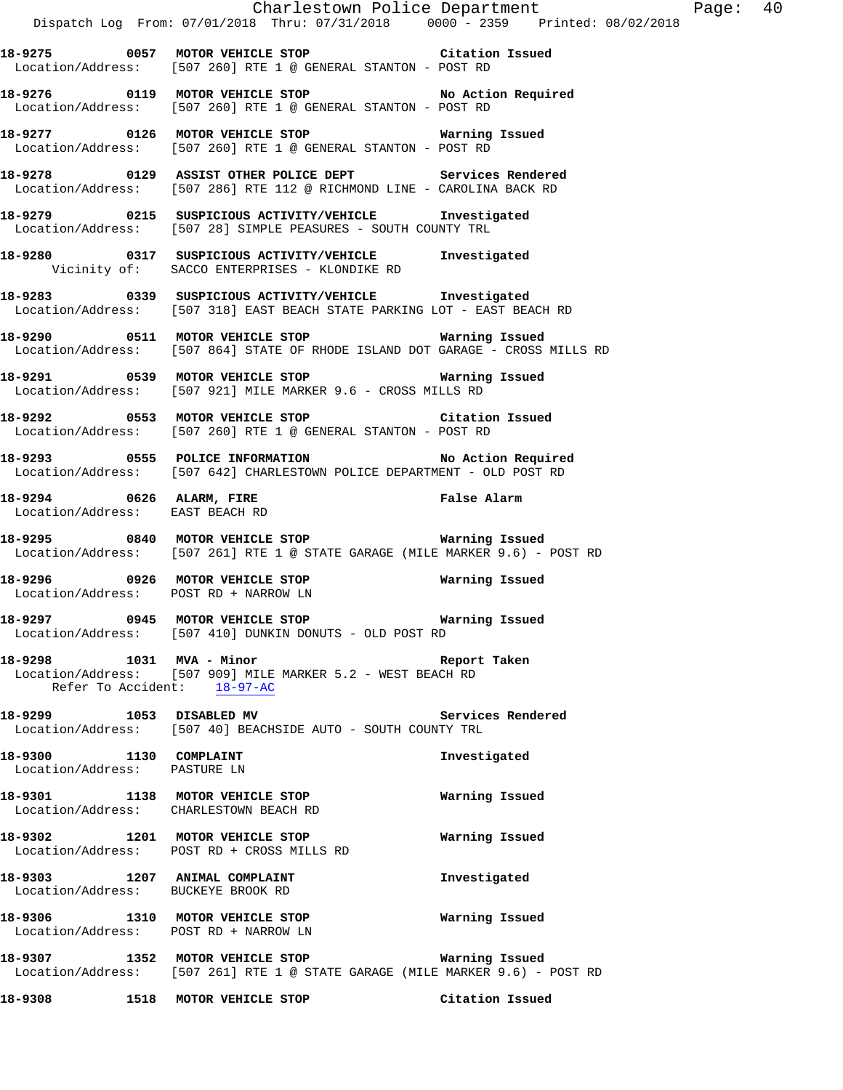Charlestown Police Department Page: 40 Dispatch Log From: 07/01/2018 Thru: 07/31/2018 0000 - 2359 Printed: 08/02/2018 **18-9275 0057 MOTOR VEHICLE STOP Citation Issued**  Location/Address: [507 260] RTE 1 @ GENERAL STANTON - POST RD **18-9276 0119 MOTOR VEHICLE STOP No Action Required**  Location/Address: [507 260] RTE 1 @ GENERAL STANTON - POST RD **18-9277 0126 MOTOR VEHICLE STOP Warning Issued**  Location/Address: [507 260] RTE 1 @ GENERAL STANTON - POST RD **18-9278 0129 ASSIST OTHER POLICE DEPT Services Rendered**  Location/Address: [507 286] RTE 112 @ RICHMOND LINE - CAROLINA BACK RD **18-9279 0215 SUSPICIOUS ACTIVITY/VEHICLE Investigated**  Location/Address: [507 28] SIMPLE PEASURES - SOUTH COUNTY TRL **18-9280 0317 SUSPICIOUS ACTIVITY/VEHICLE Investigated**  Vicinity of: SACCO ENTERPRISES - KLONDIKE RD **18-9283 0339 SUSPICIOUS ACTIVITY/VEHICLE Investigated**  Location/Address: [507 318] EAST BEACH STATE PARKING LOT - EAST BEACH RD **18-9290 0511 MOTOR VEHICLE STOP Warning Issued**  Location/Address: [507 864] STATE OF RHODE ISLAND DOT GARAGE - CROSS MILLS RD **18-9291 0539 MOTOR VEHICLE STOP Warning Issued**  Location/Address: [507 921] MILE MARKER 9.6 - CROSS MILLS RD **18-9292 0553 MOTOR VEHICLE STOP Citation Issued**  Location/Address: [507 260] RTE 1 @ GENERAL STANTON - POST RD **18-9293 0555 POLICE INFORMATION No Action Required**  Location/Address: [507 642] CHARLESTOWN POLICE DEPARTMENT - OLD POST RD **18-9294 0626 ALARM, FIRE False Alarm**  Location/Address: EAST BEACH RD **18-9295 0840 MOTOR VEHICLE STOP Warning Issued**  Location/Address: [507 261] RTE 1 @ STATE GARAGE (MILE MARKER 9.6) - POST RD **18-9296 0926 MOTOR VEHICLE STOP Warning Issued**  Location/Address: POST RD + NARROW LN **18-9297 0945 MOTOR VEHICLE STOP Warning Issued**  Location/Address: [507 410] DUNKIN DONUTS - OLD POST RD **18-9298 1031 MVA - Minor Report Taken**  Location/Address: [507 909] MILE MARKER 5.2 - WEST BEACH RD Refer To Accident: 18-97-AC **18-9299 1053 DISABLED MV Services Rendered**  Location/Address: [507 40] BEACHSIDE AUTO - SOUTH COUNTY TRL **18-9300 1130 COMPLAINT Investigated**  Location/Address: PASTURE LN **18-9301 1138 MOTOR VEHICLE STOP Warning Issued**  Location/Address: CHARLESTOWN BEACH RD **18-9302 1201 MOTOR VEHICLE STOP Warning Issued**  Location/Address: POST RD + CROSS MILLS RD **18-9303 1207 ANIMAL COMPLAINT Investigated**  Location/Address: BUCKEYE BROOK RD **18-9306 1310 MOTOR VEHICLE STOP Warning Issued**  Location/Address: POST RD + NARROW LN **18-9307 1352 MOTOR VEHICLE STOP Warning Issued**  Location/Address: [507 261] RTE 1 @ STATE GARAGE (MILE MARKER 9.6) - POST RD **18-9308 1518 MOTOR VEHICLE STOP Citation Issued**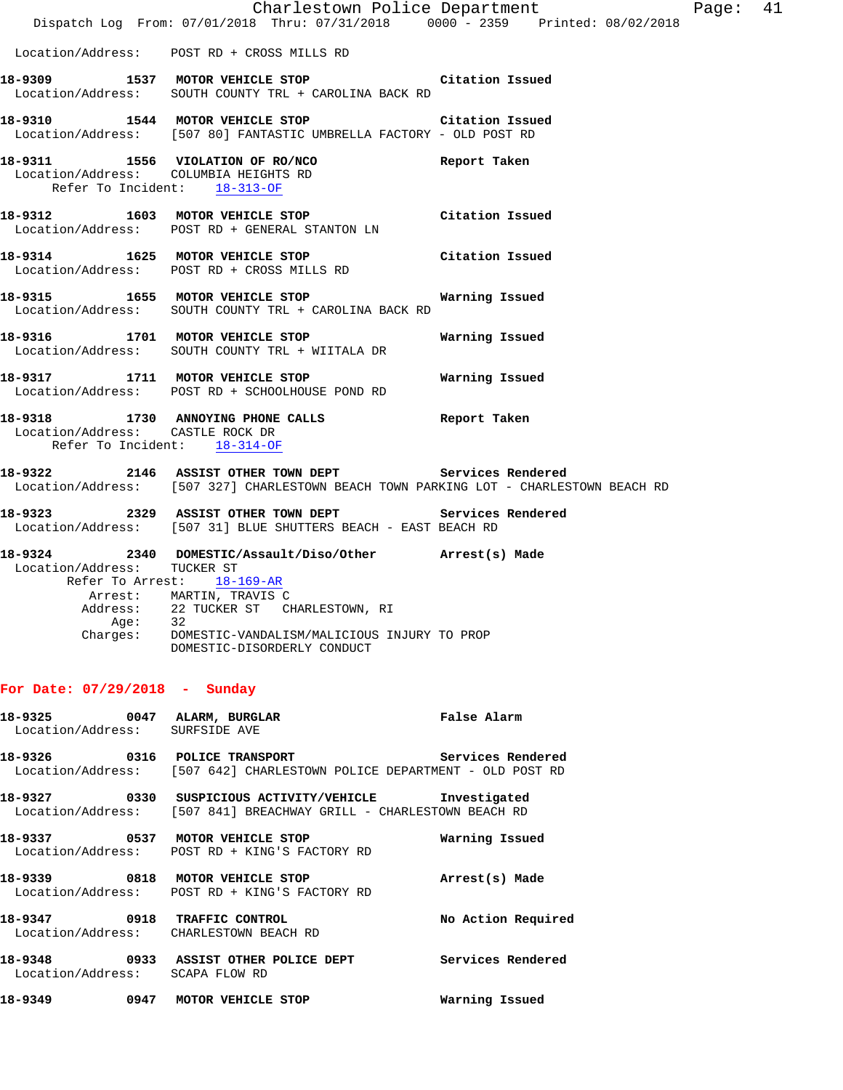|                                                                       | Dispatch Log From: 07/01/2018 Thru: 07/31/2018 0000 - 2359 Printed: 08/02/2018                                                                 | Charlestown Police Department | Page: 41 |  |
|-----------------------------------------------------------------------|------------------------------------------------------------------------------------------------------------------------------------------------|-------------------------------|----------|--|
|                                                                       | Location/Address: POST RD + CROSS MILLS RD                                                                                                     |                               |          |  |
|                                                                       | 18-9309 1537 MOTOR VEHICLE STOP Citation Issued<br>Location/Address: SOUTH COUNTY TRL + CAROLINA BACK RD                                       |                               |          |  |
|                                                                       | 18-9310 1544 MOTOR VEHICLE STOP Citation Issued<br>Location/Address: [507 80] FANTASTIC UMBRELLA FACTORY - OLD POST RD                         |                               |          |  |
| Location/Address: COLUMBIA HEIGHTS RD<br>Refer To Incident: 18-313-OF | 18-9311 1556 VIOLATION OF RO/NCO                                                                                                               | Report Taken                  |          |  |
|                                                                       | 18-9312 1603 MOTOR VEHICLE STOP Citation Issued<br>Location/Address: POST RD + GENERAL STANTON LN                                              |                               |          |  |
|                                                                       | 18-9314 1625 MOTOR VEHICLE STOP Citation Issued<br>Location/Address: POST RD + CROSS MILLS RD                                                  |                               |          |  |
|                                                                       | 18-9315 1655 MOTOR VEHICLE STOP 18-9315<br>Location/Address: SOUTH COUNTY TRL + CAROLINA BACK RD                                               |                               |          |  |
|                                                                       | 18-9316 1701 MOTOR VEHICLE STOP 6 Warning Issued<br>Location/Address: SOUTH COUNTY TRL + WIITALA DR                                            |                               |          |  |
|                                                                       | 18-9317 1711 MOTOR VEHICLE STOP<br>Location/Address: POST RD + SCHOOLHOUSE POND RD                                                             | Warning Issued                |          |  |
| Location/Address: CASTLE ROCK DR<br>Refer To Incident: 18-314-OF      | 18-9318 1730 ANNOYING PHONE CALLS Report Taken                                                                                                 |                               |          |  |
|                                                                       | 18-9322 2146 ASSIST OTHER TOWN DEPT Services Rendered<br>Location/Address: [507 327] CHARLESTOWN BEACH TOWN PARKING LOT - CHARLESTOWN BEACH RD |                               |          |  |
|                                                                       | 18-9323 2329 ASSIST OTHER TOWN DEPT Services Rendered<br>Location/Address: [507 31] BLUE SHUTTERS BEACH - EAST BEACH RD                        |                               |          |  |
| Location/Address: TUCKER ST                                           | 18-9324 2340 DOMESTIC/Assault/Diso/Other Arrest(s) Made<br>Refer To Arrest: 18-169-AR                                                          |                               |          |  |
| Age:                                                                  | Arrest: MARTIN, TRAVIS C<br>Address: 22 TUCKER ST CHARLESTOWN, RI<br>32                                                                        |                               |          |  |
|                                                                       | Charges: DOMESTIC-VANDALISM/MALICIOUS INJURY TO PROP<br>DOMESTIC-DISORDERLY CONDUCT                                                            |                               |          |  |
| For Date: $07/29/2018$ - Sunday                                       |                                                                                                                                                |                               |          |  |
| 18-9325 0047 ALARM, BURGLAR<br>Location/Address: SURFSIDE AVE         |                                                                                                                                                | False Alarm                   |          |  |
|                                                                       | 18-9326 0316 POLICE TRANSPORT<br>Location/Address: [507 642] CHARLESTOWN POLICE DEPARTMENT - OLD POST RD                                       | Services Rendered             |          |  |
|                                                                       | 18-9327 0330 SUSPICIOUS ACTIVITY/VEHICLE Investigated<br>Location/Address: [507 841] BREACHWAY GRILL - CHARLESTOWN BEACH RD                    |                               |          |  |
|                                                                       | 18-9337 0537 MOTOR VEHICLE STOP<br>Location/Address: POST RD + KING'S FACTORY RD                                                               | Warning Issued                |          |  |
|                                                                       | 18-9339 0818 MOTOR VEHICLE STOP<br>Location/Address: POST RD + KING'S FACTORY RD                                                               | Arrest(s) Made                |          |  |
| 18-9347 0918 TRAFFIC CONTROL                                          | Location/Address: CHARLESTOWN BEACH RD                                                                                                         | No Action Required            |          |  |

**18-9348 0933 ASSIST OTHER POLICE DEPT Services Rendered**  Location/Address: SCAPA FLOW RD

**18-9349 0947 MOTOR VEHICLE STOP Warning Issued**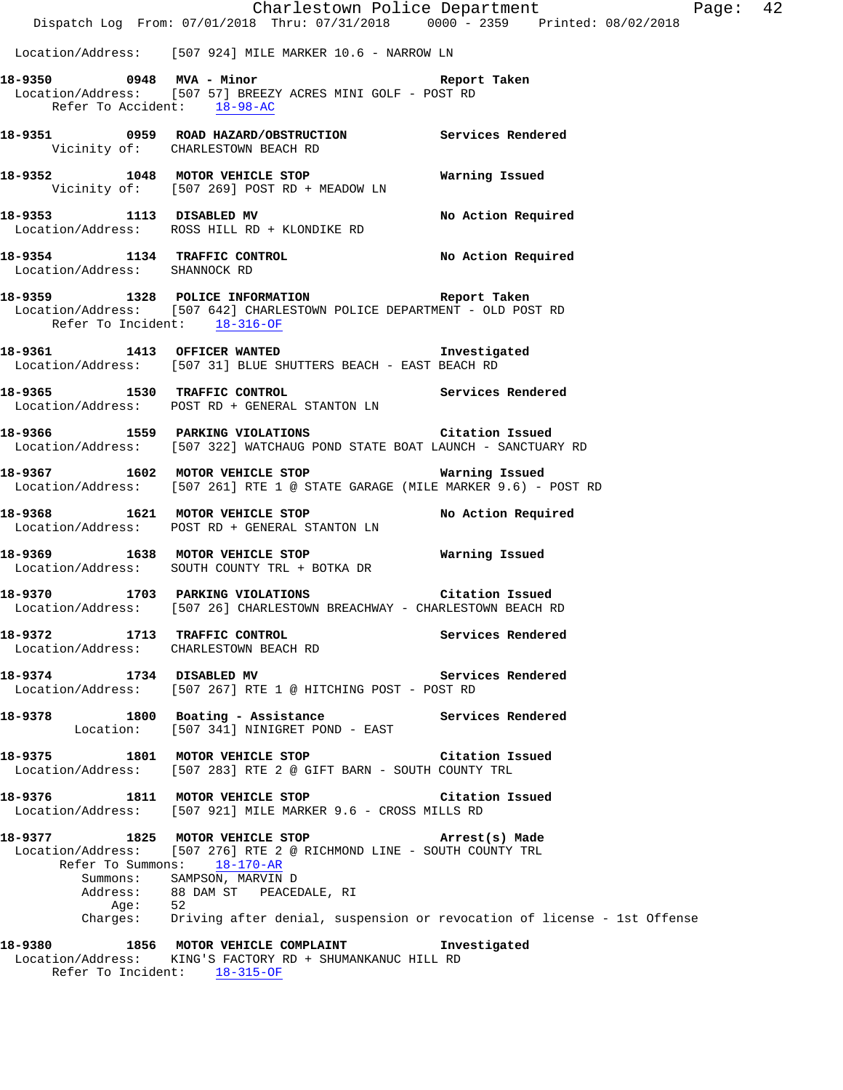|                               | Charlestown Police Department<br>Dispatch Log From: 07/01/2018 Thru: 07/31/2018 0000 - 2359 Printed: 08/02/2018                             | Ρa                |
|-------------------------------|---------------------------------------------------------------------------------------------------------------------------------------------|-------------------|
|                               | Location/Address: [507 924] MILE MARKER 10.6 - NARROW LN                                                                                    |                   |
| Refer To Accident: $18-98-AC$ | 18-9350 0948 MVA - Minor Changes and Report Taken<br>Location/Address: [507 57] BREEZY ACRES MINI GOLF - POST RD                            |                   |
|                               | 18-9351 0959 ROAD HAZARD/OBSTRUCTION Services Rendered<br>Vicinity of: CHARLESTOWN BEACH RD                                                 |                   |
|                               | 18-9352 1048 MOTOR VEHICLE STOP <b>WATER MEET WATER</b><br>Vicinity of: [507 269] POST RD + MEADOW LN                                       |                   |
|                               | 18-9353 1113 DISABLED MV No Action Required<br>Location/Address: ROSS HILL RD + KLONDIKE RD                                                 |                   |
| Location/Address: SHANNOCK RD | 18-9354 1134 TRAFFIC CONTROL No Action Required                                                                                             |                   |
| Refer To Incident: 18-316-OF  | 18-9359 1328 POLICE INFORMATION Report Taken<br>Location/Address: [507 642] CHARLESTOWN POLICE DEPARTMENT - OLD POST RD                     |                   |
|                               | <br>18-9361 1413 OFFICER WANTED Threstigated<br>Location/Address: [507 31] BLUE SHUTTERS BEACH - EAST BEACH RD                              |                   |
|                               | 18-9365 1530 TRAFFIC CONTROL STANTON LN Services Rendered Location/Address: POST RD + GENERAL STANTON LN                                    |                   |
|                               | 18-9366 1559 PARKING VIOLATIONS Citation Issued<br>Location/Address: [507 322] WATCHAUG POND STATE BOAT LAUNCH - SANCTUARY RD               |                   |
|                               | 18-9367 1602 MOTOR VEHICLE STOP <b>WATER</b> Warning Issued<br>Location/Address: [507 261] RTE 1 @ STATE GARAGE (MILE MARKER 9.6) - POST RD |                   |
|                               | 18-9368 1621 MOTOR VEHICLE STOP No Action Required<br>Location/Address: POST RD + GENERAL STANTON LN                                        |                   |
|                               | Location/Address: SOUTH COUNTY TRL + BOTKA DR                                                                                               |                   |
|                               | 18-9370 1703 PARKING VIOLATIONS Citation Issued<br>Location/Address: [507 26] CHARLESTOWN BREACHWAY - CHARLESTOWN BEACH RD                  |                   |
|                               | 18-9372 1713 TRAFFIC CONTROL 18-9372<br>Location/Address: CHARLESTOWN BEACH RD                                                              |                   |
|                               | 18-9374 1734 DISABLED MV<br>Location/Address: [507 267] RTE 1 @ HITCHING POST - POST RD                                                     | Services Rendered |
|                               | 18-9378 1800 Boating - Assistance Manuel Services Rendered<br>Location: [507 341] NINIGRET POND - EAST                                      |                   |
|                               | 18-9375 1801 MOTOR VEHICLE STOP Citation Issued<br>Location/Address: [507 283] RTE 2 @ GIFT BARN - SOUTH COUNTY TRL                         |                   |
|                               | 18-9376 1811 MOTOR VEHICLE STOP Citation Issued<br>Location/Address: [507 921] MILE MARKER 9.6 - CROSS MILLS RD                             |                   |
|                               | 18-9377 1825 MOTOR VEHICLE STOP <b>Arrest(s)</b> Made<br>Location/Address: [507 276] RTE 2 @ RICHMOND LINE - SOUTH COUNTY TRL               |                   |
|                               | Refer To Summons: 18-170-AR<br>Summons: SAMPSON, MARVIN D<br>Address: 88 DAM ST PEACEDALE, RI                                               |                   |
| Aqe:                          | 52<br>Charges: Driving after denial, suspension or revocation of license - 1st Offense                                                      |                   |
|                               | 18-9380 1856 MOTOR VEHICLE COMPLAINT 1nvestigated<br>Location/Address: KING'S FACTORY RD + SHUMANKANUC HILL RD                              |                   |

Refer To Incident: 18-315-OF

age: 42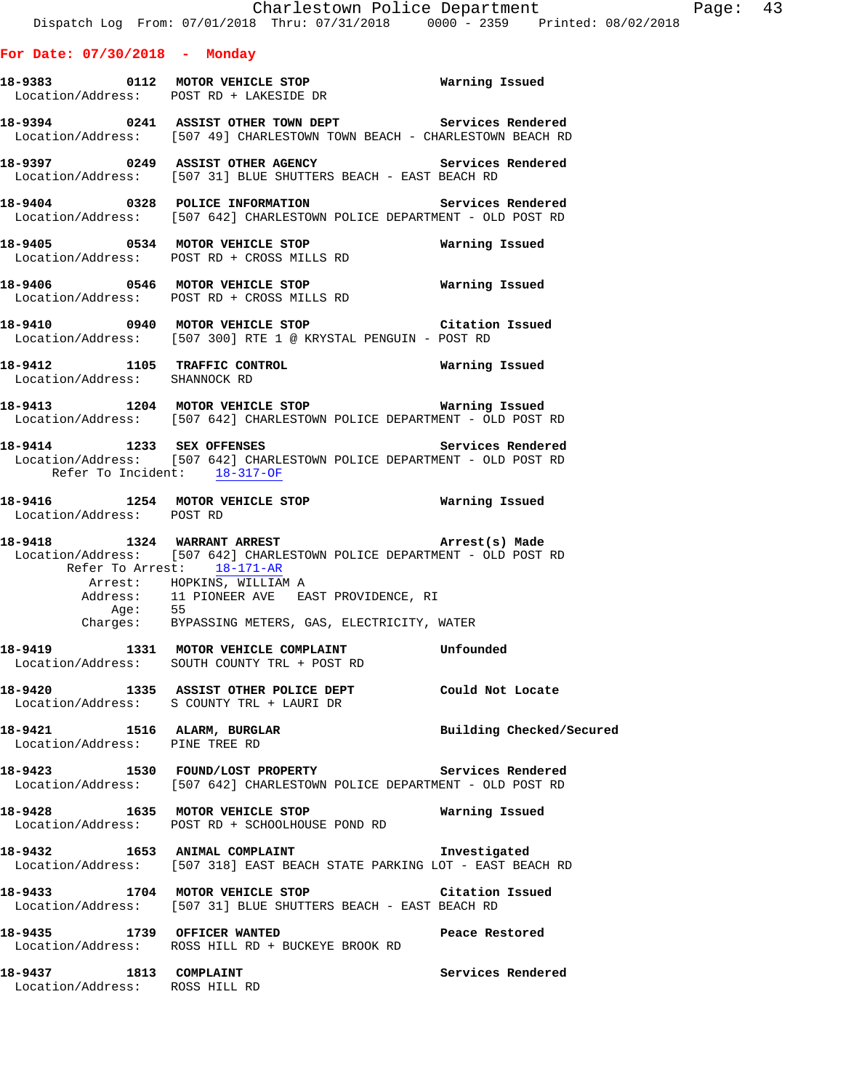#### **For Date: 07/30/2018 - Monday**

| 18-9383           | 0112 | MOTOR VEHICLE STOP    | Warning Issued |
|-------------------|------|-----------------------|----------------|
| Location/Address: |      | POST RD + LAKESIDE DR |                |
|                   |      |                       |                |

**18-9394 0241 ASSIST OTHER TOWN DEPT Services Rendered**  Location/Address: [507 49] CHARLESTOWN TOWN BEACH - CHARLESTOWN BEACH RD

**18-9397 0249 ASSIST OTHER AGENCY Services Rendered**  Location/Address: [507 31] BLUE SHUTTERS BEACH - EAST BEACH RD

**18-9404 0328 POLICE INFORMATION Services Rendered**<br>Location/Address: [507 642] CHARLESTOWN POLICE DEPARTMENT - OLD POST RD [507 642] CHARLESTOWN POLICE DEPARTMENT - OLD POST RD

**18-9405 0534 MOTOR VEHICLE STOP Warning Issued**  Location/Address: POST RD + CROSS MILLS RD

**18-9406 0546 MOTOR VEHICLE STOP Warning Issued**  Location/Address: POST RD + CROSS MILLS RD

**18-9410 0940 MOTOR VEHICLE STOP Citation Issued**  Location/Address: [507 300] RTE 1 @ KRYSTAL PENGUIN - POST RD

**18-9412 1105 TRAFFIC CONTROL Warning Issued**  Location/Address: SHANNOCK RD

**18-9413 1204 MOTOR VEHICLE STOP Warning Issued**  Location/Address: [507 642] CHARLESTOWN POLICE DEPARTMENT - OLD POST RD

**18-9414 1233 SEX OFFENSES Services Rendered**  Location/Address: [507 642] CHARLESTOWN POLICE DEPARTMENT - OLD POST RD Refer To Incident: 18-317-OF

**18-9416 1254 MOTOR VEHICLE STOP Warning Issued**  Location/Address: POST RD

**18-9418 1324 WARRANT ARREST Arrest(s) Made**  Location/Address: [507 642] CHARLESTOWN POLICE DEPARTMENT - OLD POST RD Refer To Arrest: 18-171-AR Arrest: HOPKINS, WILLIAM A Address: 11 PIONEER AVE EAST PROVIDENCE, RI Age: 55 Charges: BYPASSING METERS, GAS, ELECTRICITY, WATER

**18-9419 1331 MOTOR VEHICLE COMPLAINT Unfounded**  Location/Address: SOUTH COUNTY TRL + POST RD

**18-9420 1335 ASSIST OTHER POLICE DEPT Could Not Locate**  Location/Address: S COUNTY TRL + LAURI DR

18-9421 1516 ALARM, BURGLAR **Building Checked/Secured** Location/Address: PINE TREE RD

**18-9423 1530 FOUND/LOST PROPERTY Services Rendered**  Location/Address: [507 642] CHARLESTOWN POLICE DEPARTMENT - OLD POST RD

**18-9428 1635 MOTOR VEHICLE STOP Warning Issued**  Location/Address: POST RD + SCHOOLHOUSE POND RD

**18-9432 1653 ANIMAL COMPLAINT Investigated**  Location/Address: [507 318] EAST BEACH STATE PARKING LOT - EAST BEACH RD

**18-9433 1704 MOTOR VEHICLE STOP Citation Issued**  Location/Address: [507 31] BLUE SHUTTERS BEACH - EAST BEACH RD

**18-9435 1739 OFFICER WANTED Peace Restored**  Location/Address: ROSS HILL RD + BUCKEYE BROOK RD

**18-9437 1813 COMPLAINT Services Rendered**  Location/Address: ROSS HILL RD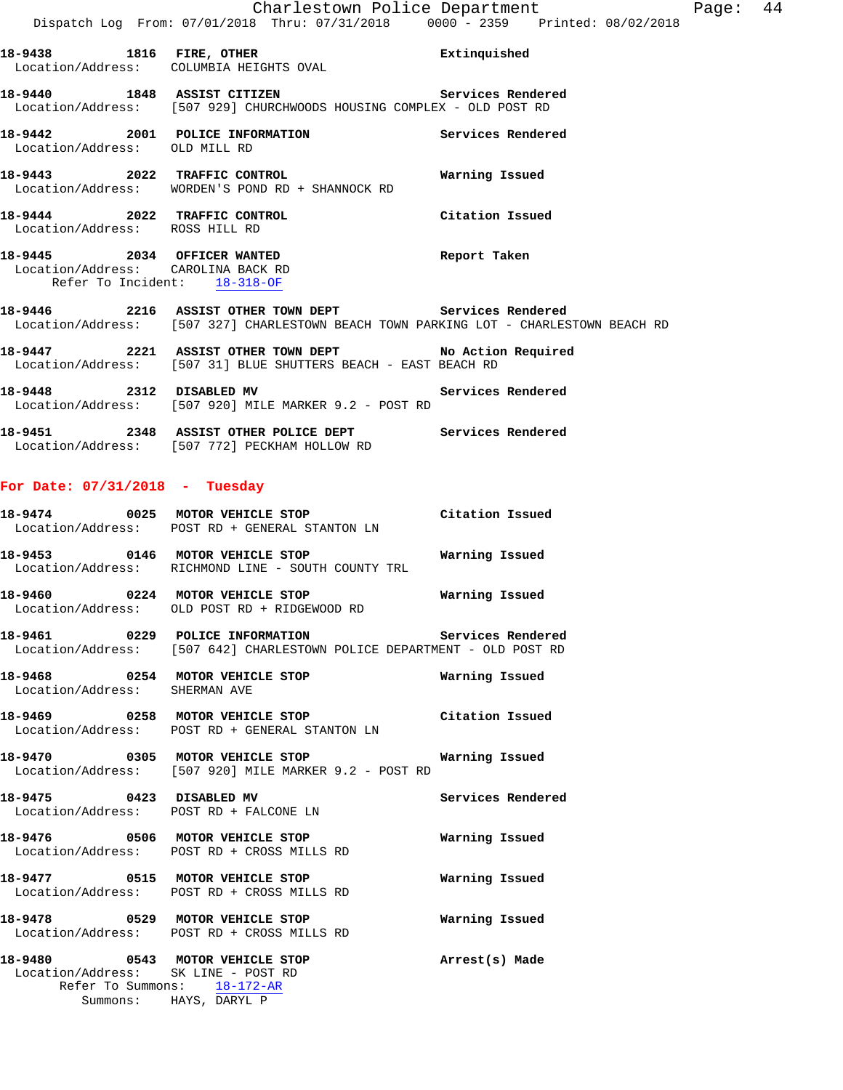**18-9438 1816 FIRE, OTHER Extinquished**  Location/Address: COLUMBIA HEIGHTS OVAL **18-9440 1848 ASSIST CITIZEN Services Rendered**  Location/Address: [507 929] CHURCHWOODS HOUSING COMPLEX - OLD POST RD **18-9442 2001 POLICE INFORMATION Services Rendered**  Location/Address: OLD MILL RD **18-9443 2022 TRAFFIC CONTROL Warning Issued**  Location/Address: WORDEN'S POND RD + SHANNOCK RD **18-9444 2022 TRAFFIC CONTROL Citation Issued**  Location/Address: ROSS HILL RD **18-9445 2034 OFFICER WANTED Report Taken**  Location/Address: CAROLINA BACK RD Refer To Incident: 18-318-OF **18-9446 2216 ASSIST OTHER TOWN DEPT Services Rendered**  Location/Address: [507 327] CHARLESTOWN BEACH TOWN PARKING LOT - CHARLESTOWN BEACH RD **18-9447 2221 ASSIST OTHER TOWN DEPT No Action Required**  Location/Address: [507 31] BLUE SHUTTERS BEACH - EAST BEACH RD

- **18-9448 2312 DISABLED MV Services Rendered**  Location/Address: [507 920] MILE MARKER 9.2 - POST RD
- **18-9451 2348 ASSIST OTHER POLICE DEPT Services Rendered**  Location/Address: [507 772] PECKHAM HOLLOW RD

### **For Date: 07/31/2018 - Tuesday**

| 18-9474<br>0025<br>MOTOR VEHICLE STOP<br>Location/Address: POST RD + GENERAL STANTON LN |      | Citation Issued                                                          |                |
|-----------------------------------------------------------------------------------------|------|--------------------------------------------------------------------------|----------------|
| 18–9453                                                                                 | 0146 | MOTOR VEHICLE STOP<br>Location/Address: RICHMOND LINE - SOUTH COUNTY TRL | Warning Issued |

- **18-9460 0224 MOTOR VEHICLE STOP Warning Issued**  Location/Address: OLD POST RD + RIDGEWOOD RD
- **18-9461 0229 POLICE INFORMATION Services Rendered**  Location/Address: [507 642] CHARLESTOWN POLICE DEPARTMENT - OLD POST RD
- **18-9468 0254 MOTOR VEHICLE STOP Warning Issued**  Location/Address: SHERMAN AVE
- **18-9469 0258 MOTOR VEHICLE STOP Citation Issued**  Location/Address: POST RD + GENERAL STANTON LN
- **18-9470 0305 MOTOR VEHICLE STOP Warning Issued**  Location/Address: [507 920] MILE MARKER 9.2 - POST RD
- **18-9475 0423 DISABLED MV Services Rendered**  Location/Address: POST RD + FALCONE LN
- **18-9476 0506 MOTOR VEHICLE STOP Warning Issued**  Location/Address: POST RD + CROSS MILLS RD
- **18-9477 0515 MOTOR VEHICLE STOP Warning Issued**  Location/Address: POST RD + CROSS MILLS RD
- **18-9478 0529 MOTOR VEHICLE STOP Warning Issued**  Location/Address: POST RD + CROSS MILLS RD
- **18-9480 0543 MOTOR VEHICLE STOP Arrest(s) Made**  Location/Address: SK LINE - POST RD Refer To Summons: 18-172-AR Summons: HAYS, DARYL P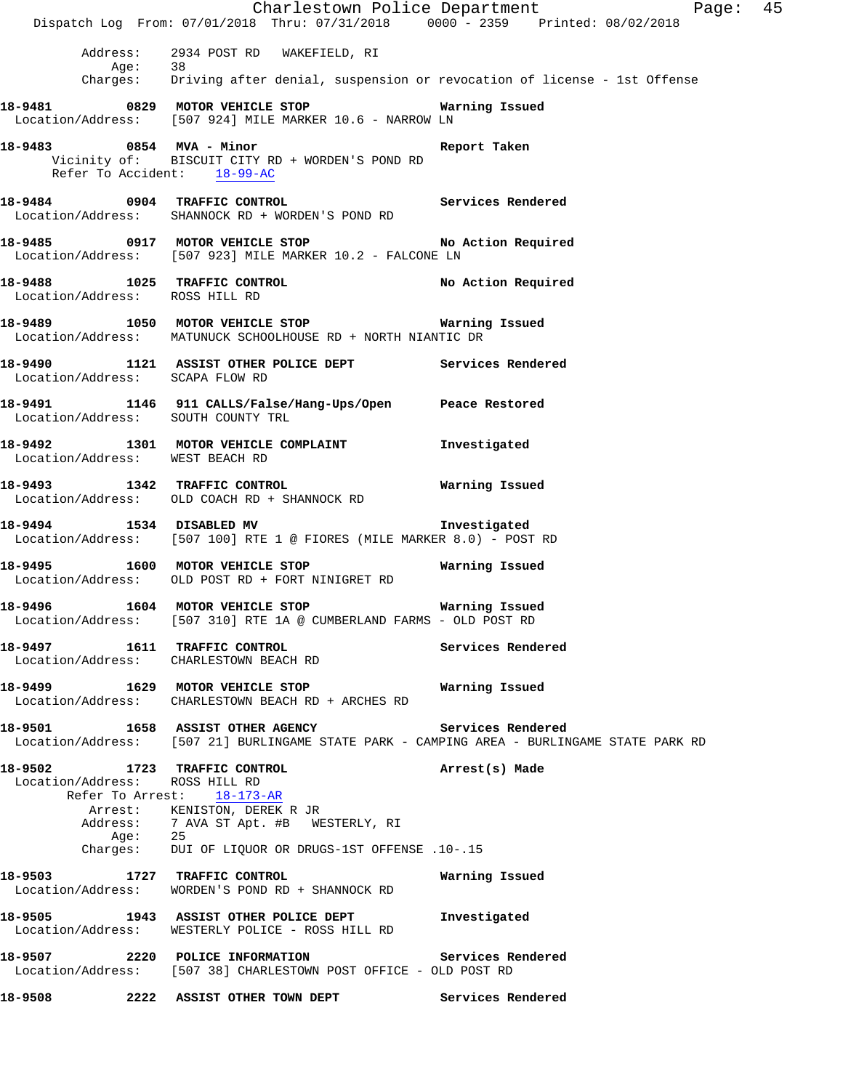Charlestown Police Department Page: 45 Dispatch Log From: 07/01/2018 Thru: 07/31/2018 0000 - 2359 Printed: 08/02/2018 Address: 2934 POST RD WAKEFIELD, RI Age: 38 Charges: Driving after denial, suspension or revocation of license - 1st Offense **18-9481 0829 MOTOR VEHICLE STOP Warning Issued**  Location/Address: [507 924] MILE MARKER 10.6 - NARROW LN **18-9483 0854 MVA - Minor Report Taken**  Vicinity of: BISCUIT CITY RD + WORDEN'S POND RD Refer To Accident: 18-99-AC **18-9484 0904 TRAFFIC CONTROL Services Rendered**  Location/Address: SHANNOCK RD + WORDEN'S POND RD **18-9485 0917 MOTOR VEHICLE STOP No Action Required**  Location/Address: [507 923] MILE MARKER 10.2 - FALCONE LN **18-9488 1025 TRAFFIC CONTROL No Action Required**  Location/Address: ROSS HILL RD **18-9489 1050 MOTOR VEHICLE STOP Warning Issued**  Location/Address: MATUNUCK SCHOOLHOUSE RD + NORTH NIANTIC DR **18-9490 1121 ASSIST OTHER POLICE DEPT Services Rendered**  Location/Address: SCAPA FLOW RD **18-9491 1146 911 CALLS/False/Hang-Ups/Open Peace Restored**  Location/Address: SOUTH COUNTY TRL **18-9492 1301 MOTOR VEHICLE COMPLAINT Investigated**  Location/Address: WEST BEACH RD **18-9493 1342 TRAFFIC CONTROL Warning Issued**  Location/Address: OLD COACH RD + SHANNOCK RD **18-9494 1534 DISABLED MV Investigated**  Location/Address: [507 100] RTE 1 @ FIORES (MILE MARKER 8.0) - POST RD **18-9495 1600 MOTOR VEHICLE STOP Warning Issued**  Location/Address: OLD POST RD + FORT NINIGRET RD **18-9496 1604 MOTOR VEHICLE STOP Warning Issued**  Location/Address: [507 310] RTE 1A @ CUMBERLAND FARMS - OLD POST RD **18-9497 1611 TRAFFIC CONTROL Services Rendered**  Location/Address: CHARLESTOWN BEACH RD **18-9499 1629 MOTOR VEHICLE STOP Warning Issued**  Location/Address: CHARLESTOWN BEACH RD + ARCHES RD **18-9501 1658 ASSIST OTHER AGENCY Services Rendered**  Location/Address: [507 21] BURLINGAME STATE PARK - CAMPING AREA - BURLINGAME STATE PARK RD **18-9502 1723 TRAFFIC CONTROL Arrest(s) Made**  Location/Address: ROSS HILL RD Refer To Arrest: 18-173-AR Arrest: KENISTON, DEREK R JR Address: 7 AVA ST Apt. #B WESTERLY, RI Age: 25 Charges: DUI OF LIQUOR OR DRUGS-1ST OFFENSE .10-.15 **18-9503 1727 TRAFFIC CONTROL Warning Issued**  Location/Address: WORDEN'S POND RD + SHANNOCK RD **18-9505 1943 ASSIST OTHER POLICE DEPT Investigated**  Location/Address: WESTERLY POLICE - ROSS HILL RD **18-9507 2220 POLICE INFORMATION Services Rendered**  Location/Address: [507 38] CHARLESTOWN POST OFFICE - OLD POST RD **18-9508 2222 ASSIST OTHER TOWN DEPT Services Rendered**